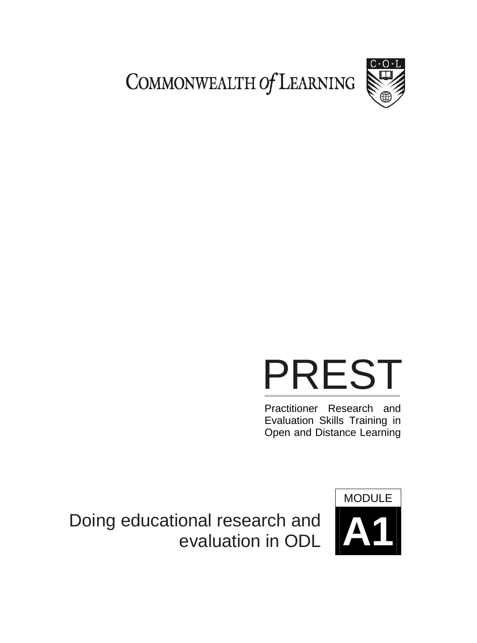COMMONWEALTH Of LEARNING



## PREST

Practitioner Research and Evaluation Skills Training in Open and Distance Learning

**Doing educational research and** evaluation in ODL

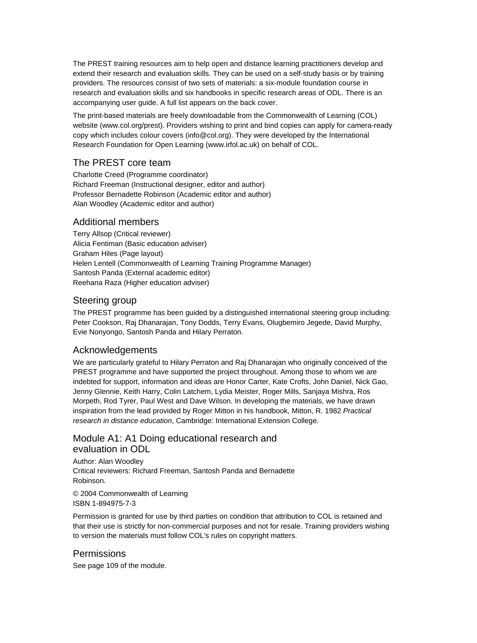The PREST training resources aim to help open and distance learning practitioners develop and extend their research and evaluation skills. They can be used on a self-study basis or by training providers. The resources consist of two sets of materials: a six-module foundation course in research and evaluation skills and six handbooks in specific research areas of ODL. There is an accompanying user guide. A full list appears on the back cover.

The print-based materials are freely downloadable from the Commonwealth of Learning (COL) website (www.col.org/prest). Providers wishing to print and bind copies can apply for camera-ready copy which includes colour covers (info@col.org). They were developed by the International Research Foundation for Open Learning (www.irfol.ac.uk) on behalf of COL.

#### The PREST core team

Charlotte Creed (Programme coordinator) Richard Freeman (Instructional designer, editor and author) Professor Bernadette Robinson (Academic editor and author) Alan Woodley (Academic editor and author)

#### Additional members

Terry Allsop (Critical reviewer) Alicia Fentiman (Basic education adviser) Graham Hiles (Page layout) Helen Lentell (Commonwealth of Learning Training Programme Manager) Santosh Panda (External academic editor) Reehana Raza (Higher education adviser)

#### Steering group

The PREST programme has been guided by a distinguished international steering group including: Peter Cookson, Raj Dhanarajan, Tony Dodds, Terry Evans, Olugbemiro Jegede, David Murphy, Evie Nonyongo, Santosh Panda and Hilary Perraton.

#### Acknowledgements

We are particularly grateful to Hilary Perraton and Raj Dhanarajan who originally conceived of the PREST programme and have supported the project throughout. Among those to whom we are indebted for support, information and ideas are Honor Carter, Kate Crofts, John Daniel, Nick Gao, Jenny Glennie, Keith Harry, Colin Latchem, Lydia Meister, Roger Mills, Sanjaya Mishra, Ros Morpeth, Rod Tyrer, Paul West and Dave Wilson. In developing the materials, we have drawn inspiration from the lead provided by Roger Mitton in his handbook, Mitton, R. 1982 *Practical research in distance education*, Cambridge: International Extension College.

#### Module A1: A1 Doing educational research and evaluation in ODL

Author: Alan Woodley Critical reviewers: Richard Freeman, Santosh Panda and Bernadette Robinson.

© 2004 Commonwealth of Learning ISBN 1-894975-7-3

Permission is granted for use by third parties on condition that attribution to COL is retained and that their use is strictly for non-commercial purposes and not for resale. Training providers wishing to version the materials must follow COL's rules on copyright matters.

#### **Permissions**

See page 109 of the module.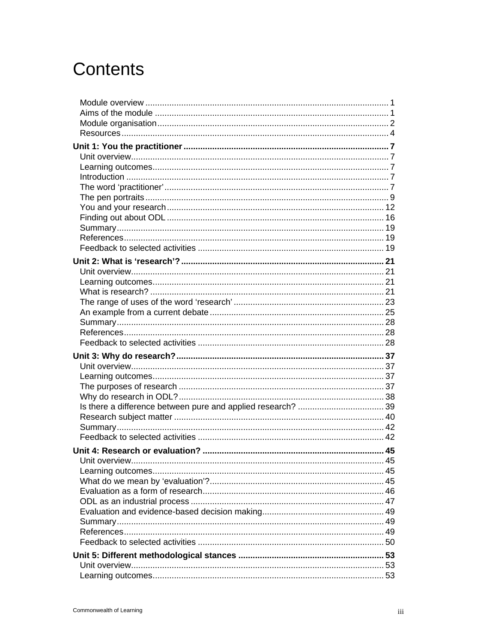## **Contents**

| Unit overview. |  |
|----------------|--|
|                |  |
|                |  |
|                |  |
|                |  |
|                |  |
|                |  |
|                |  |
|                |  |
|                |  |
|                |  |
|                |  |
|                |  |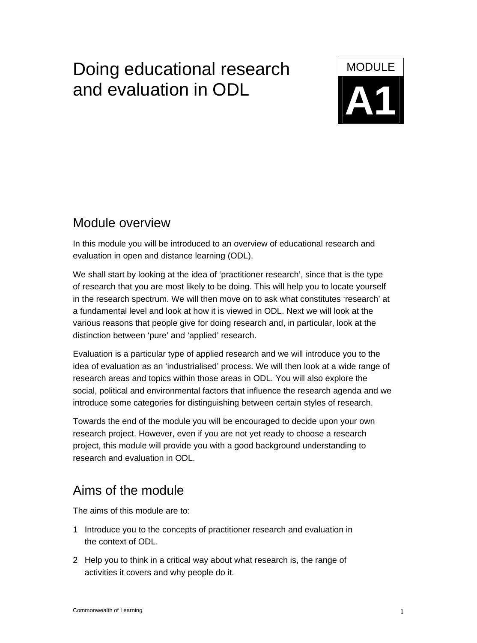## Doing educational research MODULE **A1** and evaluation in ODL

## Module overview

In this module you will be introduced to an overview of educational research and evaluation in open and distance learning (ODL).

We shall start by looking at the idea of 'practitioner research', since that is the type of research that you are most likely to be doing. This will help you to locate yourself in the research spectrum. We will then move on to ask what constitutes 'research' at a fundamental level and look at how it is viewed in ODL. Next we will look at the various reasons that people give for doing research and, in particular, look at the distinction between 'pure' and 'applied' research.

Evaluation is a particular type of applied research and we will introduce you to the idea of evaluation as an 'industrialised' process. We will then look at a wide range of research areas and topics within those areas in ODL. You will also explore the social, political and environmental factors that influence the research agenda and we introduce some categories for distinguishing between certain styles of research.

Towards the end of the module you will be encouraged to decide upon your own research project. However, even if you are not yet ready to choose a research project, this module will provide you with a good background understanding to research and evaluation in ODL.

## Aims of the module

The aims of this module are to:

- 1 Introduce you to the concepts of practitioner research and evaluation in the context of ODL.
- 2 Help you to think in a critical way about what research is, the range of activities it covers and why people do it.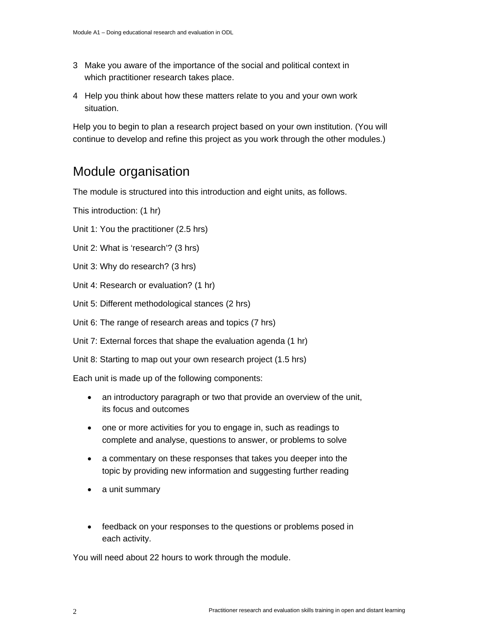- 3 Make you aware of the importance of the social and political context in which practitioner research takes place.
- 4 Help you think about how these matters relate to you and your own work situation.

Help you to begin to plan a research project based on your own institution. (You will continue to develop and refine this project as you work through the other modules.)

## Module organisation

The module is structured into this introduction and eight units, as follows.

This introduction: (1 hr)

- Unit 1: You the practitioner (2.5 hrs)
- Unit 2: What is 'research'? (3 hrs)
- Unit 3: Why do research? (3 hrs)
- Unit 4: Research or evaluation? (1 hr)
- Unit 5: Different methodological stances (2 hrs)
- Unit 6: The range of research areas and topics (7 hrs)
- Unit 7: External forces that shape the evaluation agenda (1 hr)
- Unit 8: Starting to map out your own research project (1.5 hrs)

Each unit is made up of the following components:

- an introductory paragraph or two that provide an overview of the unit, its focus and outcomes
- one or more activities for you to engage in, such as readings to complete and analyse, questions to answer, or problems to solve
- a commentary on these responses that takes you deeper into the topic by providing new information and suggesting further reading
- a unit summary
- feedback on your responses to the questions or problems posed in each activity.

You will need about 22 hours to work through the module.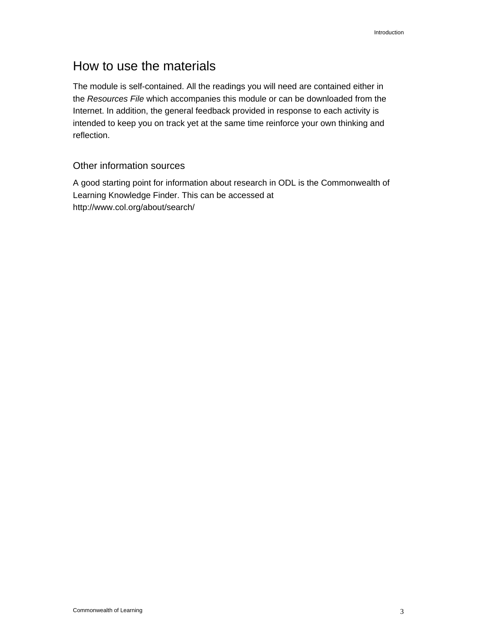## How to use the materials

The module is self-contained. All the readings you will need are contained either in the *Resources File* which accompanies this module or can be downloaded from the Internet. In addition, the general feedback provided in response to each activity is intended to keep you on track yet at the same time reinforce your own thinking and reflection.

#### Other information sources

A good starting point for information about research in ODL is the Commonwealth of Learning Knowledge Finder. This can be accessed at http://www.col.org/about/search/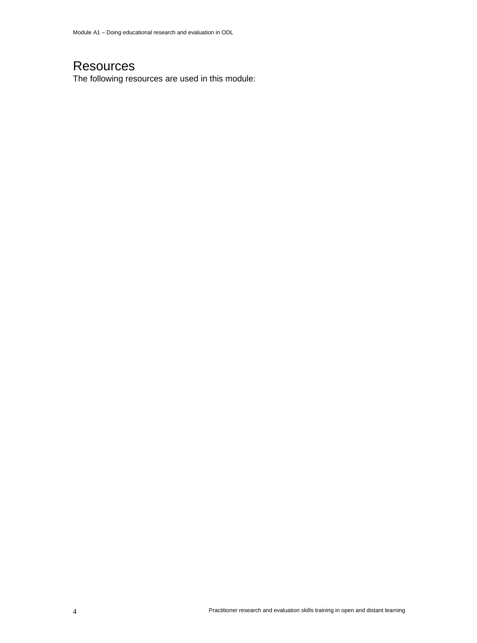## **Resources**

The following resources are used in this module: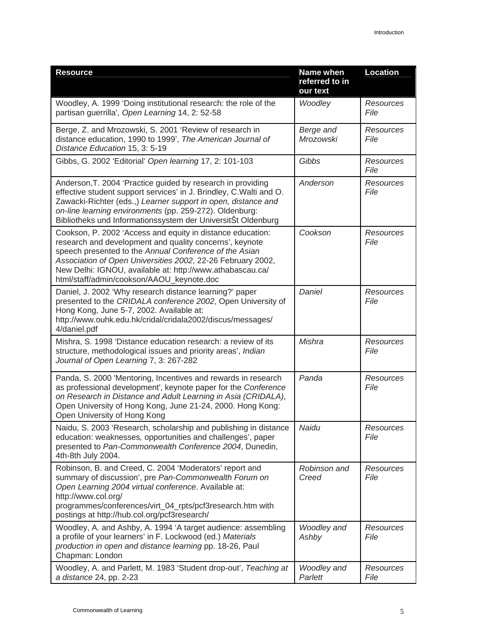| <b>Resource</b>                                                                                                                                                                                                                                                                                                                                          | Name when<br>referred to in<br>our text | <b>Location</b>          |
|----------------------------------------------------------------------------------------------------------------------------------------------------------------------------------------------------------------------------------------------------------------------------------------------------------------------------------------------------------|-----------------------------------------|--------------------------|
| Woodley, A. 1999 'Doing institutional research: the role of the<br>partisan guerrilla', Open Learning 14, 2: 52-58                                                                                                                                                                                                                                       | Woodley                                 | Resources<br>File        |
| Berge, Z. and Mrozowski, S. 2001 'Review of research in<br>distance education, 1990 to 1999', The American Journal of<br>Distance Education 15, 3: 5-19                                                                                                                                                                                                  | Berge and<br>Mrozowski                  | Resources<br>File        |
| Gibbs, G. 2002 'Editorial' Open learning 17, 2: 101-103                                                                                                                                                                                                                                                                                                  | Gibbs                                   | Resources<br>File        |
| Anderson, T. 2004 'Practice guided by research in providing<br>effective student support services' in J. Brindley, C. Walti and O.<br>Zawacki-Richter (eds.,) Learner support in open, distance and<br>on-line learning environments (pp. 259-272). Oldenburg:<br>Bibliotheks und Informationssystem der UniversitSt Oldenburg                           | Anderson                                | <b>Resources</b><br>File |
| Cookson, P. 2002 'Access and equity in distance education:<br>research and development and quality concerns', keynote<br>speech presented to the Annual Conference of the Asian<br>Association of Open Universities 2002, 22-26 February 2002,<br>New Delhi: IGNOU, available at: http://www.athabascau.ca/<br>html/staff/admin/cookson/AAOU keynote.doc | Cookson                                 | <b>Resources</b><br>File |
| Daniel, J. 2002 'Why research distance learning?' paper<br>presented to the CRIDALA conference 2002, Open University of<br>Hong Kong, June 5-7, 2002. Available at:<br>http://www.ouhk.edu.hk/cridal/cridala2002/discus/messages/<br>4/daniel.pdf                                                                                                        | Daniel                                  | <b>Resources</b><br>File |
| Mishra, S. 1998 'Distance education research: a review of its<br>structure, methodological issues and priority areas', Indian<br>Journal of Open Learning 7, 3: 267-282                                                                                                                                                                                  | Mishra                                  | <b>Resources</b><br>File |
| Panda, S. 2000 'Mentoring, Incentives and rewards in research<br>as professional development', keynote paper for the Conference<br>on Research in Distance and Adult Learning in Asia (CRIDALA),<br>Open University of Hong Kong, June 21-24, 2000. Hong Kong:<br>Open University of Hong Kong                                                           | Panda                                   | Resources<br>File        |
| Naidu, S. 2003 'Research, scholarship and publishing in distance<br>education: weaknesses, opportunities and challenges', paper<br>presented to Pan-Commonwealth Conference 2004, Dunedin,<br>4th-8th July 2004.                                                                                                                                         | Naidu                                   | Resources<br>File        |
| Robinson, B. and Creed, C. 2004 'Moderators' report and<br>summary of discussion', pre Pan-Commonwealth Forum on<br>Open Learning 2004 virtual conference. Available at:<br>http://www.col.org/<br>programmes/conferences/virt_04_rpts/pcf3research.htm with<br>postings at http://hub.col.org/pcf3research/                                             | Robinson and<br>Creed                   | <b>Resources</b><br>File |
| Woodley, A. and Ashby, A. 1994 'A target audience: assembling<br>a profile of your learners' in F. Lockwood (ed.) Materials<br>production in open and distance learning pp. 18-26, Paul<br>Chapman: London                                                                                                                                               | Woodley and<br>Ashby                    | Resources<br>File        |
| Woodley, A. and Parlett, M. 1983 'Student drop-out', Teaching at<br>a distance 24, pp. 2-23                                                                                                                                                                                                                                                              | Woodley and<br>Parlett                  | <b>Resources</b><br>File |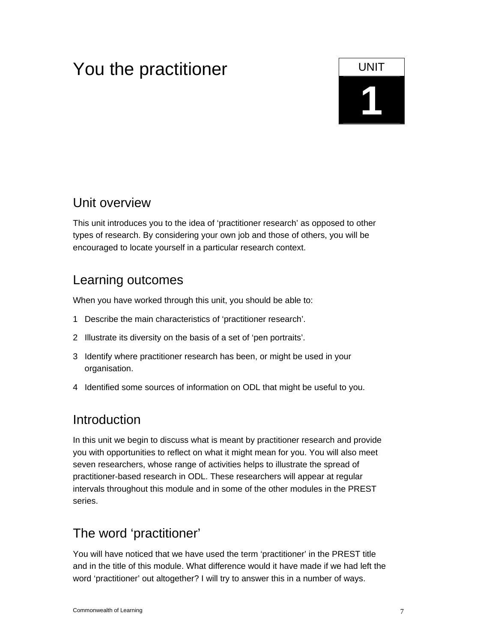## You the practitioner **UNIT**

## **1**

## Unit overview

This unit introduces you to the idea of 'practitioner research' as opposed to other types of research. By considering your own job and those of others, you will be encouraged to locate yourself in a particular research context.

## Learning outcomes

When you have worked through this unit, you should be able to:

- 1 Describe the main characteristics of 'practitioner research'.
- 2 Illustrate its diversity on the basis of a set of 'pen portraits'.
- 3 Identify where practitioner research has been, or might be used in your organisation.
- 4 Identified some sources of information on ODL that might be useful to you.

## Introduction

In this unit we begin to discuss what is meant by practitioner research and provide you with opportunities to reflect on what it might mean for you. You will also meet seven researchers, whose range of activities helps to illustrate the spread of practitioner-based research in ODL. These researchers will appear at regular intervals throughout this module and in some of the other modules in the PREST series.

## The word 'practitioner'

You will have noticed that we have used the term 'practitioner' in the PREST title and in the title of this module. What difference would it have made if we had left the word 'practitioner' out altogether? I will try to answer this in a number of ways.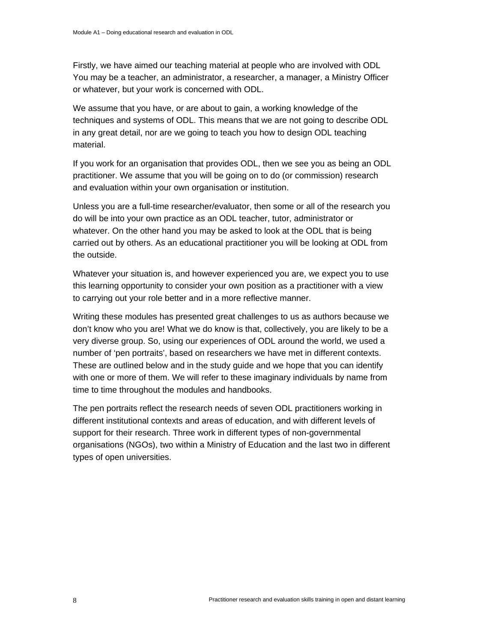Firstly, we have aimed our teaching material at people who are involved with ODL You may be a teacher, an administrator, a researcher, a manager, a Ministry Officer or whatever, but your work is concerned with ODL.

We assume that you have, or are about to gain, a working knowledge of the techniques and systems of ODL. This means that we are not going to describe ODL in any great detail, nor are we going to teach you how to design ODL teaching material.

If you work for an organisation that provides ODL, then we see you as being an ODL practitioner. We assume that you will be going on to do (or commission) research and evaluation within your own organisation or institution.

Unless you are a full-time researcher/evaluator, then some or all of the research you do will be into your own practice as an ODL teacher, tutor, administrator or whatever. On the other hand you may be asked to look at the ODL that is being carried out by others. As an educational practitioner you will be looking at ODL from the outside.

Whatever your situation is, and however experienced you are, we expect you to use this learning opportunity to consider your own position as a practitioner with a view to carrying out your role better and in a more reflective manner.

Writing these modules has presented great challenges to us as authors because we don't know who you are! What we do know is that, collectively, you are likely to be a very diverse group. So, using our experiences of ODL around the world, we used a number of 'pen portraits', based on researchers we have met in different contexts. These are outlined below and in the study guide and we hope that you can identify with one or more of them. We will refer to these imaginary individuals by name from time to time throughout the modules and handbooks.

The pen portraits reflect the research needs of seven ODL practitioners working in different institutional contexts and areas of education, and with different levels of support for their research. Three work in different types of non-governmental organisations (NGOs), two within a Ministry of Education and the last two in different types of open universities.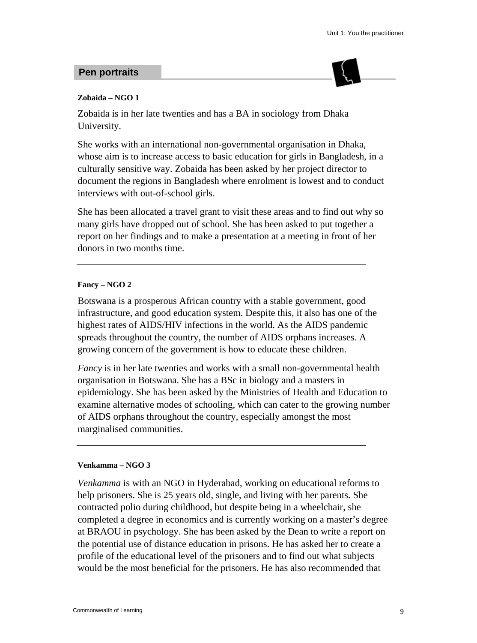#### **Pen portraits**



#### **Zobaida – NGO 1**

Zobaida is in her late twenties and has a BA in sociology from Dhaka University.

She works with an international non-governmental organisation in Dhaka, whose aim is to increase access to basic education for girls in Bangladesh, in a culturally sensitive way. Zobaida has been asked by her project director to document the regions in Bangladesh where enrolment is lowest and to conduct interviews with out-of-school girls.

She has been allocated a travel grant to visit these areas and to find out why so many girls have dropped out of school. She has been asked to put together a report on her findings and to make a presentation at a meeting in front of her donors in two months time.

#### **Fancy – NGO 2**

Botswana is a prosperous African country with a stable government, good infrastructure, and good education system. Despite this, it also has one of the highest rates of AIDS/HIV infections in the world. As the AIDS pandemic spreads throughout the country, the number of AIDS orphans increases. A growing concern of the government is how to educate these children.

*Fancy* is in her late twenties and works with a small non-governmental health organisation in Botswana. She has a BSc in biology and a masters in epidemiology. She has been asked by the Ministries of Health and Education to examine alternative modes of schooling, which can cater to the growing number of AIDS orphans throughout the country, especially amongst the most marginalised communities.

#### **Venkamma – NGO 3**

*Venkamma* is with an NGO in Hyderabad, working on educational reforms to help prisoners. She is 25 years old, single, and living with her parents. She contracted polio during childhood, but despite being in a wheelchair, she completed a degree in economics and is currently working on a master's degree at BRAOU in psychology. She has been asked by the Dean to write a report on the potential use of distance education in prisons. He has asked her to create a profile of the educational level of the prisoners and to find out what subjects would be the most beneficial for the prisoners. He has also recommended that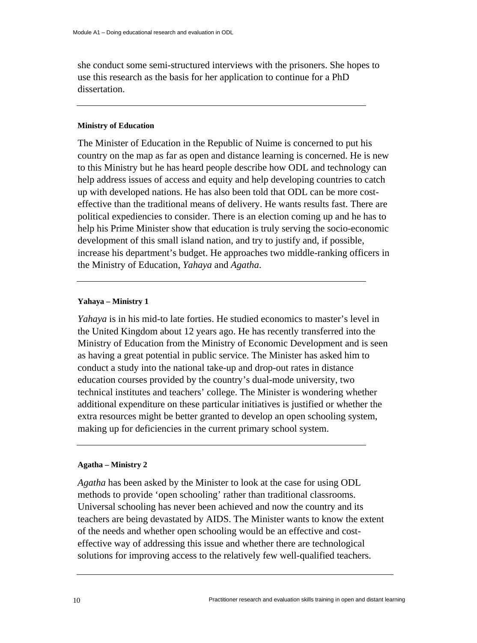she conduct some semi-structured interviews with the prisoners. She hopes to use this research as the basis for her application to continue for a PhD dissertation.

#### **Ministry of Education**

The Minister of Education in the Republic of Nuime is concerned to put his country on the map as far as open and distance learning is concerned. He is new to this Ministry but he has heard people describe how ODL and technology can help address issues of access and equity and help developing countries to catch up with developed nations. He has also been told that ODL can be more costeffective than the traditional means of delivery. He wants results fast. There are political expediencies to consider. There is an election coming up and he has to help his Prime Minister show that education is truly serving the socio-economic development of this small island nation, and try to justify and, if possible, increase his department's budget. He approaches two middle-ranking officers in the Ministry of Education, *Yahaya* and *Agatha*.

#### **Yahaya – Ministry 1**

*Yahaya* is in his mid-to late forties. He studied economics to master's level in the United Kingdom about 12 years ago. He has recently transferred into the Ministry of Education from the Ministry of Economic Development and is seen as having a great potential in public service. The Minister has asked him to conduct a study into the national take-up and drop-out rates in distance education courses provided by the country's dual-mode university, two technical institutes and teachers' college. The Minister is wondering whether additional expenditure on these particular initiatives is justified or whether the extra resources might be better granted to develop an open schooling system, making up for deficiencies in the current primary school system.

#### **Agatha – Ministry 2**

*Agatha* has been asked by the Minister to look at the case for using ODL methods to provide 'open schooling' rather than traditional classrooms. Universal schooling has never been achieved and now the country and its teachers are being devastated by AIDS. The Minister wants to know the extent of the needs and whether open schooling would be an effective and costeffective way of addressing this issue and whether there are technological solutions for improving access to the relatively few well-qualified teachers.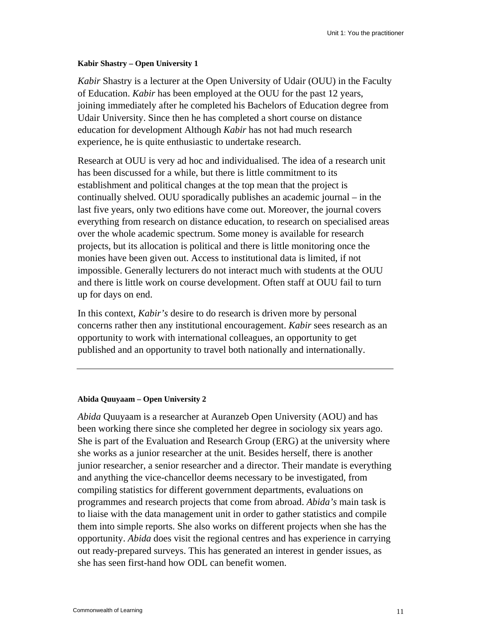#### **Kabir Shastry – Open University 1**

*Kabir* Shastry is a lecturer at the Open University of Udair (OUU) in the Faculty of Education. *Kabir* has been employed at the OUU for the past 12 years, joining immediately after he completed his Bachelors of Education degree from Udair University. Since then he has completed a short course on distance education for development Although *Kabir* has not had much research experience, he is quite enthusiastic to undertake research.

Research at OUU is very ad hoc and individualised. The idea of a research unit has been discussed for a while, but there is little commitment to its establishment and political changes at the top mean that the project is continually shelved. OUU sporadically publishes an academic journal – in the last five years, only two editions have come out. Moreover, the journal covers everything from research on distance education, to research on specialised areas over the whole academic spectrum. Some money is available for research projects, but its allocation is political and there is little monitoring once the monies have been given out. Access to institutional data is limited, if not impossible. Generally lecturers do not interact much with students at the OUU and there is little work on course development. Often staff at OUU fail to turn up for days on end.

In this context, *Kabir's* desire to do research is driven more by personal concerns rather then any institutional encouragement. *Kabir* sees research as an opportunity to work with international colleagues, an opportunity to get published and an opportunity to travel both nationally and internationally.

#### **Abida Quuyaam – Open University 2**

*Abida* Quuyaam is a researcher at Auranzeb Open University (AOU) and has been working there since she completed her degree in sociology six years ago. She is part of the Evaluation and Research Group (ERG) at the university where she works as a junior researcher at the unit. Besides herself, there is another junior researcher, a senior researcher and a director. Their mandate is everything and anything the vice-chancellor deems necessary to be investigated, from compiling statistics for different government departments, evaluations on programmes and research projects that come from abroad. *Abida's* main task is to liaise with the data management unit in order to gather statistics and compile them into simple reports. She also works on different projects when she has the opportunity. *Abida* does visit the regional centres and has experience in carrying out ready-prepared surveys. This has generated an interest in gender issues, as she has seen first-hand how ODL can benefit women.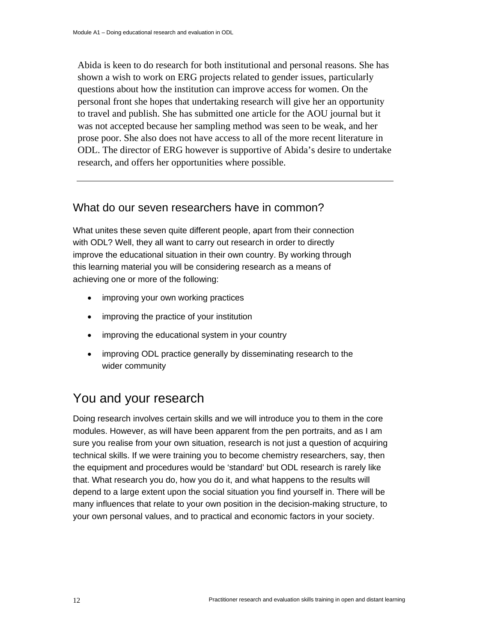Abida is keen to do research for both institutional and personal reasons. She has shown a wish to work on ERG projects related to gender issues, particularly questions about how the institution can improve access for women. On the personal front she hopes that undertaking research will give her an opportunity to travel and publish. She has submitted one article for the AOU journal but it was not accepted because her sampling method was seen to be weak, and her prose poor. She also does not have access to all of the more recent literature in ODL. The director of ERG however is supportive of Abida's desire to undertake research, and offers her opportunities where possible.

#### What do our seven researchers have in common?

What unites these seven quite different people, apart from their connection with ODL? Well, they all want to carry out research in order to directly improve the educational situation in their own country. By working through this learning material you will be considering research as a means of achieving one or more of the following:

- improving your own working practices
- improving the practice of your institution
- improving the educational system in your country
- improving ODL practice generally by disseminating research to the wider community

## You and your research

Doing research involves certain skills and we will introduce you to them in the core modules. However, as will have been apparent from the pen portraits, and as I am sure you realise from your own situation, research is not just a question of acquiring technical skills. If we were training you to become chemistry researchers, say, then the equipment and procedures would be 'standard' but ODL research is rarely like that. What research you do, how you do it, and what happens to the results will depend to a large extent upon the social situation you find yourself in. There will be many influences that relate to your own position in the decision-making structure, to your own personal values, and to practical and economic factors in your society.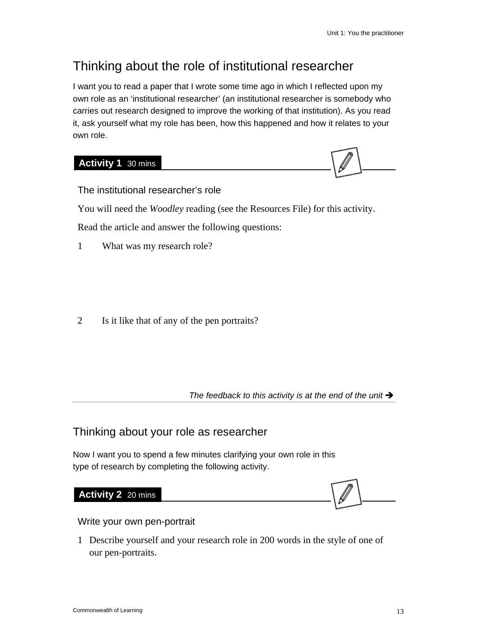## Thinking about the role of institutional researcher

I want you to read a paper that I wrote some time ago in which I reflected upon my own role as an 'institutional researcher' (an institutional researcher is somebody who carries out research designed to improve the working of that institution). As you read it, ask yourself what my role has been, how this happened and how it relates to your own role.

#### **Activity 1** 30 mins



The institutional researcher's role

You will need the *Woodley* reading (see the Resources File) for this activity.

Read the article and answer the following questions:

1 What was my research role?

2 Is it like that of any of the pen portraits?

The feedback to this activity is at the end of the unit  $\rightarrow$ 

#### Thinking about your role as researcher

Now I want you to spend a few minutes clarifying your own role in this type of research by completing the following activity.

#### **Activity 2** 20 mins

Write your own pen-portrait

1 Describe yourself and your research role in 200 words in the style of one of our pen-portraits.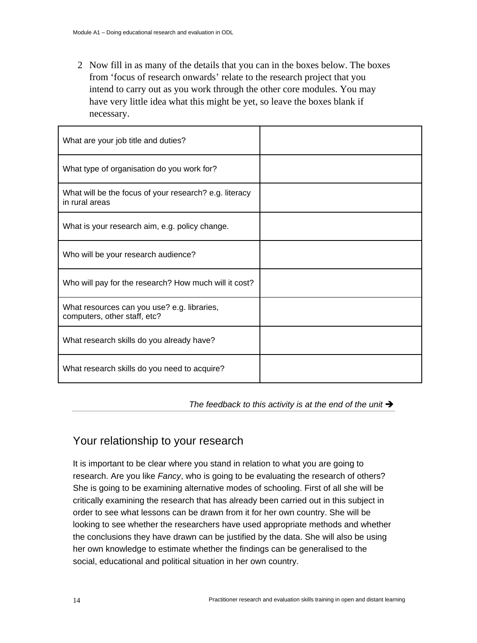2 Now fill in as many of the details that you can in the boxes below. The boxes from 'focus of research onwards' relate to the research project that you intend to carry out as you work through the other core modules. You may have very little idea what this might be yet, so leave the boxes blank if necessary.

| What are your job title and duties?                                         |  |
|-----------------------------------------------------------------------------|--|
| What type of organisation do you work for?                                  |  |
| What will be the focus of your research? e.g. literacy<br>in rural areas    |  |
| What is your research aim, e.g. policy change.                              |  |
| Who will be your research audience?                                         |  |
| Who will pay for the research? How much will it cost?                       |  |
| What resources can you use? e.g. libraries,<br>computers, other staff, etc? |  |
| What research skills do you already have?                                   |  |
| What research skills do you need to acquire?                                |  |

The feedback to this activity is at the end of the unit  $\rightarrow$ 

#### Your relationship to your research

It is important to be clear where you stand in relation to what you are going to research. Are you like *Fancy*, who is going to be evaluating the research of others? She is going to be examining alternative modes of schooling. First of all she will be critically examining the research that has already been carried out in this subject in order to see what lessons can be drawn from it for her own country. She will be looking to see whether the researchers have used appropriate methods and whether the conclusions they have drawn can be justified by the data. She will also be using her own knowledge to estimate whether the findings can be generalised to the social, educational and political situation in her own country.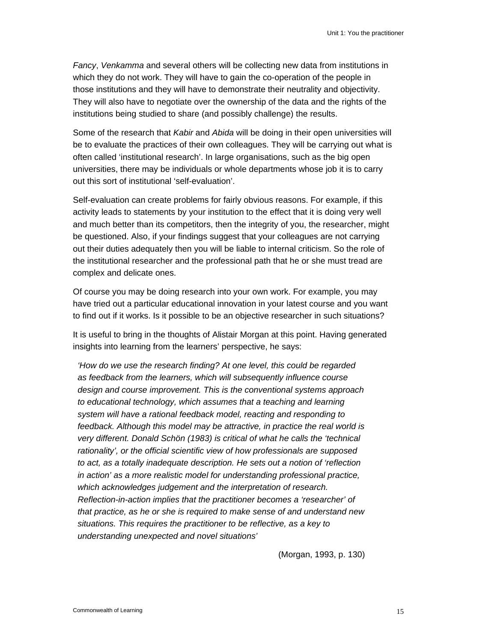*Fancy*, *Venkamma* and several others will be collecting new data from institutions in which they do not work. They will have to gain the co-operation of the people in those institutions and they will have to demonstrate their neutrality and objectivity. They will also have to negotiate over the ownership of the data and the rights of the institutions being studied to share (and possibly challenge) the results.

Some of the research that *Kabir* and *Abida* will be doing in their open universities will be to evaluate the practices of their own colleagues. They will be carrying out what is often called 'institutional research'. In large organisations, such as the big open universities, there may be individuals or whole departments whose job it is to carry out this sort of institutional 'self-evaluation'.

Self-evaluation can create problems for fairly obvious reasons. For example, if this activity leads to statements by your institution to the effect that it is doing very well and much better than its competitors, then the integrity of you, the researcher, might be questioned. Also, if your findings suggest that your colleagues are not carrying out their duties adequately then you will be liable to internal criticism. So the role of the institutional researcher and the professional path that he or she must tread are complex and delicate ones.

Of course you may be doing research into your own work. For example, you may have tried out a particular educational innovation in your latest course and you want to find out if it works. Is it possible to be an objective researcher in such situations?

It is useful to bring in the thoughts of Alistair Morgan at this point. Having generated insights into learning from the learners' perspective, he says:

*'How do we use the research finding? At one level, this could be regarded as feedback from the learners, which will subsequently influence course design and course improvement. This is the conventional systems approach to educational technology, which assumes that a teaching and learning system will have a rational feedback model, reacting and responding to feedback. Although this model may be attractive, in practice the real world is very different. Donald Schön (1983) is critical of what he calls the 'technical rationality', or the official scientific view of how professionals are supposed to act, as a totally inadequate description. He sets out a notion of 'reflection in action' as a more realistic model for understanding professional practice, which acknowledges judgement and the interpretation of research. Reflection-in-action implies that the practitioner becomes a 'researcher' of that practice, as he or she is required to make sense of and understand new situations. This requires the practitioner to be reflective, as a key to understanding unexpected and novel situations'* 

(Morgan, 1993, p. 130)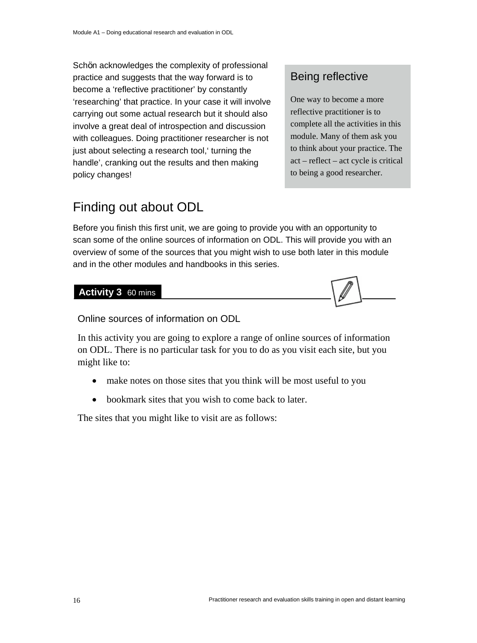Schön acknowledges the complexity of professional practice and suggests that the way forward is to become a 'reflective practitioner' by constantly 'researching' that practice. In your case it will involve carrying out some actual research but it should also involve a great deal of introspection and discussion with colleagues. Doing practitioner researcher is not just about selecting a research tool,' turning the handle', cranking out the results and then making policy changes!

#### Being reflective

One way to become a more reflective practitioner is to complete all the activities in this module. Many of them ask you to think about your practice. The act – reflect – act cycle is critical to being a good researcher.

## Finding out about ODL

Before you finish this first unit, we are going to provide you with an opportunity to scan some of the online sources of information on ODL. This will provide you with an overview of some of the sources that you might wish to use both later in this module and in the other modules and handbooks in this series.

#### **Activity 3** 60 mins



Online sources of information on ODL

In this activity you are going to explore a range of online sources of information on ODL. There is no particular task for you to do as you visit each site, but you might like to:

- make notes on those sites that you think will be most useful to you
- bookmark sites that you wish to come back to later.

The sites that you might like to visit are as follows: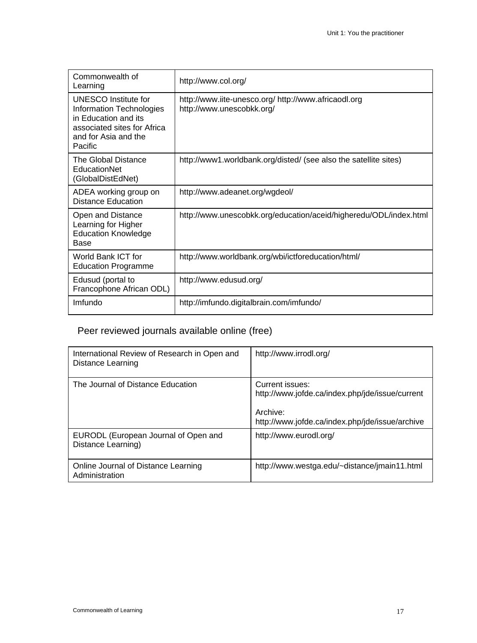| Commonwealth of<br>Learning                                                                                                                | http://www.col.org/                                                               |
|--------------------------------------------------------------------------------------------------------------------------------------------|-----------------------------------------------------------------------------------|
| UNESCO Institute for<br>Information Technologies<br>in Education and its<br>associated sites for Africa<br>and for Asia and the<br>Pacific | http://www.iite-unesco.org/ http://www.africaodl.org<br>http://www.unescobkk.org/ |
| The Global Distance<br>EducationNet<br>(GlobalDistEdNet)                                                                                   | http://www1.worldbank.org/disted/ (see also the satellite sites)                  |
| ADEA working group on<br><b>Distance Education</b>                                                                                         | http://www.adeanet.org/wgdeol/                                                    |
| Open and Distance<br>Learning for Higher<br><b>Education Knowledge</b><br>Base                                                             | http://www.unescobkk.org/education/aceid/higheredu/ODL/index.html                 |
| World Bank ICT for<br><b>Education Programme</b>                                                                                           | http://www.worldbank.org/wbi/ictforeducation/html/                                |
| Edusud (portal to<br>Francophone African ODL)                                                                                              | http://www.edusud.org/                                                            |
| Imfundo                                                                                                                                    | http://imfundo.digitalbrain.com/imfundo/                                          |

## Peer reviewed journals available online (free)

| International Review of Research in Open and<br>Distance Learning | http://www.irrodl.org/                                                                                                            |
|-------------------------------------------------------------------|-----------------------------------------------------------------------------------------------------------------------------------|
| The Journal of Distance Education                                 | Current issues:<br>http://www.jofde.ca/index.php/jde/issue/current<br>Archive:<br>http://www.jofde.ca/index.php/jde/issue/archive |
| EURODL (European Journal of Open and<br>Distance Learning)        | http://www.eurodl.org/                                                                                                            |
| Online Journal of Distance Learning<br>Administration             | http://www.westga.edu/~distance/jmain11.html                                                                                      |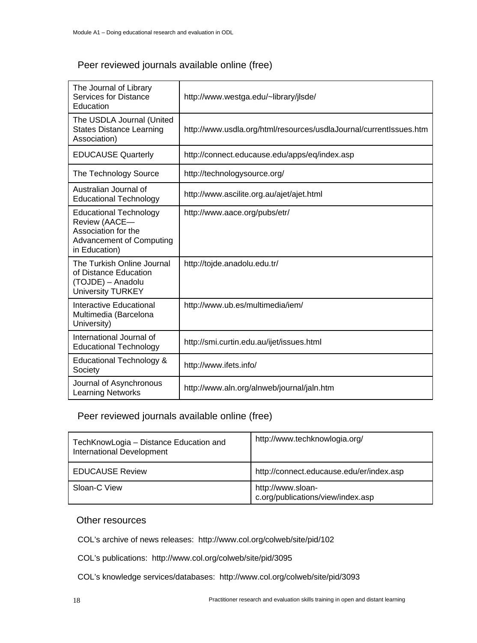#### Peer reviewed journals available online (free)

| The Journal of Library<br><b>Services for Distance</b><br>Education                                                       | http://www.westga.edu/~library/jlsde/                              |
|---------------------------------------------------------------------------------------------------------------------------|--------------------------------------------------------------------|
| The USDLA Journal (United<br><b>States Distance Learning</b><br>Association)                                              | http://www.usdla.org/html/resources/usdlaJournal/currentIssues.htm |
| <b>EDUCAUSE Quarterly</b>                                                                                                 | http://connect.educause.edu/apps/eq/index.asp                      |
| The Technology Source                                                                                                     | http://technologysource.org/                                       |
| Australian Journal of<br><b>Educational Technology</b>                                                                    | http://www.ascilite.org.au/ajet/ajet.html                          |
| <b>Educational Technology</b><br>Review (AACE-<br>Association for the<br><b>Advancement of Computing</b><br>in Education) | http://www.aace.org/pubs/etr/                                      |
| The Turkish Online Journal<br>of Distance Education<br>(TOJDE) - Anadolu<br><b>University TURKEY</b>                      | http://tojde.anadolu.edu.tr/                                       |
| <b>Interactive Educational</b><br>Multimedia (Barcelona<br>University)                                                    | http://www.ub.es/multimedia/iem/                                   |
| International Journal of<br><b>Educational Technology</b>                                                                 | http://smi.curtin.edu.au/ijet/issues.html                          |
| Educational Technology &<br>Society                                                                                       | http://www.ifets.info/                                             |
| Journal of Asynchronous<br><b>Learning Networks</b>                                                                       | http://www.aln.org/alnweb/journal/jaln.htm                         |

#### Peer reviewed journals available online (free)

| TechKnowLogia - Distance Education and<br>International Development | http://www.techknowlogia.org/                          |
|---------------------------------------------------------------------|--------------------------------------------------------|
| <b>EDUCAUSE Review</b>                                              | http://connect.educause.edu/er/index.asp               |
| Sloan-C View                                                        | http://www.sloan-<br>c.org/publications/view/index.asp |

#### Other resources

COL's archive of news releases: http://www.col.org/colweb/site/pid/102

COL's publications: http://www.col.org/colweb/site/pid/3095

COL's knowledge services/databases: http://www.col.org/colweb/site/pid/3093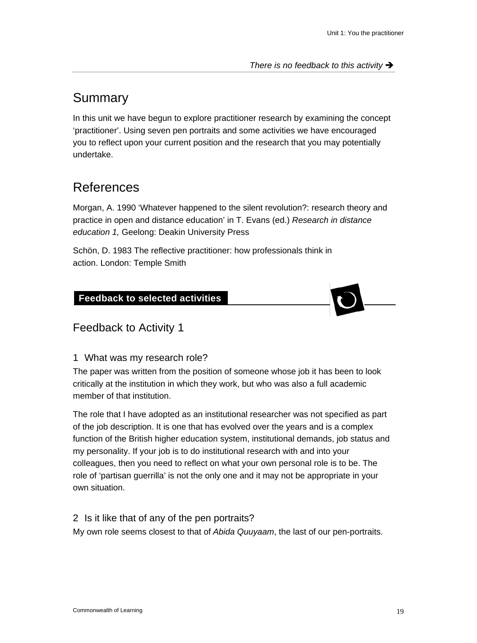## Summary

In this unit we have begun to explore practitioner research by examining the concept 'practitioner'. Using seven pen portraits and some activities we have encouraged you to reflect upon your current position and the research that you may potentially undertake.

## References

Morgan, A. 1990 'Whatever happened to the silent revolution?: research theory and practice in open and distance education' in T. Evans (ed.) *Research in distance education 1,* Geelong: Deakin University Press

Schön, D. 1983 The reflective practitioner: how professionals think in action. London: Temple Smith

#### **Feedback to selected activities**



1 What was my research role?

The paper was written from the position of someone whose job it has been to look critically at the institution in which they work, but who was also a full academic member of that institution.

The role that I have adopted as an institutional researcher was not specified as part of the job description. It is one that has evolved over the years and is a complex function of the British higher education system, institutional demands, job status and my personality. If your job is to do institutional research with and into your colleagues, then you need to reflect on what your own personal role is to be. The role of 'partisan guerrilla' is not the only one and it may not be appropriate in your own situation.

2 Is it like that of any of the pen portraits? My own role seems closest to that of *Abida Quuyaam*, the last of our pen-portraits.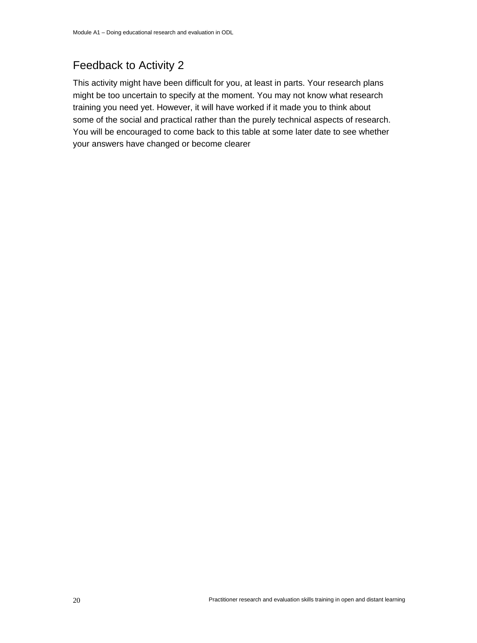## Feedback to Activity 2

This activity might have been difficult for you, at least in parts. Your research plans might be too uncertain to specify at the moment. You may not know what research training you need yet. However, it will have worked if it made you to think about some of the social and practical rather than the purely technical aspects of research. You will be encouraged to come back to this table at some later date to see whether your answers have changed or become clearer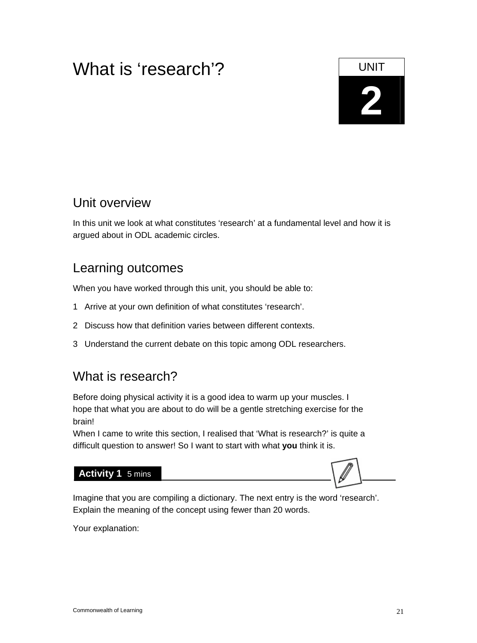## What is 'research'?

# **2**

## Unit overview

In this unit we look at what constitutes 'research' at a fundamental level and how it is argued about in ODL academic circles.

## Learning outcomes

When you have worked through this unit, you should be able to:

- 1 Arrive at your own definition of what constitutes 'research'.
- 2 Discuss how that definition varies between different contexts.
- 3 Understand the current debate on this topic among ODL researchers.

## What is research?

Before doing physical activity it is a good idea to warm up your muscles. I hope that what you are about to do will be a gentle stretching exercise for the brain!

When I came to write this section, I realised that 'What is research?' is quite a difficult question to answer! So I want to start with what **you** think it is.

#### **Activity 1** 5 mins

Imagine that you are compiling a dictionary. The next entry is the word 'research'. Explain the meaning of the concept using fewer than 20 words.

Your explanation: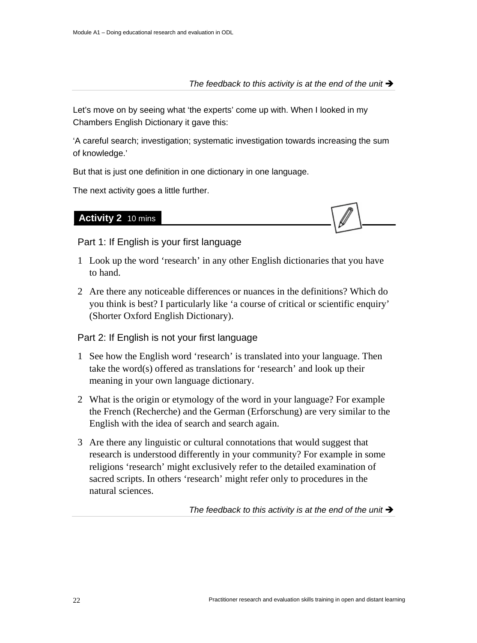#### The feedback to this activity is at the end of the unit  $\rightarrow$

Let's move on by seeing what 'the experts' come up with. When I looked in my Chambers English Dictionary it gave this:

'A careful search; investigation; systematic investigation towards increasing the sum of knowledge.'

But that is just one definition in one dictionary in one language.

The next activity goes a little further.



**Activity 2** 10 mins

Part 1: If English is your first language

- 1 Look up the word 'research' in any other English dictionaries that you have to hand.
- 2 Are there any noticeable differences or nuances in the definitions? Which do you think is best? I particularly like 'a course of critical or scientific enquiry' (Shorter Oxford English Dictionary).

Part 2: If English is not your first language

- 1 See how the English word 'research' is translated into your language. Then take the word(s) offered as translations for 'research' and look up their meaning in your own language dictionary.
- 2 What is the origin or etymology of the word in your language? For example the French (Recherche) and the German (Erforschung) are very similar to the English with the idea of search and search again.
- 3 Are there any linguistic or cultural connotations that would suggest that research is understood differently in your community? For example in some religions 'research' might exclusively refer to the detailed examination of sacred scripts. In others 'research' might refer only to procedures in the natural sciences.

The feedback to this activity is at the end of the unit  $\rightarrow$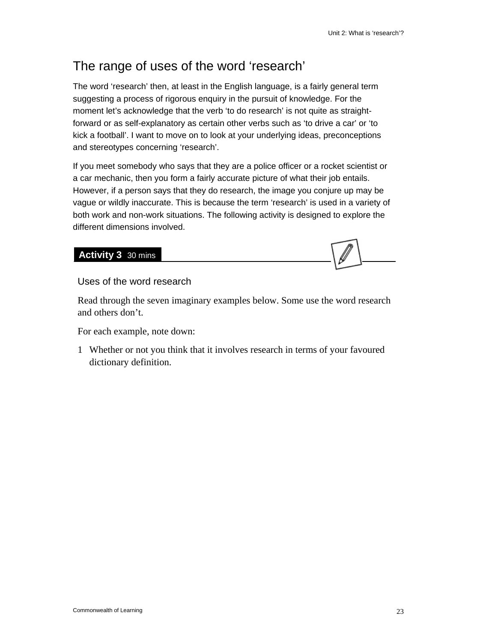## The range of uses of the word 'research'

The word 'research' then, at least in the English language, is a fairly general term suggesting a process of rigorous enquiry in the pursuit of knowledge. For the moment let's acknowledge that the verb 'to do research' is not quite as straightforward or as self-explanatory as certain other verbs such as 'to drive a car' or 'to kick a football'. I want to move on to look at your underlying ideas, preconceptions and stereotypes concerning 'research'.

If you meet somebody who says that they are a police officer or a rocket scientist or a car mechanic, then you form a fairly accurate picture of what their job entails. However, if a person says that they do research, the image you conjure up may be vague or wildly inaccurate. This is because the term 'research' is used in a variety of both work and non-work situations. The following activity is designed to explore the different dimensions involved.

#### **Activity 3** 30 mins

Uses of the word research

Read through the seven imaginary examples below. Some use the word research and others don't.

For each example, note down:

1 Whether or not you think that it involves research in terms of your favoured dictionary definition.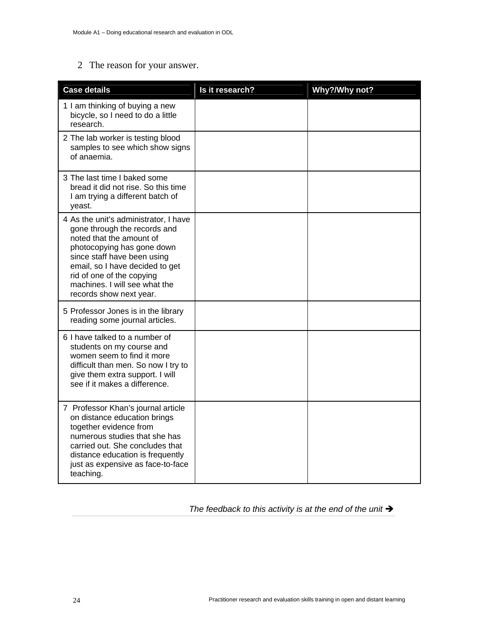#### 2 The reason for your answer.

| <b>Case details</b>                                                                                                                                                                                                                                                                        | Is it research? | Why?/Why not? |
|--------------------------------------------------------------------------------------------------------------------------------------------------------------------------------------------------------------------------------------------------------------------------------------------|-----------------|---------------|
| 1 I am thinking of buying a new<br>bicycle, so I need to do a little<br>research.                                                                                                                                                                                                          |                 |               |
| 2 The lab worker is testing blood<br>samples to see which show signs<br>of anaemia.                                                                                                                                                                                                        |                 |               |
| 3 The last time I baked some<br>bread it did not rise. So this time<br>I am trying a different batch of<br>yeast.                                                                                                                                                                          |                 |               |
| 4 As the unit's administrator, I have<br>gone through the records and<br>noted that the amount of<br>photocopying has gone down<br>since staff have been using<br>email, so I have decided to get<br>rid of one of the copying<br>machines. I will see what the<br>records show next year. |                 |               |
| 5 Professor Jones is in the library<br>reading some journal articles.                                                                                                                                                                                                                      |                 |               |
| 6 I have talked to a number of<br>students on my course and<br>women seem to find it more<br>difficult than men. So now I try to<br>give them extra support. I will<br>see if it makes a difference.                                                                                       |                 |               |
| 7 Professor Khan's journal article<br>on distance education brings<br>together evidence from<br>numerous studies that she has<br>carried out. She concludes that<br>distance education is frequently<br>just as expensive as face-to-face<br>teaching.                                     |                 |               |

The feedback to this activity is at the end of the unit  $\rightarrow$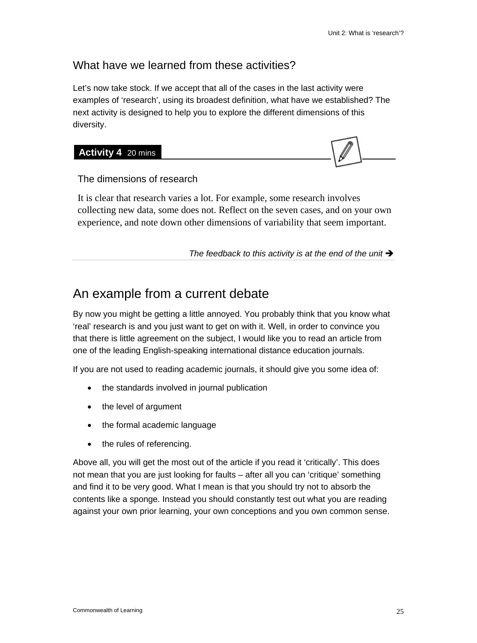#### What have we learned from these activities?

Let's now take stock. If we accept that all of the cases in the last activity were examples of 'research', using its broadest definition, what have we established? The next activity is designed to help you to explore the different dimensions of this diversity.



The dimensions of research

It is clear that research varies a lot. For example, some research involves collecting new data, some does not. Reflect on the seven cases, and on your own experience, and note down other dimensions of variability that seem important.

The feedback to this activity is at the end of the unit  $\rightarrow$ 

## An example from a current debate

By now you might be getting a little annoyed. You probably think that you know what 'real' research is and you just want to get on with it. Well, in order to convince you that there is little agreement on the subject, I would like you to read an article from one of the leading English-speaking international distance education journals.

If you are not used to reading academic journals, it should give you some idea of:

- the standards involved in journal publication
- the level of argument
- the formal academic language
- the rules of referencing.

Above all, you will get the most out of the article if you read it 'critically'. This does not mean that you are just looking for faults – after all you can 'critique' something and find it to be very good. What I mean is that you should try not to absorb the contents like a sponge. Instead you should constantly test out what you are reading against your own prior learning, your own conceptions and you own common sense.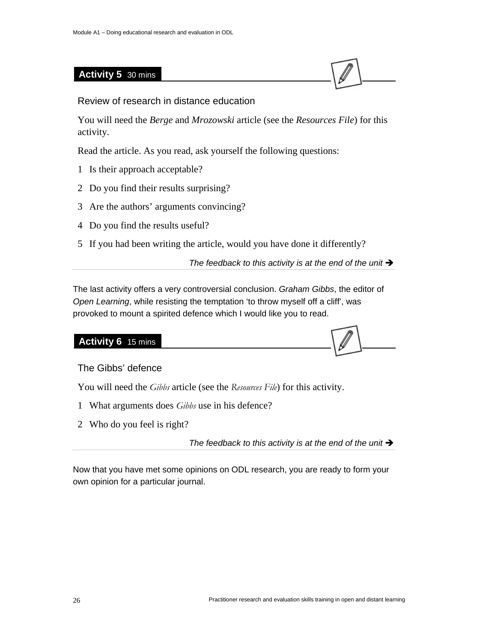#### **Activity 5** 30 mins



Review of research in distance education

You will need the *Berge* and *Mrozowski* article (see the *Resources File*) for this activity.

Read the article. As you read, ask yourself the following questions:

- 1 Is their approach acceptable?
- 2 Do you find their results surprising?
- 3 Are the authors' arguments convincing?
- 4 Do you find the results useful?
- 5 If you had been writing the article, would you have done it differently?

The feedback to this activity is at the end of the unit  $\rightarrow$ 

The last activity offers a very controversial conclusion. *Graham Gibbs*, the editor of *Open Learning*, while resisting the temptation 'to throw myself off a cliff', was provoked to mount a spirited defence which I would like you to read.

#### **Activity 6** 15 mins

The Gibbs' defence

You will need the *Gibbs* article (see the *Resources File*) for this activity.

- 1 What arguments does *Gibbs* use in his defence?
- 2 Who do you feel is right?

The feedback to this activity is at the end of the unit  $\rightarrow$ 

Now that you have met some opinions on ODL research, you are ready to form your own opinion for a particular journal.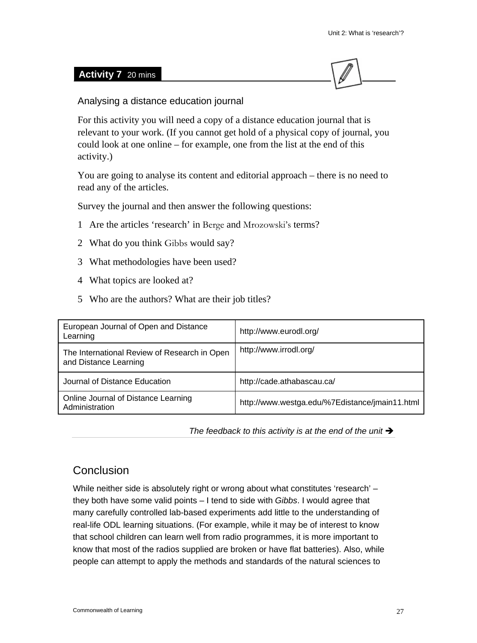#### **Activity 7** 20 mins



Analysing a distance education journal

For this activity you will need a copy of a distance education journal that is relevant to your work. (If you cannot get hold of a physical copy of journal, you could look at one online – for example, one from the list at the end of this activity.)

You are going to analyse its content and editorial approach – there is no need to read any of the articles.

Survey the journal and then answer the following questions:

- 1 Are the articles 'research' in Berge and Mrozowski's terms?
- 2 What do you think Gibbs would say?
- 3 What methodologies have been used?
- 4 What topics are looked at?
- 5 Who are the authors? What are their job titles?

| European Journal of Open and Distance<br>Learning                     | http://www.eurodl.org/                         |
|-----------------------------------------------------------------------|------------------------------------------------|
| The International Review of Research in Open<br>and Distance Learning | http://www.irrodl.org/                         |
| Journal of Distance Education                                         | http://cade.athabascau.ca/                     |
| Online Journal of Distance Learning<br>Administration                 | http://www.westga.edu/%7Edistance/jmain11.html |

The feedback to this activity is at the end of the unit  $\rightarrow$ 

#### **Conclusion**

While neither side is absolutely right or wrong about what constitutes 'research' – they both have some valid points – I tend to side with *Gibbs*. I would agree that many carefully controlled lab-based experiments add little to the understanding of real-life ODL learning situations. (For example, while it may be of interest to know that school children can learn well from radio programmes, it is more important to know that most of the radios supplied are broken or have flat batteries). Also, while people can attempt to apply the methods and standards of the natural sciences to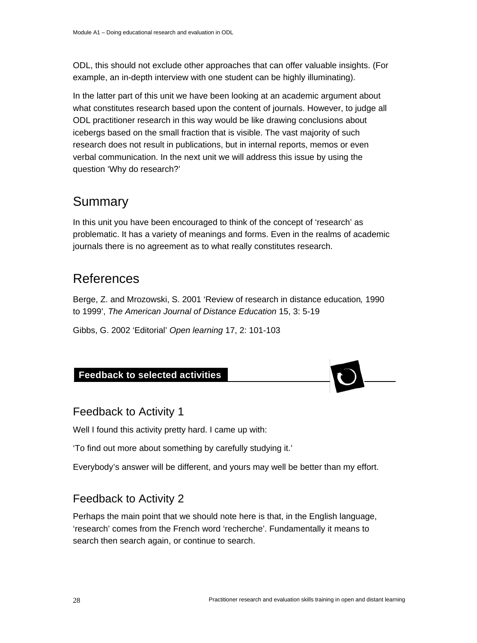ODL, this should not exclude other approaches that can offer valuable insights. (For example, an in-depth interview with one student can be highly illuminating).

In the latter part of this unit we have been looking at an academic argument about what constitutes research based upon the content of journals. However, to judge all ODL practitioner research in this way would be like drawing conclusions about icebergs based on the small fraction that is visible. The vast majority of such research does not result in publications, but in internal reports, memos or even verbal communication. In the next unit we will address this issue by using the question 'Why do research?'

## Summary

In this unit you have been encouraged to think of the concept of 'research' as problematic. It has a variety of meanings and forms. Even in the realms of academic journals there is no agreement as to what really constitutes research.

## **References**

Berge, Z. and Mrozowski, S. 2001 'Review of research in distance education*,* 1990 to 1999', *The American Journal of Distance Education* 15, 3: 5-19

Gibbs, G. 2002 'Editorial' *Open learning* 17, 2: 101-103

#### **Feedback to selected activities**

#### Feedback to Activity 1

Well I found this activity pretty hard. I came up with:

'To find out more about something by carefully studying it.'

Everybody's answer will be different, and yours may well be better than my effort.

#### Feedback to Activity 2

Perhaps the main point that we should note here is that, in the English language, 'research' comes from the French word 'recherche'. Fundamentally it means to search then search again, or continue to search.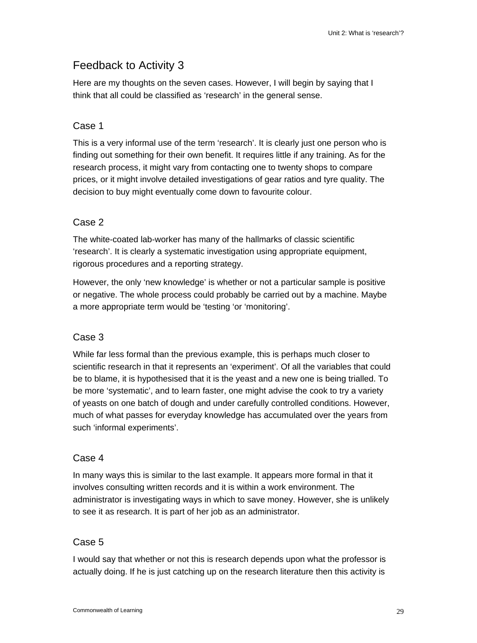#### Feedback to Activity 3

Here are my thoughts on the seven cases. However, I will begin by saying that I think that all could be classified as 'research' in the general sense.

#### Case 1

This is a very informal use of the term 'research'. It is clearly just one person who is finding out something for their own benefit. It requires little if any training. As for the research process, it might vary from contacting one to twenty shops to compare prices, or it might involve detailed investigations of gear ratios and tyre quality. The decision to buy might eventually come down to favourite colour.

#### Case 2

The white-coated lab-worker has many of the hallmarks of classic scientific 'research'. It is clearly a systematic investigation using appropriate equipment, rigorous procedures and a reporting strategy.

However, the only 'new knowledge' is whether or not a particular sample is positive or negative. The whole process could probably be carried out by a machine. Maybe a more appropriate term would be 'testing 'or 'monitoring'.

#### Case 3

While far less formal than the previous example, this is perhaps much closer to scientific research in that it represents an 'experiment'. Of all the variables that could be to blame, it is hypothesised that it is the yeast and a new one is being trialled. To be more 'systematic', and to learn faster, one might advise the cook to try a variety of yeasts on one batch of dough and under carefully controlled conditions. However, much of what passes for everyday knowledge has accumulated over the years from such 'informal experiments'.

#### Case 4

In many ways this is similar to the last example. It appears more formal in that it involves consulting written records and it is within a work environment. The administrator is investigating ways in which to save money. However, she is unlikely to see it as research. It is part of her job as an administrator.

#### Case 5

I would say that whether or not this is research depends upon what the professor is actually doing. If he is just catching up on the research literature then this activity is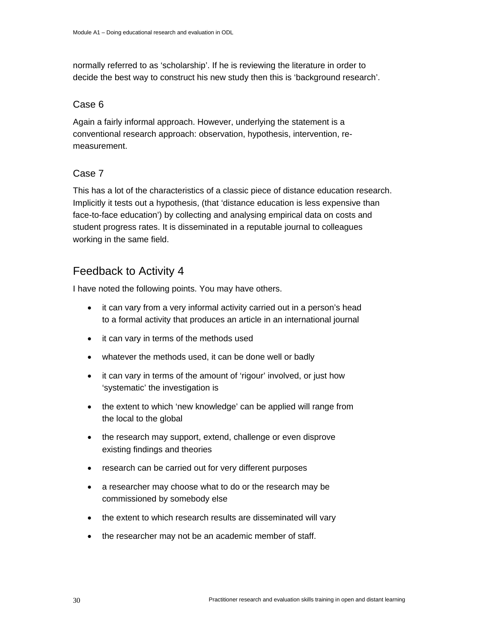normally referred to as 'scholarship'. If he is reviewing the literature in order to decide the best way to construct his new study then this is 'background research'.

#### Case 6

Again a fairly informal approach. However, underlying the statement is a conventional research approach: observation, hypothesis, intervention, remeasurement.

#### Case 7

This has a lot of the characteristics of a classic piece of distance education research. Implicitly it tests out a hypothesis, (that 'distance education is less expensive than face-to-face education') by collecting and analysing empirical data on costs and student progress rates. It is disseminated in a reputable journal to colleagues working in the same field.

#### Feedback to Activity 4

I have noted the following points. You may have others.

- it can vary from a very informal activity carried out in a person's head to a formal activity that produces an article in an international journal
- it can vary in terms of the methods used
- whatever the methods used, it can be done well or badly
- it can vary in terms of the amount of 'rigour' involved, or just how 'systematic' the investigation is
- the extent to which 'new knowledge' can be applied will range from the local to the global
- the research may support, extend, challenge or even disprove existing findings and theories
- research can be carried out for very different purposes
- a researcher may choose what to do or the research may be commissioned by somebody else
- the extent to which research results are disseminated will vary
- the researcher may not be an academic member of staff.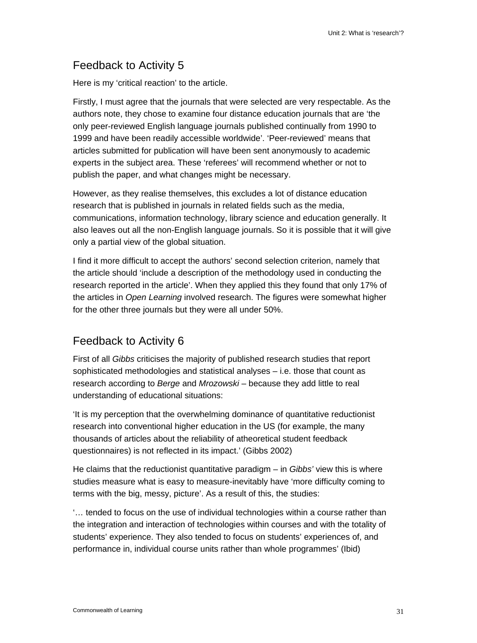#### Feedback to Activity 5

Here is my 'critical reaction' to the article.

Firstly, I must agree that the journals that were selected are very respectable. As the authors note, they chose to examine four distance education journals that are 'the only peer-reviewed English language journals published continually from 1990 to 1999 and have been readily accessible worldwide'. 'Peer-reviewed' means that articles submitted for publication will have been sent anonymously to academic experts in the subject area. These 'referees' will recommend whether or not to publish the paper, and what changes might be necessary.

However, as they realise themselves, this excludes a lot of distance education research that is published in journals in related fields such as the media, communications, information technology, library science and education generally. It also leaves out all the non-English language journals. So it is possible that it will give only a partial view of the global situation.

I find it more difficult to accept the authors' second selection criterion, namely that the article should 'include a description of the methodology used in conducting the research reported in the article'. When they applied this they found that only 17% of the articles in *Open Learning* involved research. The figures were somewhat higher for the other three journals but they were all under 50%.

### Feedback to Activity 6

First of all *Gibbs* criticises the majority of published research studies that report sophisticated methodologies and statistical analyses – i.e. those that count as research according to *Berge* and *Mrozowski* – because they add little to real understanding of educational situations:

'It is my perception that the overwhelming dominance of quantitative reductionist research into conventional higher education in the US (for example, the many thousands of articles about the reliability of atheoretical student feedback questionnaires) is not reflected in its impact.' (Gibbs 2002)

He claims that the reductionist quantitative paradigm – in *Gibbs'* view this is where studies measure what is easy to measure-inevitably have 'more difficulty coming to terms with the big, messy, picture'. As a result of this, the studies:

'… tended to focus on the use of individual technologies within a course rather than the integration and interaction of technologies within courses and with the totality of students' experience. They also tended to focus on students' experiences of, and performance in, individual course units rather than whole programmes' (Ibid)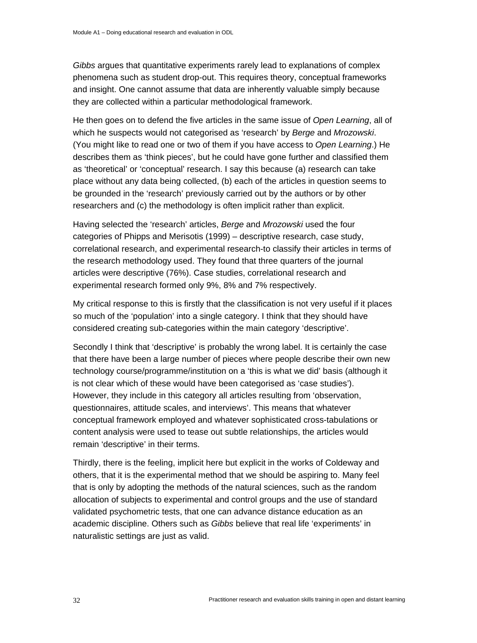*Gibbs* argues that quantitative experiments rarely lead to explanations of complex phenomena such as student drop-out. This requires theory, conceptual frameworks and insight. One cannot assume that data are inherently valuable simply because they are collected within a particular methodological framework.

He then goes on to defend the five articles in the same issue of *Open Learning*, all of which he suspects would not categorised as 'research' by *Berge* and *Mrozowski*. (You might like to read one or two of them if you have access to *Open Learning*.) He describes them as 'think pieces', but he could have gone further and classified them as 'theoretical' or 'conceptual' research. I say this because (a) research can take place without any data being collected, (b) each of the articles in question seems to be grounded in the 'research' previously carried out by the authors or by other researchers and (c) the methodology is often implicit rather than explicit.

Having selected the 'research' articles, *Berge* and *Mrozowski* used the four categories of Phipps and Merisotis (1999) – descriptive research, case study, correlational research, and experimental research-to classify their articles in terms of the research methodology used. They found that three quarters of the journal articles were descriptive (76%). Case studies, correlational research and experimental research formed only 9%, 8% and 7% respectively.

My critical response to this is firstly that the classification is not very useful if it places so much of the 'population' into a single category. I think that they should have considered creating sub-categories within the main category 'descriptive'.

Secondly I think that 'descriptive' is probably the wrong label. It is certainly the case that there have been a large number of pieces where people describe their own new technology course/programme/institution on a 'this is what we did' basis (although it is not clear which of these would have been categorised as 'case studies'). However, they include in this category all articles resulting from 'observation, questionnaires, attitude scales, and interviews'. This means that whatever conceptual framework employed and whatever sophisticated cross-tabulations or content analysis were used to tease out subtle relationships, the articles would remain 'descriptive' in their terms.

Thirdly, there is the feeling, implicit here but explicit in the works of Coldeway and others, that it is the experimental method that we should be aspiring to. Many feel that is only by adopting the methods of the natural sciences, such as the random allocation of subjects to experimental and control groups and the use of standard validated psychometric tests, that one can advance distance education as an academic discipline. Others such as *Gibbs* believe that real life 'experiments' in naturalistic settings are just as valid.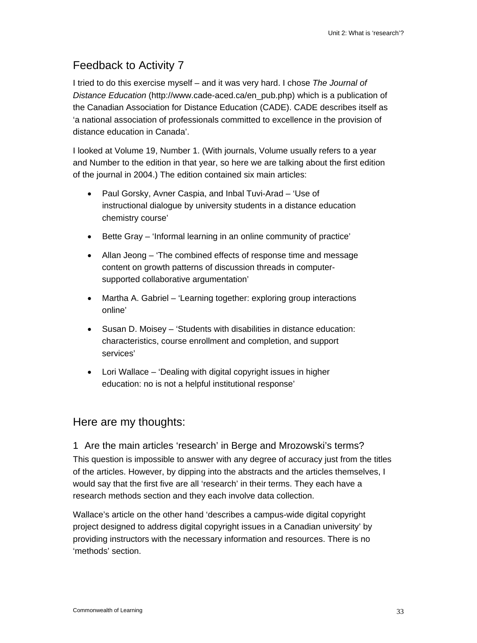### Feedback to Activity 7

I tried to do this exercise myself – and it was very hard. I chose *The Journal of Distance Education* (http://www.cade-aced.ca/en\_pub.php) which is a publication of the Canadian Association for Distance Education (CADE). CADE describes itself as 'a national association of professionals committed to excellence in the provision of distance education in Canada'.

I looked at Volume 19, Number 1. (With journals, Volume usually refers to a year and Number to the edition in that year, so here we are talking about the first edition of the journal in 2004.) The edition contained six main articles:

- Paul Gorsky, Avner Caspia, and Inbal Tuvi-Arad 'Use of instructional dialogue by university students in a distance education chemistry course'
- Bette Gray 'Informal learning in an online community of practice'
- Allan Jeong 'The combined effects of response time and message content on growth patterns of discussion threads in computersupported collaborative argumentation'
- Martha A. Gabriel 'Learning together: exploring group interactions online'
- Susan D. Moisey 'Students with disabilities in distance education: characteristics, course enrollment and completion, and support services'
- Lori Wallace 'Dealing with digital copyright issues in higher education: no is not a helpful institutional response'

### Here are my thoughts:

1 Are the main articles 'research' in Berge and Mrozowski's terms? This question is impossible to answer with any degree of accuracy just from the titles of the articles. However, by dipping into the abstracts and the articles themselves, I would say that the first five are all 'research' in their terms. They each have a research methods section and they each involve data collection.

Wallace's article on the other hand 'describes a campus-wide digital copyright project designed to address digital copyright issues in a Canadian university' by providing instructors with the necessary information and resources. There is no 'methods' section.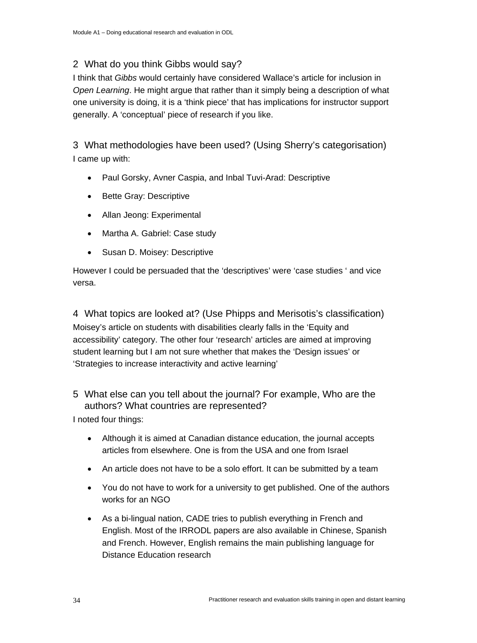### 2 What do you think Gibbs would say?

I think that *Gibbs* would certainly have considered Wallace's article for inclusion in *Open Learning*. He might argue that rather than it simply being a description of what one university is doing, it is a 'think piece' that has implications for instructor support generally. A 'conceptual' piece of research if you like.

3 What methodologies have been used? (Using Sherry's categorisation) I came up with:

- Paul Gorsky, Avner Caspia, and Inbal Tuvi-Arad: Descriptive
- Bette Gray: Descriptive
- Allan Jeong: Experimental
- Martha A. Gabriel: Case study
- Susan D. Moisey: Descriptive

However I could be persuaded that the 'descriptives' were 'case studies ' and vice versa.

4 What topics are looked at? (Use Phipps and Merisotis's classification) Moisey's article on students with disabilities clearly falls in the 'Equity and accessibility' category. The other four 'research' articles are aimed at improving student learning but I am not sure whether that makes the 'Design issues' or 'Strategies to increase interactivity and active learning'

### 5 What else can you tell about the journal? For example, Who are the authors? What countries are represented?

I noted four things:

- Although it is aimed at Canadian distance education, the journal accepts articles from elsewhere. One is from the USA and one from Israel
- An article does not have to be a solo effort. It can be submitted by a team
- You do not have to work for a university to get published. One of the authors works for an NGO
- As a bi-lingual nation, CADE tries to publish everything in French and English. Most of the IRRODL papers are also available in Chinese, Spanish and French. However, English remains the main publishing language for Distance Education research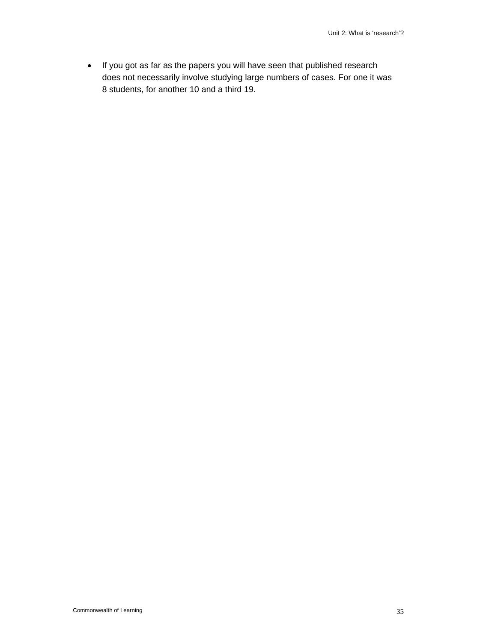• If you got as far as the papers you will have seen that published research does not necessarily involve studying large numbers of cases. For one it was 8 students, for another 10 and a third 19.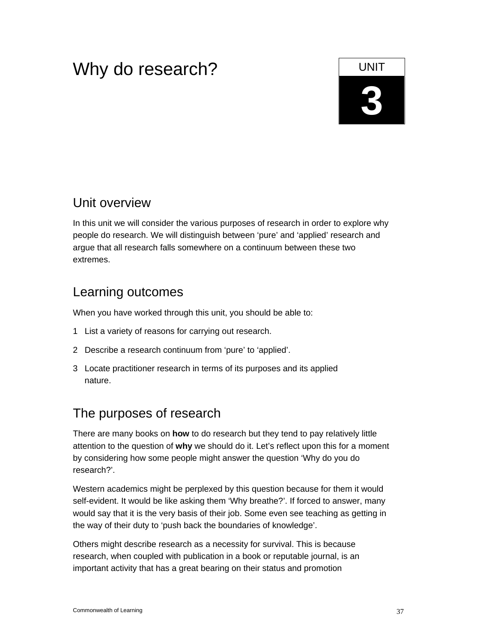# Why do research?

# **3**

# Unit overview

In this unit we will consider the various purposes of research in order to explore why people do research. We will distinguish between 'pure' and 'applied' research and argue that all research falls somewhere on a continuum between these two extremes.

# Learning outcomes

When you have worked through this unit, you should be able to:

- 1 List a variety of reasons for carrying out research.
- 2 Describe a research continuum from 'pure' to 'applied'.
- 3 Locate practitioner research in terms of its purposes and its applied nature.

# The purposes of research

There are many books on **how** to do research but they tend to pay relatively little attention to the question of **why** we should do it. Let's reflect upon this for a moment by considering how some people might answer the question 'Why do you do research?'.

Western academics might be perplexed by this question because for them it would self-evident. It would be like asking them 'Why breathe?'. If forced to answer, many would say that it is the very basis of their job. Some even see teaching as getting in the way of their duty to 'push back the boundaries of knowledge'.

Others might describe research as a necessity for survival. This is because research, when coupled with publication in a book or reputable journal, is an important activity that has a great bearing on their status and promotion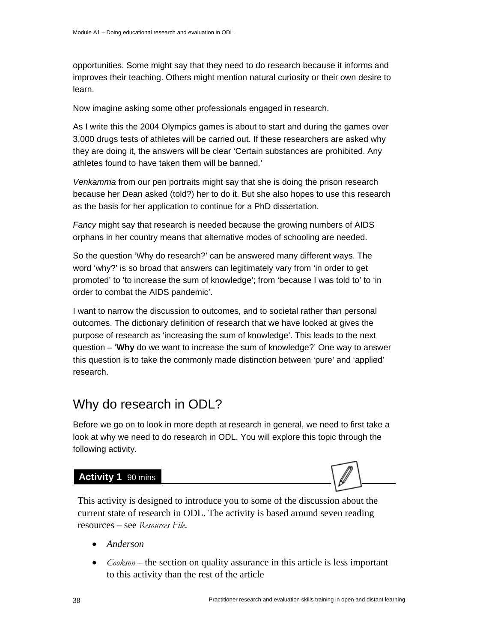opportunities. Some might say that they need to do research because it informs and improves their teaching. Others might mention natural curiosity or their own desire to learn.

Now imagine asking some other professionals engaged in research.

As I write this the 2004 Olympics games is about to start and during the games over 3,000 drugs tests of athletes will be carried out. If these researchers are asked why they are doing it, the answers will be clear 'Certain substances are prohibited. Any athletes found to have taken them will be banned.'

*Venkamma* from our pen portraits might say that she is doing the prison research because her Dean asked (told?) her to do it. But she also hopes to use this research as the basis for her application to continue for a PhD dissertation.

*Fancy* might say that research is needed because the growing numbers of AIDS orphans in her country means that alternative modes of schooling are needed.

So the question 'Why do research?' can be answered many different ways. The word 'why?' is so broad that answers can legitimately vary from 'in order to get promoted' to 'to increase the sum of knowledge'; from 'because I was told to' to 'in order to combat the AIDS pandemic'.

I want to narrow the discussion to outcomes, and to societal rather than personal outcomes. The dictionary definition of research that we have looked at gives the purpose of research as 'increasing the sum of knowledge'. This leads to the next question – '**Why** do we want to increase the sum of knowledge?' One way to answer this question is to take the commonly made distinction between 'pure' and 'applied' research.

# Why do research in ODL?

Before we go on to look in more depth at research in general, we need to first take a look at why we need to do research in ODL. You will explore this topic through the following activity.

### Activity 1 90 mins



This activity is designed to introduce you to some of the discussion about the current state of research in ODL. The activity is based around seven reading resources – see *Resources File*.

- *Anderson*
- *Cookson* the section on quality assurance in this article is less important to this activity than the rest of the article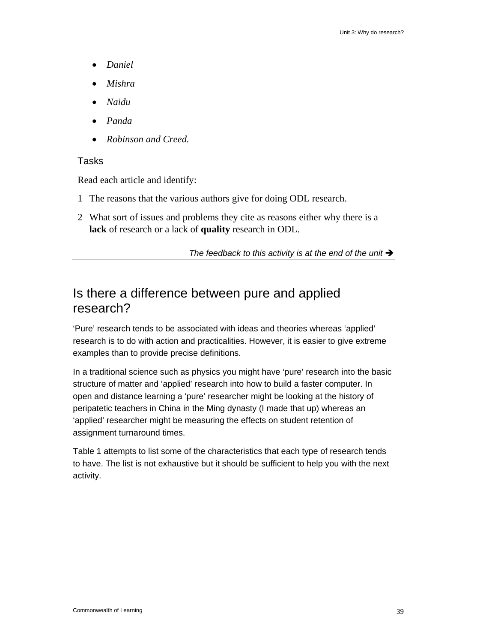- *Daniel*
- *Mishra*
- *Naidu*
- *Panda*
- *Robinson and Creed.*

### Tasks

Read each article and identify:

- 1 The reasons that the various authors give for doing ODL research.
- 2 What sort of issues and problems they cite as reasons either why there is a **lack** of research or a lack of **quality** research in ODL.

The feedback to this activity is at the end of the unit  $\rightarrow$ 

# Is there a difference between pure and applied research?

'Pure' research tends to be associated with ideas and theories whereas 'applied' research is to do with action and practicalities. However, it is easier to give extreme examples than to provide precise definitions.

In a traditional science such as physics you might have 'pure' research into the basic structure of matter and 'applied' research into how to build a faster computer. In open and distance learning a 'pure' researcher might be looking at the history of peripatetic teachers in China in the Ming dynasty (I made that up) whereas an 'applied' researcher might be measuring the effects on student retention of assignment turnaround times.

Table 1 attempts to list some of the characteristics that each type of research tends to have. The list is not exhaustive but it should be sufficient to help you with the next activity.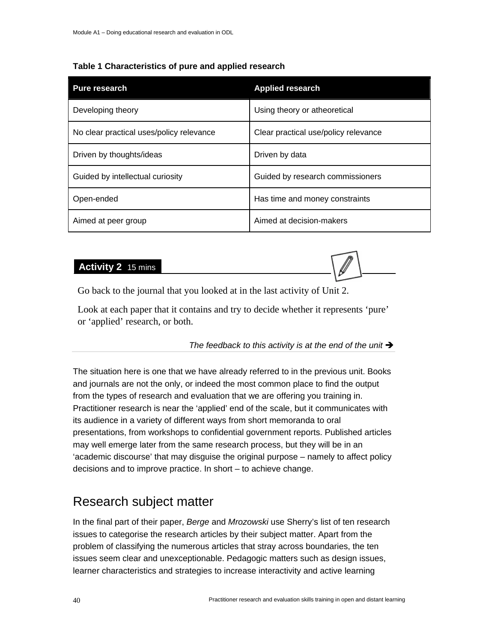### **Table 1 Characteristics of pure and applied research**

| <b>Pure research</b>                     | <b>Applied research</b>              |
|------------------------------------------|--------------------------------------|
| Developing theory                        | Using theory or atheoretical         |
| No clear practical uses/policy relevance | Clear practical use/policy relevance |
| Driven by thoughts/ideas                 | Driven by data                       |
| Guided by intellectual curiosity         | Guided by research commissioners     |
| Open-ended                               | Has time and money constraints       |
| Aimed at peer group                      | Aimed at decision-makers             |

#### **Activity 2** 15 mins



Go back to the journal that you looked at in the last activity of Unit 2.

Look at each paper that it contains and try to decide whether it represents 'pure' or 'applied' research, or both.

The feedback to this activity is at the end of the unit  $\rightarrow$ 

The situation here is one that we have already referred to in the previous unit. Books and journals are not the only, or indeed the most common place to find the output from the types of research and evaluation that we are offering you training in. Practitioner research is near the 'applied' end of the scale, but it communicates with its audience in a variety of different ways from short memoranda to oral presentations, from workshops to confidential government reports. Published articles may well emerge later from the same research process, but they will be in an 'academic discourse' that may disguise the original purpose – namely to affect policy decisions and to improve practice. In short – to achieve change.

# Research subject matter

In the final part of their paper, *Berge* and *Mrozowski* use Sherry's list of ten research issues to categorise the research articles by their subject matter. Apart from the problem of classifying the numerous articles that stray across boundaries, the ten issues seem clear and unexceptionable. Pedagogic matters such as design issues, learner characteristics and strategies to increase interactivity and active learning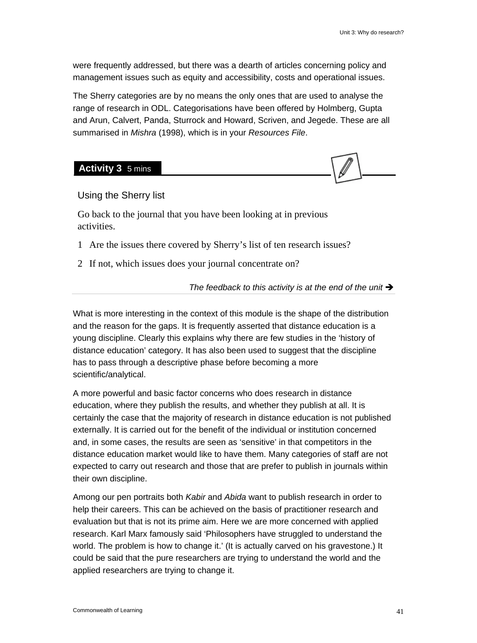were frequently addressed, but there was a dearth of articles concerning policy and management issues such as equity and accessibility, costs and operational issues.

The Sherry categories are by no means the only ones that are used to analyse the range of research in ODL. Categorisations have been offered by Holmberg, Gupta and Arun, Calvert, Panda, Sturrock and Howard, Scriven, and Jegede. These are all summarised in *Mishra* (1998), which is in your *Resources File*.

**Activity 3** 5 mins



Using the Sherry list

Go back to the journal that you have been looking at in previous activities.

- 1 Are the issues there covered by Sherry's list of ten research issues?
- 2 If not, which issues does your journal concentrate on?

The feedback to this activity is at the end of the unit  $\rightarrow$ 

What is more interesting in the context of this module is the shape of the distribution and the reason for the gaps. It is frequently asserted that distance education is a young discipline. Clearly this explains why there are few studies in the 'history of distance education' category. It has also been used to suggest that the discipline has to pass through a descriptive phase before becoming a more scientific/analytical.

A more powerful and basic factor concerns who does research in distance education, where they publish the results, and whether they publish at all. It is certainly the case that the majority of research in distance education is not published externally. It is carried out for the benefit of the individual or institution concerned and, in some cases, the results are seen as 'sensitive' in that competitors in the distance education market would like to have them. Many categories of staff are not expected to carry out research and those that are prefer to publish in journals within their own discipline.

Among our pen portraits both *Kabir* and *Abida* want to publish research in order to help their careers. This can be achieved on the basis of practitioner research and evaluation but that is not its prime aim. Here we are more concerned with applied research. Karl Marx famously said 'Philosophers have struggled to understand the world. The problem is how to change it.' (It is actually carved on his gravestone.) It could be said that the pure researchers are trying to understand the world and the applied researchers are trying to change it.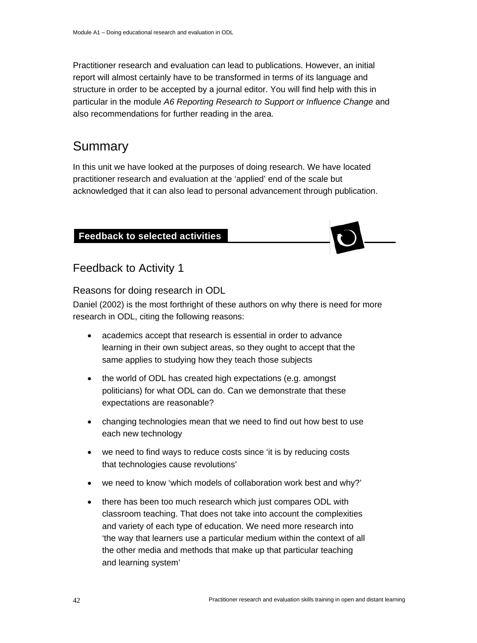Practitioner research and evaluation can lead to publications. However, an initial report will almost certainly have to be transformed in terms of its language and structure in order to be accepted by a journal editor. You will find help with this in particular in the module *A6 Reporting Research to Support or Influence Change* and also recommendations for further reading in the area.

# Summary

In this unit we have looked at the purposes of doing research. We have located practitioner research and evaluation at the 'applied' end of the scale but acknowledged that it can also lead to personal advancement through publication.

### **Feedback to selected activities**



### Feedback to Activity 1

Reasons for doing research in ODL

Daniel (2002) is the most forthright of these authors on why there is need for more research in ODL, citing the following reasons:

- academics accept that research is essential in order to advance learning in their own subject areas, so they ought to accept that the same applies to studying how they teach those subjects
- the world of ODL has created high expectations (e.g. amongst politicians) for what ODL can do. Can we demonstrate that these expectations are reasonable?
- changing technologies mean that we need to find out how best to use each new technology
- we need to find ways to reduce costs since 'it is by reducing costs that technologies cause revolutions'
- we need to know 'which models of collaboration work best and why?'
- there has been too much research which just compares ODL with classroom teaching. That does not take into account the complexities and variety of each type of education. We need more research into 'the way that learners use a particular medium within the context of all the other media and methods that make up that particular teaching and learning system'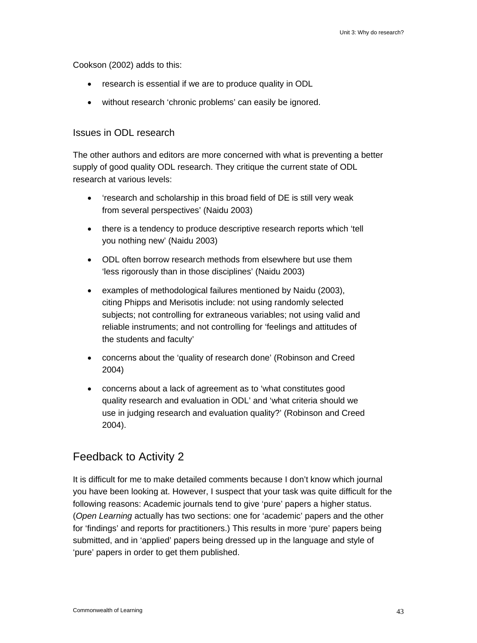Cookson (2002) adds to this:

- research is essential if we are to produce quality in ODL
- without research 'chronic problems' can easily be ignored.

#### Issues in ODL research

The other authors and editors are more concerned with what is preventing a better supply of good quality ODL research. They critique the current state of ODL research at various levels:

- 'research and scholarship in this broad field of DE is still very weak from several perspectives' (Naidu 2003)
- there is a tendency to produce descriptive research reports which 'tell you nothing new' (Naidu 2003)
- ODL often borrow research methods from elsewhere but use them 'less rigorously than in those disciplines' (Naidu 2003)
- examples of methodological failures mentioned by Naidu (2003), citing Phipps and Merisotis include: not using randomly selected subjects; not controlling for extraneous variables; not using valid and reliable instruments; and not controlling for 'feelings and attitudes of the students and faculty'
- concerns about the 'quality of research done' (Robinson and Creed 2004)
- concerns about a lack of agreement as to 'what constitutes good quality research and evaluation in ODL' and 'what criteria should we use in judging research and evaluation quality?' (Robinson and Creed 2004).

### Feedback to Activity 2

It is difficult for me to make detailed comments because I don't know which journal you have been looking at. However, I suspect that your task was quite difficult for the following reasons: Academic journals tend to give 'pure' papers a higher status. (*Open Learning* actually has two sections: one for 'academic' papers and the other for 'findings' and reports for practitioners.) This results in more 'pure' papers being submitted, and in 'applied' papers being dressed up in the language and style of 'pure' papers in order to get them published.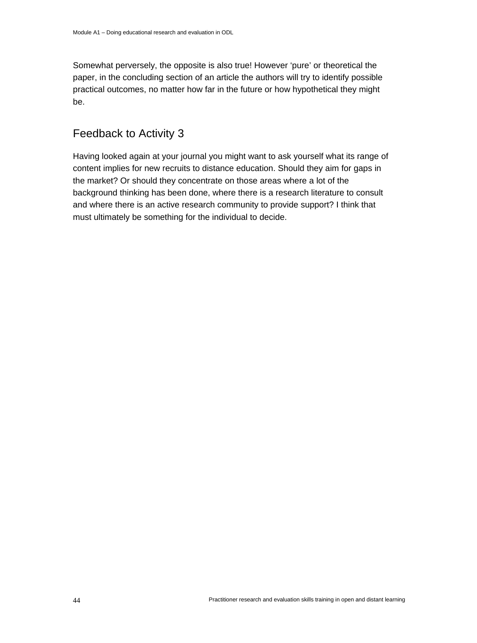Somewhat perversely, the opposite is also true! However 'pure' or theoretical the paper, in the concluding section of an article the authors will try to identify possible practical outcomes, no matter how far in the future or how hypothetical they might be.

### Feedback to Activity 3

Having looked again at your journal you might want to ask yourself what its range of content implies for new recruits to distance education. Should they aim for gaps in the market? Or should they concentrate on those areas where a lot of the background thinking has been done, where there is a research literature to consult and where there is an active research community to provide support? I think that must ultimately be something for the individual to decide.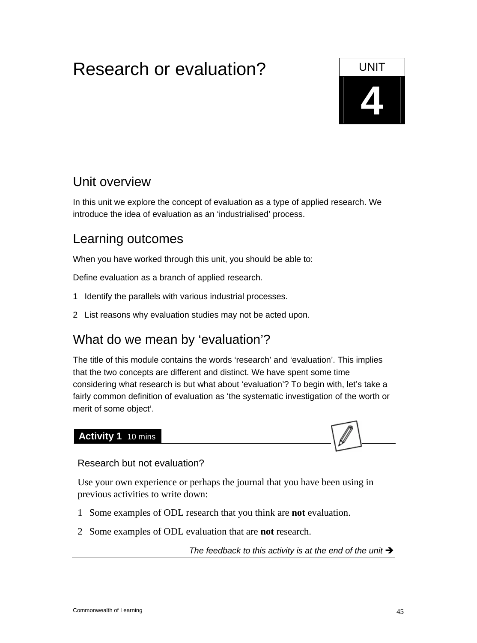# Research or evaluation? The UNIT



# Unit overview

In this unit we explore the concept of evaluation as a type of applied research. We introduce the idea of evaluation as an 'industrialised' process.

# Learning outcomes

When you have worked through this unit, you should be able to:

Define evaluation as a branch of applied research.

- 1 Identify the parallels with various industrial processes.
- 2 List reasons why evaluation studies may not be acted upon.

# What do we mean by 'evaluation'?

The title of this module contains the words 'research' and 'evaluation'. This implies that the two concepts are different and distinct. We have spent some time considering what research is but what about 'evaluation'? To begin with, let's take a fairly common definition of evaluation as 'the systematic investigation of the worth or merit of some object'.

### **Activity 1** 10 mins



### Research but not evaluation?

Use your own experience or perhaps the journal that you have been using in previous activities to write down:

- 1 Some examples of ODL research that you think are **not** evaluation.
- 2 Some examples of ODL evaluation that are **not** research.

The feedback to this activity is at the end of the unit  $\rightarrow$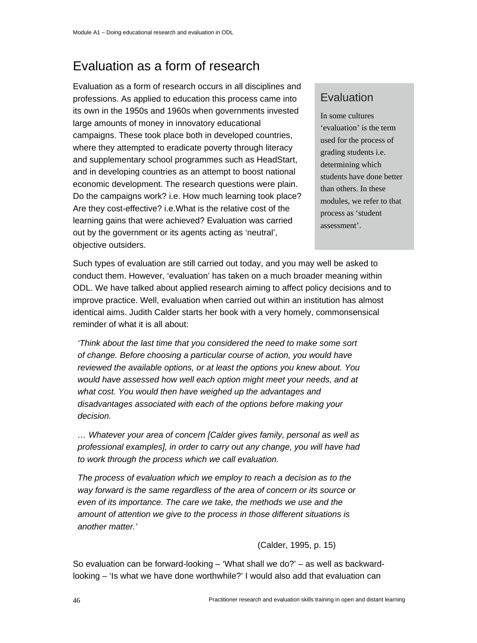# Evaluation as a form of research

Evaluation as a form of research occurs in all disciplines and professions. As applied to education this process came into its own in the 1950s and 1960s when governments invested large amounts of money in innovatory educational campaigns. These took place both in developed countries, where they attempted to eradicate poverty through literacy and supplementary school programmes such as HeadStart, and in developing countries as an attempt to boost national economic development. The research questions were plain. Do the campaigns work? i.e. How much learning took place? Are they cost-effective? i.e.What is the relative cost of the learning gains that were achieved? Evaluation was carried out by the government or its agents acting as 'neutral', objective outsiders.

### Evaluation

In some cultures 'evaluation' is the term used for the process of grading students i.e. determining which students have done better than others. In these modules, we refer to that process as 'student assessment'.

Such types of evaluation are still carried out today, and you may well be asked to conduct them. However, 'evaluation' has taken on a much broader meaning within ODL. We have talked about applied research aiming to affect policy decisions and to improve practice. Well, evaluation when carried out within an institution has almost identical aims. Judith Calder starts her book with a very homely, commonsensical reminder of what it is all about:

*'Think about the last time that you considered the need to make some sort of change. Before choosing a particular course of action, you would have reviewed the available options, or at least the options you knew about. You would have assessed how well each option might meet your needs, and at what cost. You would then have weighed up the advantages and disadvantages associated with each of the options before making your decision.* 

*… Whatever your area of concern [Calder gives family, personal as well as professional examples], in order to carry out any change, you will have had to work through the process which we call evaluation.* 

*The process of evaluation which we employ to reach a decision as to the way forward is the same regardless of the area of concern or its source or even of its importance. The care we take, the methods we use and the amount of attention we give to the process in those different situations is another matter.'* 

(Calder, 1995, p. 15)

So evaluation can be forward-looking – 'What shall we do?' – as well as backwardlooking – 'Is what we have done worthwhile?' I would also add that evaluation can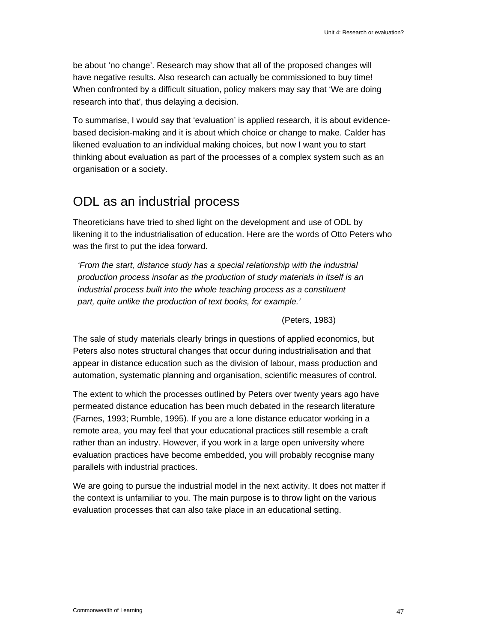be about 'no change'. Research may show that all of the proposed changes will have negative results. Also research can actually be commissioned to buy time! When confronted by a difficult situation, policy makers may say that 'We are doing research into that', thus delaying a decision.

To summarise, I would say that 'evaluation' is applied research, it is about evidencebased decision-making and it is about which choice or change to make. Calder has likened evaluation to an individual making choices, but now I want you to start thinking about evaluation as part of the processes of a complex system such as an organisation or a society.

# ODL as an industrial process

Theoreticians have tried to shed light on the development and use of ODL by likening it to the industrialisation of education. Here are the words of Otto Peters who was the first to put the idea forward.

*'From the start, distance study has a special relationship with the industrial production process insofar as the production of study materials in itself is an industrial process built into the whole teaching process as a constituent part, quite unlike the production of text books, for example.'* 

(Peters, 1983)

The sale of study materials clearly brings in questions of applied economics, but Peters also notes structural changes that occur during industrialisation and that appear in distance education such as the division of labour, mass production and automation, systematic planning and organisation, scientific measures of control.

The extent to which the processes outlined by Peters over twenty years ago have permeated distance education has been much debated in the research literature (Farnes, 1993; Rumble, 1995). If you are a lone distance educator working in a remote area, you may feel that your educational practices still resemble a craft rather than an industry. However, if you work in a large open university where evaluation practices have become embedded, you will probably recognise many parallels with industrial practices.

We are going to pursue the industrial model in the next activity. It does not matter if the context is unfamiliar to you. The main purpose is to throw light on the various evaluation processes that can also take place in an educational setting.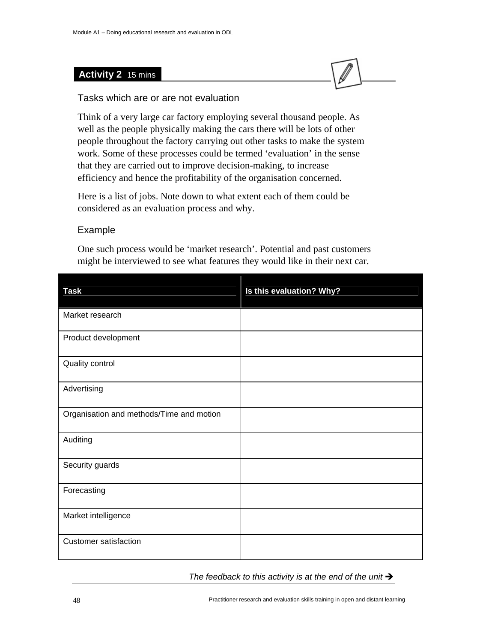### **Activity 2** 15 mins



### Tasks which are or are not evaluation

Think of a very large car factory employing several thousand people. As well as the people physically making the cars there will be lots of other people throughout the factory carrying out other tasks to make the system work. Some of these processes could be termed 'evaluation' in the sense that they are carried out to improve decision-making, to increase efficiency and hence the profitability of the organisation concerned.

Here is a list of jobs. Note down to what extent each of them could be considered as an evaluation process and why.

### Example

One such process would be 'market research'. Potential and past customers might be interviewed to see what features they would like in their next car.

| <b>Task</b>                              | Is this evaluation? Why? |
|------------------------------------------|--------------------------|
| Market research                          |                          |
| Product development                      |                          |
| Quality control                          |                          |
| Advertising                              |                          |
| Organisation and methods/Time and motion |                          |
| Auditing                                 |                          |
| Security guards                          |                          |
| Forecasting                              |                          |
| Market intelligence                      |                          |
| <b>Customer satisfaction</b>             |                          |

The feedback to this activity is at the end of the unit  $\rightarrow$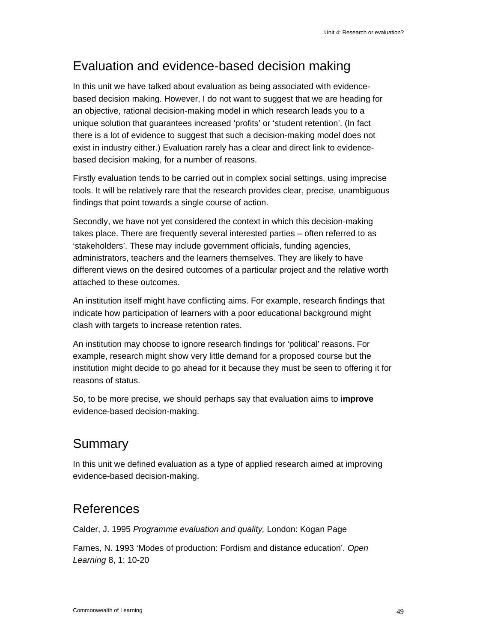# Evaluation and evidence-based decision making

In this unit we have talked about evaluation as being associated with evidencebased decision making. However, I do not want to suggest that we are heading for an objective, rational decision-making model in which research leads you to a unique solution that guarantees increased 'profits' or 'student retention'. (In fact there is a lot of evidence to suggest that such a decision-making model does not exist in industry either.) Evaluation rarely has a clear and direct link to evidencebased decision making, for a number of reasons.

Firstly evaluation tends to be carried out in complex social settings, using imprecise tools. It will be relatively rare that the research provides clear, precise, unambiguous findings that point towards a single course of action.

Secondly, we have not yet considered the context in which this decision-making takes place. There are frequently several interested parties – often referred to as 'stakeholders'. These may include government officials, funding agencies, administrators, teachers and the learners themselves. They are likely to have different views on the desired outcomes of a particular project and the relative worth attached to these outcomes.

An institution itself might have conflicting aims. For example, research findings that indicate how participation of learners with a poor educational background might clash with targets to increase retention rates.

An institution may choose to ignore research findings for 'political' reasons. For example, research might show very little demand for a proposed course but the institution might decide to go ahead for it because they must be seen to offering it for reasons of status.

So, to be more precise, we should perhaps say that evaluation aims to **improve**  evidence-based decision-making.

# Summary

In this unit we defined evaluation as a type of applied research aimed at improving evidence-based decision-making.

# References

Calder, J. 1995 *Programme evaluation and quality,* London: Kogan Page

Farnes, N. 1993 'Modes of production: Fordism and distance education'. *Open Learning* 8, 1: 10-20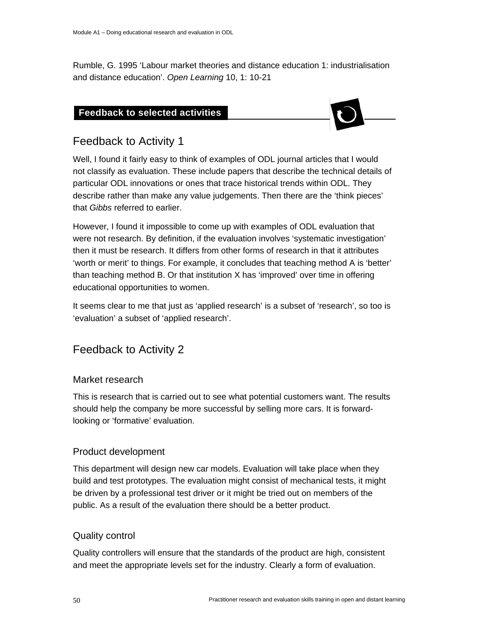Rumble, G. 1995 'Labour market theories and distance education 1: industrialisation and distance education'. *Open Learning* 10, 1: 10-21

### **Feedback to selected activities**



### Feedback to Activity 1

**Feedback to selected activities** 

Well, I found it fairly easy to think of examples of ODL journal articles that I would not classify as evaluation. These include papers that describe the technical details of particular ODL innovations or ones that trace historical trends within ODL. They describe rather than make any value judgements. Then there are the 'think pieces' that *Gibbs* referred to earlier.

However, I found it impossible to come up with examples of ODL evaluation that were not research. By definition, if the evaluation involves 'systematic investigation' then it must be research. It differs from other forms of research in that it attributes 'worth or merit' to things. For example, it concludes that teaching method A is 'better' than teaching method B. Or that institution X has 'improved' over time in offering educational opportunities to women.

It seems clear to me that just as 'applied research' is a subset of 'research', so too is 'evaluation' a subset of 'applied research'.

### Feedback to Activity 2

### Market research

This is research that is carried out to see what potential customers want. The results should help the company be more successful by selling more cars. It is forwardlooking or 'formative' evaluation.

### Product development

This department will design new car models. Evaluation will take place when they build and test prototypes. The evaluation might consist of mechanical tests, it might be driven by a professional test driver or it might be tried out on members of the public. As a result of the evaluation there should be a better product.

### Quality control

Quality controllers will ensure that the standards of the product are high, consistent and meet the appropriate levels set for the industry. Clearly a form of evaluation.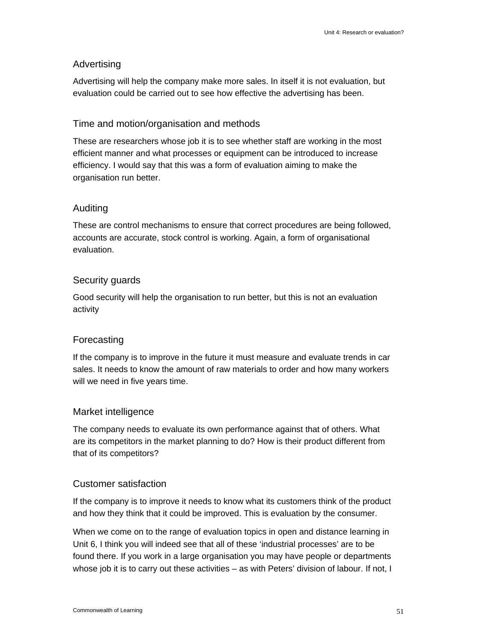### Advertising

Advertising will help the company make more sales. In itself it is not evaluation, but evaluation could be carried out to see how effective the advertising has been.

### Time and motion/organisation and methods

These are researchers whose job it is to see whether staff are working in the most efficient manner and what processes or equipment can be introduced to increase efficiency. I would say that this was a form of evaluation aiming to make the organisation run better.

### Auditing

These are control mechanisms to ensure that correct procedures are being followed, accounts are accurate, stock control is working. Again, a form of organisational evaluation.

### Security guards

Good security will help the organisation to run better, but this is not an evaluation activity

### Forecasting

If the company is to improve in the future it must measure and evaluate trends in car sales. It needs to know the amount of raw materials to order and how many workers will we need in five years time.

### Market intelligence

The company needs to evaluate its own performance against that of others. What are its competitors in the market planning to do? How is their product different from that of its competitors?

### Customer satisfaction

If the company is to improve it needs to know what its customers think of the product and how they think that it could be improved. This is evaluation by the consumer.

When we come on to the range of evaluation topics in open and distance learning in Unit 6, I think you will indeed see that all of these 'industrial processes' are to be found there. If you work in a large organisation you may have people or departments whose job it is to carry out these activities – as with Peters' division of labour. If not, I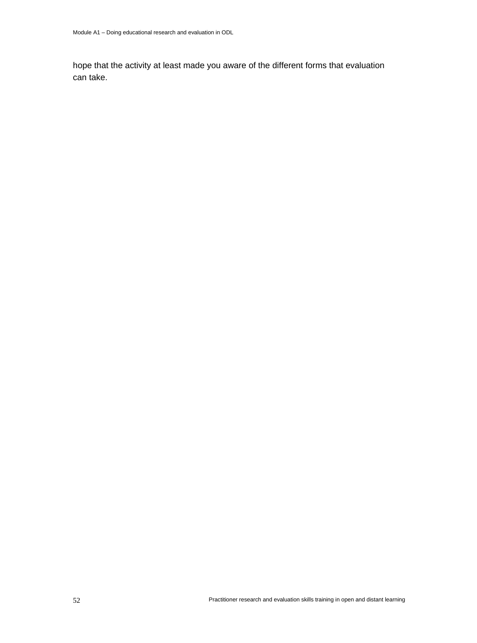hope that the activity at least made you aware of the different forms that evaluation can take.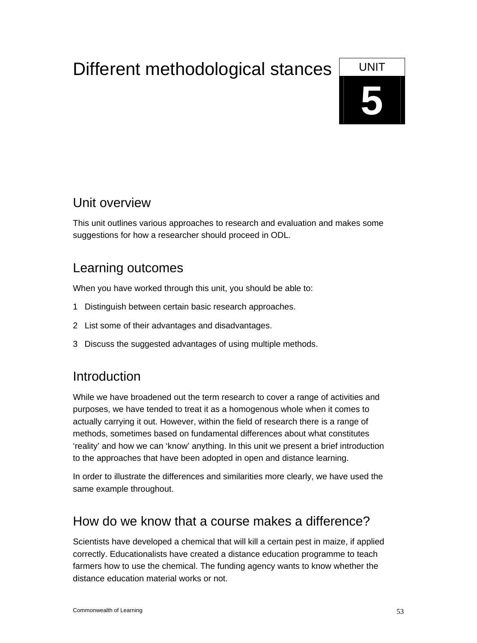# Different methodological stances UNIT



# Unit overview

This unit outlines various approaches to research and evaluation and makes some suggestions for how a researcher should proceed in ODL.

# Learning outcomes

When you have worked through this unit, you should be able to:

- 1 Distinguish between certain basic research approaches.
- 2 List some of their advantages and disadvantages.
- 3 Discuss the suggested advantages of using multiple methods.

# **Introduction**

While we have broadened out the term research to cover a range of activities and purposes, we have tended to treat it as a homogenous whole when it comes to actually carrying it out. However, within the field of research there is a range of methods, sometimes based on fundamental differences about what constitutes 'reality' and how we can 'know' anything. In this unit we present a brief introduction to the approaches that have been adopted in open and distance learning.

In order to illustrate the differences and similarities more clearly, we have used the same example throughout.

# How do we know that a course makes a difference?

Scientists have developed a chemical that will kill a certain pest in maize, if applied correctly. Educationalists have created a distance education programme to teach farmers how to use the chemical. The funding agency wants to know whether the distance education material works or not.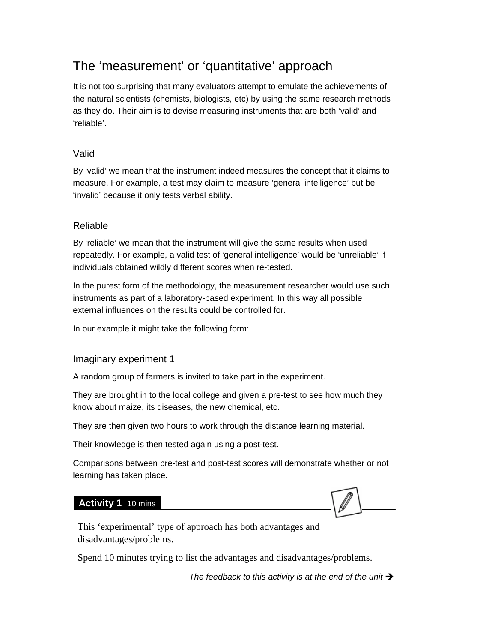# The 'measurement' or 'quantitative' approach

It is not too surprising that many evaluators attempt to emulate the achievements of the natural scientists (chemists, biologists, etc) by using the same research methods as they do. Their aim is to devise measuring instruments that are both 'valid' and 'reliable'.

### Valid

By 'valid' we mean that the instrument indeed measures the concept that it claims to measure. For example, a test may claim to measure 'general intelligence' but be 'invalid' because it only tests verbal ability.

### Reliable

By 'reliable' we mean that the instrument will give the same results when used repeatedly. For example, a valid test of 'general intelligence' would be 'unreliable' if individuals obtained wildly different scores when re-tested.

In the purest form of the methodology, the measurement researcher would use such instruments as part of a laboratory-based experiment. In this way all possible external influences on the results could be controlled for.

In our example it might take the following form:

### Imaginary experiment 1

A random group of farmers is invited to take part in the experiment.

They are brought in to the local college and given a pre-test to see how much they know about maize, its diseases, the new chemical, etc.

They are then given two hours to work through the distance learning material.

Their knowledge is then tested again using a post-test.

Comparisons between pre-test and post-test scores will demonstrate whether or not learning has taken place.

### **Activity 1** 10 mins



This 'experimental' type of approach has both advantages and disadvantages/problems.

Spend 10 minutes trying to list the advantages and disadvantages/problems.

The feedback to this activity is at the end of the unit  $\rightarrow$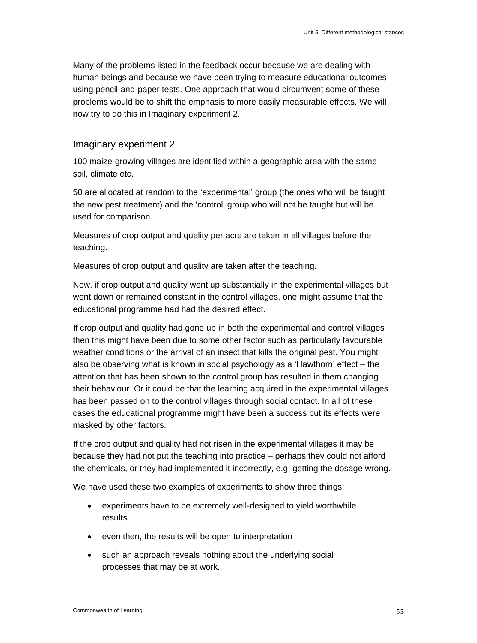Many of the problems listed in the feedback occur because we are dealing with human beings and because we have been trying to measure educational outcomes using pencil-and-paper tests. One approach that would circumvent some of these problems would be to shift the emphasis to more easily measurable effects. We will now try to do this in Imaginary experiment 2.

#### Imaginary experiment 2

100 maize-growing villages are identified within a geographic area with the same soil, climate etc.

50 are allocated at random to the 'experimental' group (the ones who will be taught the new pest treatment) and the 'control' group who will not be taught but will be used for comparison.

Measures of crop output and quality per acre are taken in all villages before the teaching.

Measures of crop output and quality are taken after the teaching.

Now, if crop output and quality went up substantially in the experimental villages but went down or remained constant in the control villages, one might assume that the educational programme had had the desired effect.

If crop output and quality had gone up in both the experimental and control villages then this might have been due to some other factor such as particularly favourable weather conditions or the arrival of an insect that kills the original pest. You might also be observing what is known in social psychology as a 'Hawthorn' effect – the attention that has been shown to the control group has resulted in them changing their behaviour. Or it could be that the learning acquired in the experimental villages has been passed on to the control villages through social contact. In all of these cases the educational programme might have been a success but its effects were masked by other factors.

If the crop output and quality had not risen in the experimental villages it may be because they had not put the teaching into practice – perhaps they could not afford the chemicals, or they had implemented it incorrectly, e.g. getting the dosage wrong.

We have used these two examples of experiments to show three things:

- experiments have to be extremely well-designed to yield worthwhile results
- even then, the results will be open to interpretation
- such an approach reveals nothing about the underlying social processes that may be at work.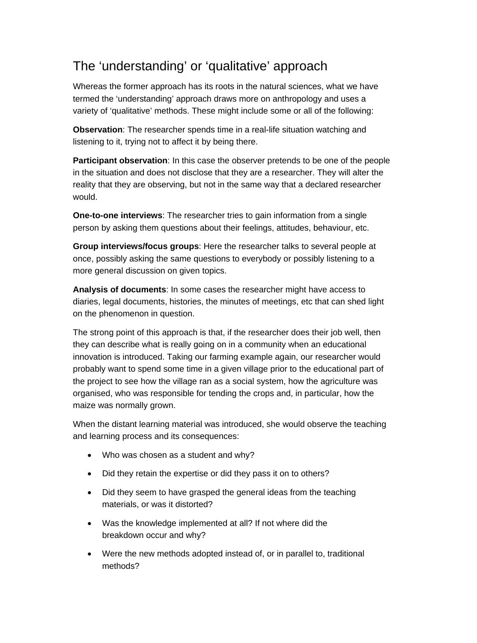# The 'understanding' or 'qualitative' approach

Whereas the former approach has its roots in the natural sciences, what we have termed the 'understanding' approach draws more on anthropology and uses a variety of 'qualitative' methods. These might include some or all of the following:

**Observation**: The researcher spends time in a real-life situation watching and listening to it, trying not to affect it by being there.

**Participant observation**: In this case the observer pretends to be one of the people in the situation and does not disclose that they are a researcher. They will alter the reality that they are observing, but not in the same way that a declared researcher would.

**One-to-one interviews**: The researcher tries to gain information from a single person by asking them questions about their feelings, attitudes, behaviour, etc.

**Group interviews/focus groups**: Here the researcher talks to several people at once, possibly asking the same questions to everybody or possibly listening to a more general discussion on given topics.

**Analysis of documents**: In some cases the researcher might have access to diaries, legal documents, histories, the minutes of meetings, etc that can shed light on the phenomenon in question.

The strong point of this approach is that, if the researcher does their job well, then they can describe what is really going on in a community when an educational innovation is introduced. Taking our farming example again, our researcher would probably want to spend some time in a given village prior to the educational part of the project to see how the village ran as a social system, how the agriculture was organised, who was responsible for tending the crops and, in particular, how the maize was normally grown.

When the distant learning material was introduced, she would observe the teaching and learning process and its consequences:

- Who was chosen as a student and why?
- Did they retain the expertise or did they pass it on to others?
- Did they seem to have grasped the general ideas from the teaching materials, or was it distorted?
- Was the knowledge implemented at all? If not where did the breakdown occur and why?
- Were the new methods adopted instead of, or in parallel to, traditional methods?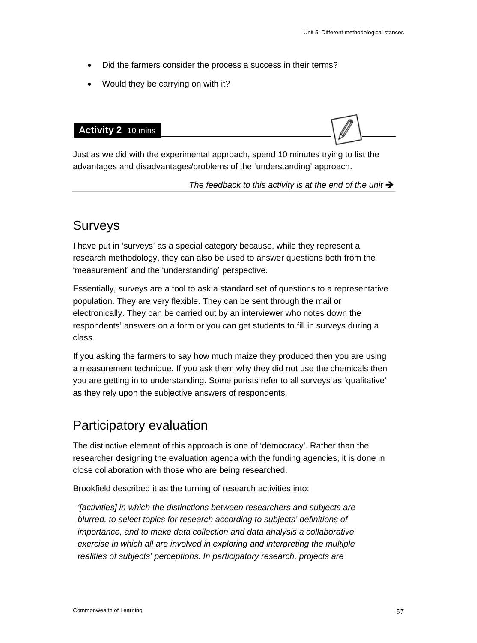- Did the farmers consider the process a success in their terms?
- Would they be carrying on with it?



Just as we did with the experimental approach, spend 10 minutes trying to list the advantages and disadvantages/problems of the 'understanding' approach.

The feedback to this activity is at the end of the unit  $\rightarrow$ 

### Surveys

I have put in 'surveys' as a special category because, while they represent a research methodology, they can also be used to answer questions both from the 'measurement' and the 'understanding' perspective.

Essentially, surveys are a tool to ask a standard set of questions to a representative population. They are very flexible. They can be sent through the mail or electronically. They can be carried out by an interviewer who notes down the respondents' answers on a form or you can get students to fill in surveys during a class.

If you asking the farmers to say how much maize they produced then you are using a measurement technique. If you ask them why they did not use the chemicals then you are getting in to understanding. Some purists refer to all surveys as 'qualitative' as they rely upon the subjective answers of respondents.

# Participatory evaluation

The distinctive element of this approach is one of 'democracy'. Rather than the researcher designing the evaluation agenda with the funding agencies, it is done in close collaboration with those who are being researched.

Brookfield described it as the turning of research activities into:

*'[activities] in which the distinctions between researchers and subjects are blurred, to select topics for research according to subjects' definitions of importance, and to make data collection and data analysis a collaborative exercise in which all are involved in exploring and interpreting the multiple realities of subjects' perceptions. In participatory research, projects are*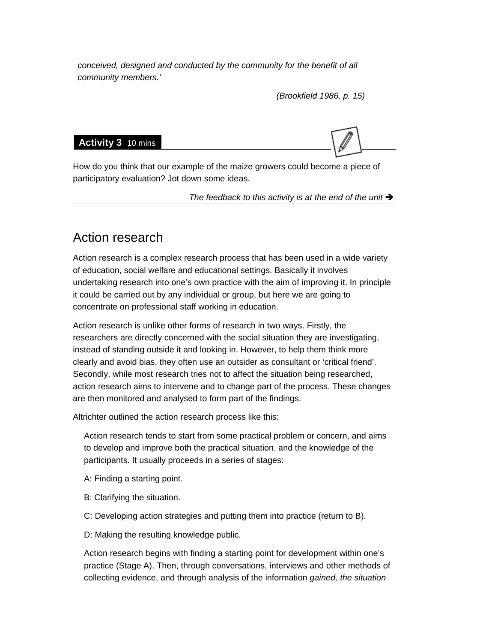*conceived, designed and conducted by the community for the benefit of all community members.'* 

*(Brookfield 1986, p. 15)* 

#### **Activity 3** 10 mins



How do you think that our example of the maize growers could become a piece of participatory evaluation? Jot down some ideas.

The feedback to this activity is at the end of the unit  $\rightarrow$ 

### Action research

Action research is a complex research process that has been used in a wide variety of education, social welfare and educational settings. Basically it involves undertaking research into one's own practice with the aim of improving it. In principle it could be carried out by any individual or group, but here we are going to concentrate on professional staff working in education.

Action research is unlike other forms of research in two ways. Firstly, the researchers are directly concerned with the social situation they are investigating, instead of standing outside it and looking in. However, to help them think more clearly and avoid bias, they often use an outsider as consultant or 'critical friend'. Secondly, while most research tries not to affect the situation being researched, action research aims to intervene and to change part of the process. These changes are then monitored and analysed to form part of the findings.

Altrichter outlined the action research process like this:

Action research tends to start from some practical problem or concern, and aims to develop and improve both the practical situation, and the knowledge of the participants. It usually proceeds in a series of stages:

- A: Finding a starting point.
- B: Clarifying the situation.
- C: Developing action strategies and putting them into practice (return to B).
- D: Making the resulting knowledge public.

Action research begins with finding a starting point for development within one's practice (Stage A). Then, through conversations, interviews and other methods of collecting evidence, and through analysis of the information *gained, the situation*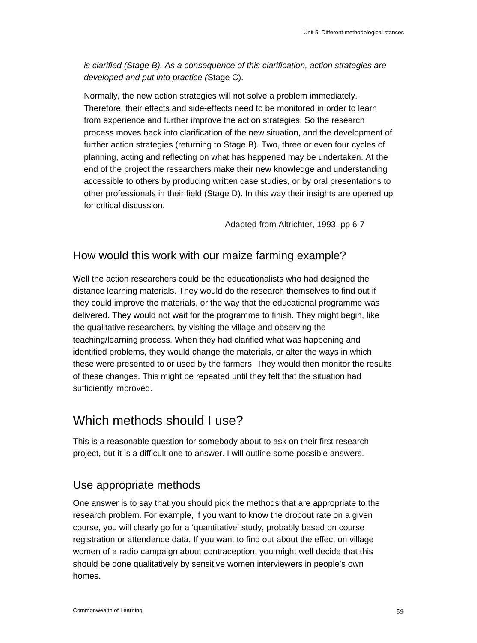*is clarified (Stage B). As a consequence of this clarification, action strategies are developed and put into practice (*Stage C).

Normally, the new action strategies will not solve a problem immediately. Therefore, their effects and side-effects need to be monitored in order to learn from experience and further improve the action strategies. So the research process moves back into clarification of the new situation, and the development of further action strategies (returning to Stage B). Two, three or even four cycles of planning, acting and reflecting on what has happened may be undertaken. At the end of the project the researchers make their new knowledge and understanding accessible to others by producing written case studies, or by oral presentations to other professionals in their field (Stage D). In this way their insights are opened up for critical discussion.

Adapted from Altrichter, 1993, pp 6-7

### How would this work with our maize farming example?

Well the action researchers could be the educationalists who had designed the distance learning materials. They would do the research themselves to find out if they could improve the materials, or the way that the educational programme was delivered. They would not wait for the programme to finish. They might begin, like the qualitative researchers, by visiting the village and observing the teaching/learning process. When they had clarified what was happening and identified problems, they would change the materials, or alter the ways in which these were presented to or used by the farmers. They would then monitor the results of these changes. This might be repeated until they felt that the situation had sufficiently improved.

### Which methods should I use?

This is a reasonable question for somebody about to ask on their first research project, but it is a difficult one to answer. I will outline some possible answers.

### Use appropriate methods

One answer is to say that you should pick the methods that are appropriate to the research problem. For example, if you want to know the dropout rate on a given course, you will clearly go for a 'quantitative' study, probably based on course registration or attendance data. If you want to find out about the effect on village women of a radio campaign about contraception, you might well decide that this should be done qualitatively by sensitive women interviewers in people's own homes.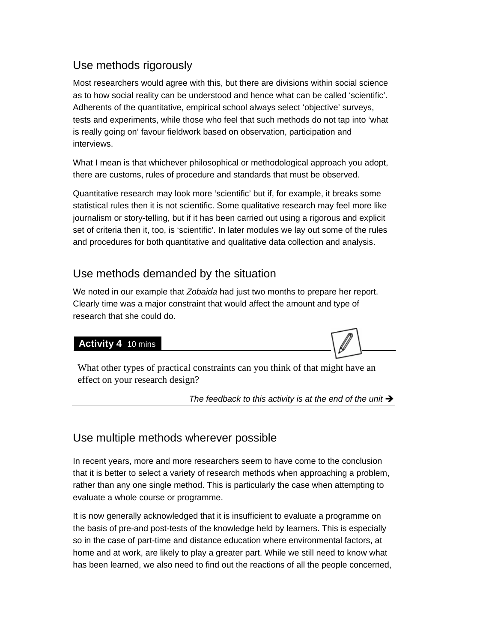### Use methods rigorously

Most researchers would agree with this, but there are divisions within social science as to how social reality can be understood and hence what can be called 'scientific'. Adherents of the quantitative, empirical school always select 'objective' surveys, tests and experiments, while those who feel that such methods do not tap into 'what is really going on' favour fieldwork based on observation, participation and interviews.

What I mean is that whichever philosophical or methodological approach you adopt, there are customs, rules of procedure and standards that must be observed.

Quantitative research may look more 'scientific' but if, for example, it breaks some statistical rules then it is not scientific. Some qualitative research may feel more like journalism or story-telling, but if it has been carried out using a rigorous and explicit set of criteria then it, too, is 'scientific'. In later modules we lay out some of the rules and procedures for both quantitative and qualitative data collection and analysis.

### Use methods demanded by the situation

We noted in our example that *Zobaida* had just two months to prepare her report. Clearly time was a major constraint that would affect the amount and type of research that she could do.

**Activity 4** 10 mins

What other types of practical constraints can you think of that might have an effect on your research design?

The feedback to this activity is at the end of the unit  $\rightarrow$ 

### Use multiple methods wherever possible

In recent years, more and more researchers seem to have come to the conclusion that it is better to select a variety of research methods when approaching a problem, rather than any one single method. This is particularly the case when attempting to evaluate a whole course or programme.

It is now generally acknowledged that it is insufficient to evaluate a programme on the basis of pre-and post-tests of the knowledge held by learners. This is especially so in the case of part-time and distance education where environmental factors, at home and at work, are likely to play a greater part. While we still need to know what has been learned, we also need to find out the reactions of all the people concerned,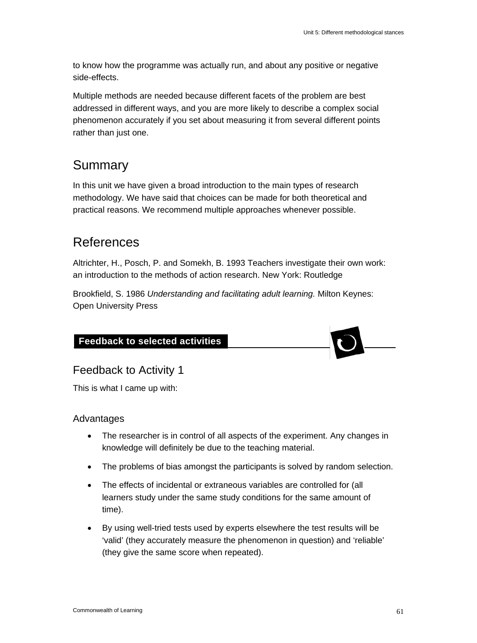to know how the programme was actually run, and about any positive or negative side-effects.

Multiple methods are needed because different facets of the problem are best addressed in different ways, and you are more likely to describe a complex social phenomenon accurately if you set about measuring it from several different points rather than just one.

# Summary

In this unit we have given a broad introduction to the main types of research methodology. We have said that choices can be made for both theoretical and practical reasons. We recommend multiple approaches whenever possible.

# References

Altrichter, H., Posch, P. and Somekh, B. 1993 Teachers investigate their own work: an introduction to the methods of action research. New York: Routledge

Brookfield, S. 1986 *Understanding and facilitating adult learning.* Milton Keynes: Open University Press

### **Feedback to selected activities**



### Feedback to Activity 1

This is what I came up with:

### Advantages

- The researcher is in control of all aspects of the experiment. Any changes in knowledge will definitely be due to the teaching material.
- The problems of bias amongst the participants is solved by random selection.
- The effects of incidental or extraneous variables are controlled for (all learners study under the same study conditions for the same amount of time).
- By using well-tried tests used by experts elsewhere the test results will be 'valid' (they accurately measure the phenomenon in question) and 'reliable' (they give the same score when repeated).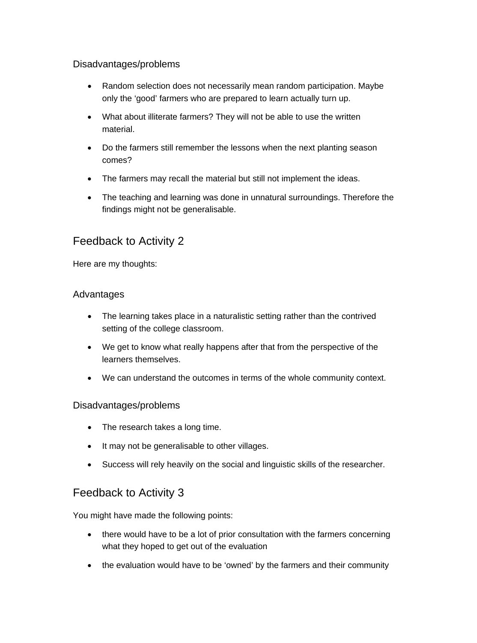### Disadvantages/problems

- Random selection does not necessarily mean random participation. Maybe only the 'good' farmers who are prepared to learn actually turn up.
- What about illiterate farmers? They will not be able to use the written material.
- Do the farmers still remember the lessons when the next planting season comes?
- The farmers may recall the material but still not implement the ideas.
- The teaching and learning was done in unnatural surroundings. Therefore the findings might not be generalisable.

### Feedback to Activity 2

Here are my thoughts:

### Advantages

- The learning takes place in a naturalistic setting rather than the contrived setting of the college classroom.
- We get to know what really happens after that from the perspective of the learners themselves.
- We can understand the outcomes in terms of the whole community context.

### Disadvantages/problems

- The research takes a long time.
- It may not be generalisable to other villages.
- Success will rely heavily on the social and linguistic skills of the researcher.

### Feedback to Activity 3

You might have made the following points:

- there would have to be a lot of prior consultation with the farmers concerning what they hoped to get out of the evaluation
- the evaluation would have to be 'owned' by the farmers and their community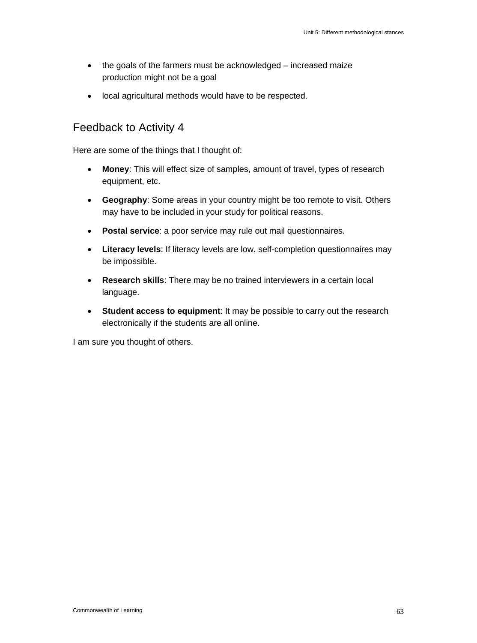- the goals of the farmers must be acknowledged increased maize production might not be a goal
- local agricultural methods would have to be respected.

### Feedback to Activity 4

Here are some of the things that I thought of:

- **Money**: This will effect size of samples, amount of travel, types of research equipment, etc.
- **Geography**: Some areas in your country might be too remote to visit. Others may have to be included in your study for political reasons.
- **Postal service**: a poor service may rule out mail questionnaires.
- **Literacy levels**: If literacy levels are low, self-completion questionnaires may be impossible.
- **Research skills**: There may be no trained interviewers in a certain local language.
- **Student access to equipment**: It may be possible to carry out the research electronically if the students are all online.

I am sure you thought of others.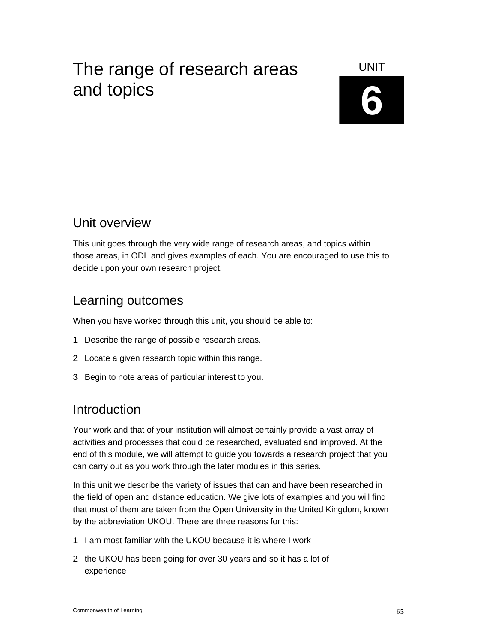# The range of research areas **LACCE LONIT 6** and topics



# Unit overview

This unit goes through the very wide range of research areas, and topics within those areas, in ODL and gives examples of each. You are encouraged to use this to decide upon your own research project.

# Learning outcomes

When you have worked through this unit, you should be able to:

- 1 Describe the range of possible research areas.
- 2 Locate a given research topic within this range.
- 3 Begin to note areas of particular interest to you.

# **Introduction**

Your work and that of your institution will almost certainly provide a vast array of activities and processes that could be researched, evaluated and improved. At the end of this module, we will attempt to guide you towards a research project that you can carry out as you work through the later modules in this series.

In this unit we describe the variety of issues that can and have been researched in the field of open and distance education. We give lots of examples and you will find that most of them are taken from the Open University in the United Kingdom, known by the abbreviation UKOU. There are three reasons for this:

- 1 I am most familiar with the UKOU because it is where I work
- 2 the UKOU has been going for over 30 years and so it has a lot of experience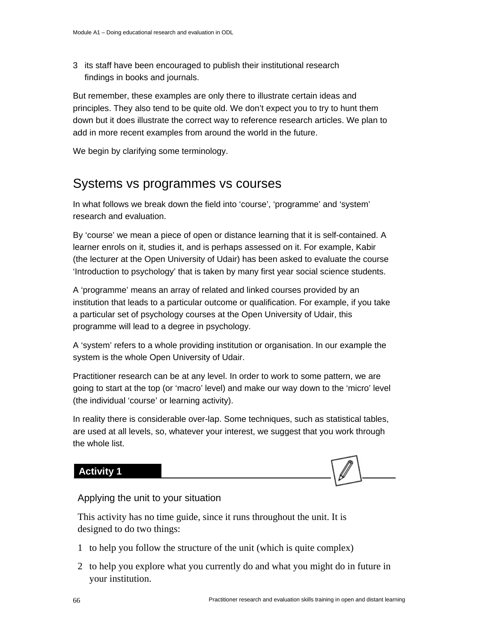3 its staff have been encouraged to publish their institutional research findings in books and journals.

But remember, these examples are only there to illustrate certain ideas and principles. They also tend to be quite old. We don't expect you to try to hunt them down but it does illustrate the correct way to reference research articles. We plan to add in more recent examples from around the world in the future.

We begin by clarifying some terminology.

### Systems vs programmes vs courses

In what follows we break down the field into 'course', 'programme' and 'system' research and evaluation.

By 'course' we mean a piece of open or distance learning that it is self-contained. A learner enrols on it, studies it, and is perhaps assessed on it. For example, Kabir (the lecturer at the Open University of Udair) has been asked to evaluate the course 'Introduction to psychology' that is taken by many first year social science students.

A 'programme' means an array of related and linked courses provided by an institution that leads to a particular outcome or qualification. For example, if you take a particular set of psychology courses at the Open University of Udair, this programme will lead to a degree in psychology.

A 'system' refers to a whole providing institution or organisation. In our example the system is the whole Open University of Udair.

Practitioner research can be at any level. In order to work to some pattern, we are going to start at the top (or 'macro' level) and make our way down to the 'micro' level (the individual 'course' or learning activity).

In reality there is considerable over-lap. Some techniques, such as statistical tables, are used at all levels, so, whatever your interest, we suggest that you work through the whole list.

### **Activity 1**



### Applying the unit to your situation

This activity has no time guide, since it runs throughout the unit. It is designed to do two things:

- 1 to help you follow the structure of the unit (which is quite complex)
- 2 to help you explore what you currently do and what you might do in future in your institution.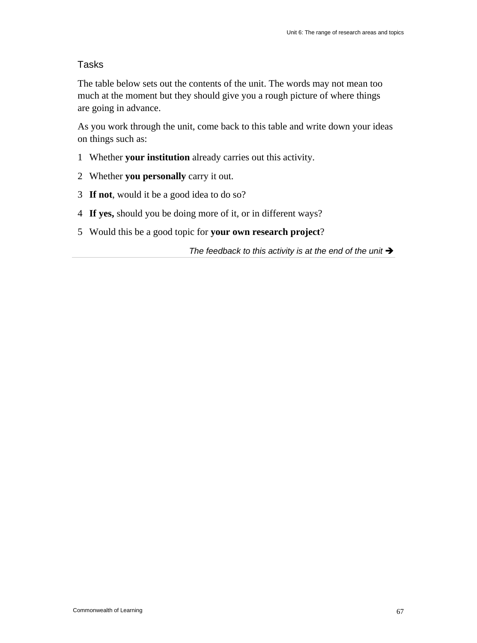### Tasks

The table below sets out the contents of the unit. The words may not mean too much at the moment but they should give you a rough picture of where things are going in advance.

As you work through the unit, come back to this table and write down your ideas on things such as:

- 1 Whether **your institution** already carries out this activity.
- 2 Whether **you personally** carry it out.
- 3 **If not**, would it be a good idea to do so?
- 4 **If yes,** should you be doing more of it, or in different ways?
- 5 Would this be a good topic for **your own research project**?

The feedback to this activity is at the end of the unit  $\rightarrow$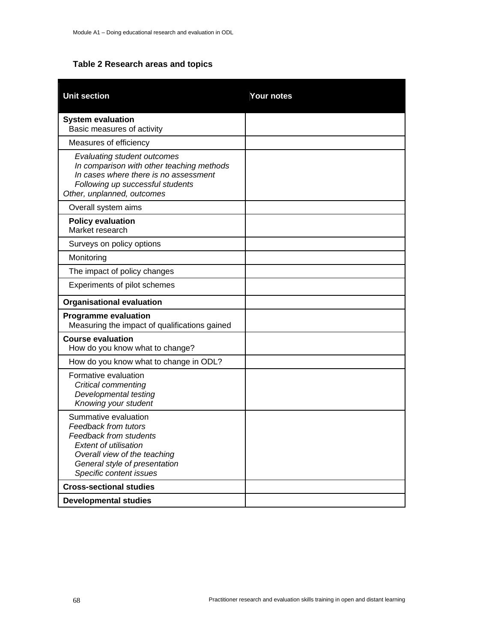### **Table 2 Research areas and topics**

| <b>Unit section</b>                                                                                                                                                                                              | Your notes |
|------------------------------------------------------------------------------------------------------------------------------------------------------------------------------------------------------------------|------------|
| <b>System evaluation</b><br>Basic measures of activity                                                                                                                                                           |            |
| Measures of efficiency                                                                                                                                                                                           |            |
| Evaluating student outcomes<br>In comparison with other teaching methods<br>In cases where there is no assessment<br>Following up successful students<br>Other, unplanned, outcomes                              |            |
| Overall system aims                                                                                                                                                                                              |            |
| <b>Policy evaluation</b><br>Market research                                                                                                                                                                      |            |
| Surveys on policy options                                                                                                                                                                                        |            |
| Monitoring                                                                                                                                                                                                       |            |
| The impact of policy changes                                                                                                                                                                                     |            |
| Experiments of pilot schemes                                                                                                                                                                                     |            |
| <b>Organisational evaluation</b>                                                                                                                                                                                 |            |
| <b>Programme evaluation</b><br>Measuring the impact of qualifications gained                                                                                                                                     |            |
| <b>Course evaluation</b><br>How do you know what to change?                                                                                                                                                      |            |
| How do you know what to change in ODL?                                                                                                                                                                           |            |
| Formative evaluation<br>Critical commenting<br>Developmental testing<br>Knowing your student                                                                                                                     |            |
| Summative evaluation<br><b>Feedback from tutors</b><br><b>Feedback from students</b><br><i>Extent of utilisation</i><br>Overall view of the teaching<br>General style of presentation<br>Specific content issues |            |
| <b>Cross-sectional studies</b>                                                                                                                                                                                   |            |
| <b>Developmental studies</b>                                                                                                                                                                                     |            |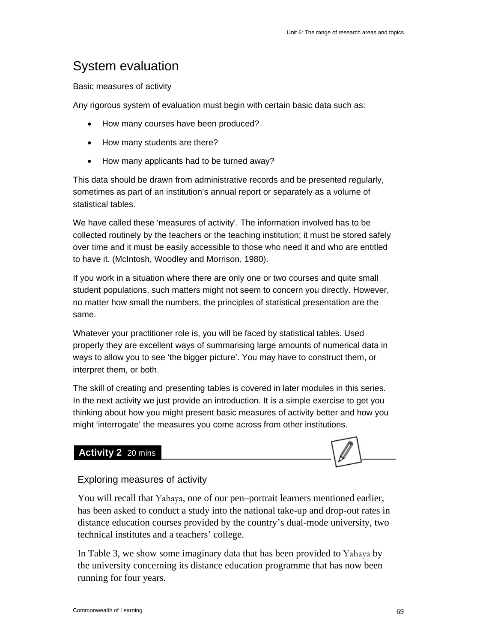# System evaluation

Basic measures of activity

Any rigorous system of evaluation must begin with certain basic data such as:

- How many courses have been produced?
- How many students are there?
- How many applicants had to be turned away?

This data should be drawn from administrative records and be presented regularly, sometimes as part of an institution's annual report or separately as a volume of statistical tables.

We have called these 'measures of activity'. The information involved has to be collected routinely by the teachers or the teaching institution; it must be stored safely over time and it must be easily accessible to those who need it and who are entitled to have it. (McIntosh, Woodley and Morrison, 1980).

If you work in a situation where there are only one or two courses and quite small student populations, such matters might not seem to concern you directly. However, no matter how small the numbers, the principles of statistical presentation are the same.

Whatever your practitioner role is, you will be faced by statistical tables. Used properly they are excellent ways of summarising large amounts of numerical data in ways to allow you to see 'the bigger picture'. You may have to construct them, or interpret them, or both.

The skill of creating and presenting tables is covered in later modules in this series. In the next activity we just provide an introduction. It is a simple exercise to get you thinking about how you might present basic measures of activity better and how you might 'interrogate' the measures you come across from other institutions.

### **Activity 2** 20 mins



#### Exploring measures of activity

You will recall that Yahaya, one of our pen–portrait learners mentioned earlier, has been asked to conduct a study into the national take-up and drop-out rates in distance education courses provided by the country's dual-mode university, two technical institutes and a teachers' college.

In Table 3, we show some imaginary data that has been provided to Yahaya by the university concerning its distance education programme that has now been running for four years.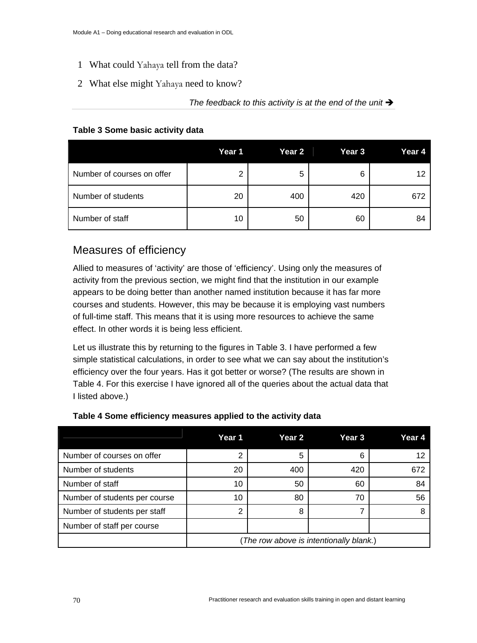- 1 What could Yahaya tell from the data?
- 2 What else might Yahaya need to know?

### The feedback to this activity is at the end of the unit  $\rightarrow$

#### **Table 3 Some basic activity data**

|                            | Year 1 | Year <sub>2</sub> | Year <sub>3</sub> | Year 4 |
|----------------------------|--------|-------------------|-------------------|--------|
| Number of courses on offer | ◠      | 5                 | 6                 | 12     |
| Number of students         | 20     | 400               | 420               | 672    |
| Number of staff            | 10     | 50                | 60                | 84     |

### Measures of efficiency

Allied to measures of 'activity' are those of 'efficiency'. Using only the measures of activity from the previous section, we might find that the institution in our example appears to be doing better than another named institution because it has far more courses and students. However, this may be because it is employing vast numbers of full-time staff. This means that it is using more resources to achieve the same effect. In other words it is being less efficient.

Let us illustrate this by returning to the figures in Table 3. I have performed a few simple statistical calculations, in order to see what we can say about the institution's efficiency over the four years. Has it got better or worse? (The results are shown in Table 4. For this exercise I have ignored all of the queries about the actual data that I listed above.)

|                               | Year 1                                  | Year 2 | Year 3 | Year 4 |
|-------------------------------|-----------------------------------------|--------|--------|--------|
| Number of courses on offer    | 2                                       | 5      |        |        |
| Number of students            | 20                                      | 400    | 420    | 672    |
| Number of staff               | 10                                      | 50     | 60     | 84     |
| Number of students per course | 10                                      | 80     | 70     | 56     |
| Number of students per staff  | 2                                       | 8      |        |        |
| Number of staff per course    |                                         |        |        |        |
|                               | (The row above is intentionally blank.) |        |        |        |

### **Table 4 Some efficiency measures applied to the activity data**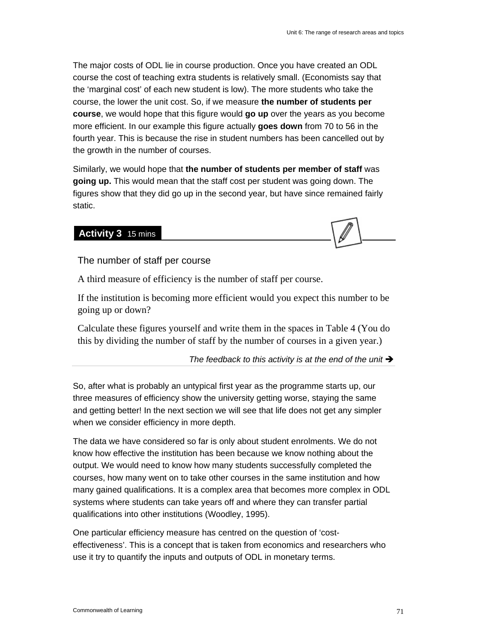The major costs of ODL lie in course production. Once you have created an ODL course the cost of teaching extra students is relatively small. (Economists say that the 'marginal cost' of each new student is low). The more students who take the course, the lower the unit cost. So, if we measure **the number of students per course**, we would hope that this figure would **go up** over the years as you become more efficient. In our example this figure actually **goes down** from 70 to 56 in the fourth year. This is because the rise in student numbers has been cancelled out by the growth in the number of courses.

Similarly, we would hope that **the number of students per member of staff** was **going up.** This would mean that the staff cost per student was going down. The figures show that they did go up in the second year, but have since remained fairly static.

### **Activity 3** 15 mins

The number of staff per course

A third measure of efficiency is the number of staff per course.

If the institution is becoming more efficient would you expect this number to be going up or down?

Calculate these figures yourself and write them in the spaces in Table 4 (You do this by dividing the number of staff by the number of courses in a given year.)

The feedback to this activity is at the end of the unit  $\rightarrow$ 

So, after what is probably an untypical first year as the programme starts up, our three measures of efficiency show the university getting worse, staying the same and getting better! In the next section we will see that life does not get any simpler when we consider efficiency in more depth.

The data we have considered so far is only about student enrolments. We do not know how effective the institution has been because we know nothing about the output. We would need to know how many students successfully completed the courses, how many went on to take other courses in the same institution and how many gained qualifications. It is a complex area that becomes more complex in ODL systems where students can take years off and where they can transfer partial qualifications into other institutions (Woodley, 1995).

One particular efficiency measure has centred on the question of 'costeffectiveness'. This is a concept that is taken from economics and researchers who use it try to quantify the inputs and outputs of ODL in monetary terms.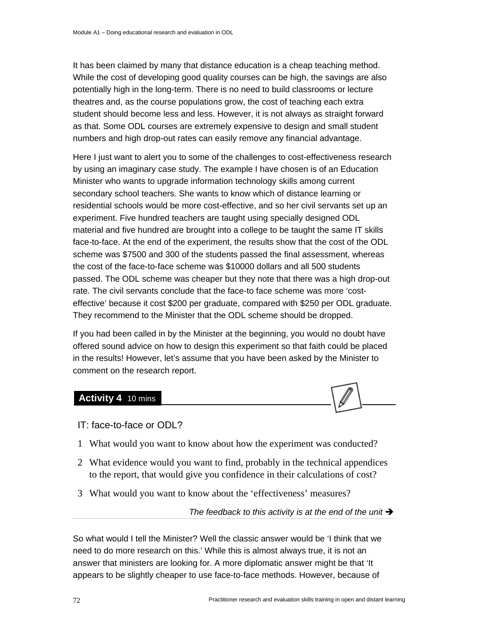It has been claimed by many that distance education is a cheap teaching method. While the cost of developing good quality courses can be high, the savings are also potentially high in the long-term. There is no need to build classrooms or lecture theatres and, as the course populations grow, the cost of teaching each extra student should become less and less. However, it is not always as straight forward as that. Some ODL courses are extremely expensive to design and small student numbers and high drop-out rates can easily remove any financial advantage.

Here I just want to alert you to some of the challenges to cost-effectiveness research by using an imaginary case study. The example I have chosen is of an Education Minister who wants to upgrade information technology skills among current secondary school teachers. She wants to know which of distance learning or residential schools would be more cost-effective, and so her civil servants set up an experiment. Five hundred teachers are taught using specially designed ODL material and five hundred are brought into a college to be taught the same IT skills face-to-face. At the end of the experiment, the results show that the cost of the ODL scheme was \$7500 and 300 of the students passed the final assessment, whereas the cost of the face-to-face scheme was \$10000 dollars and all 500 students passed. The ODL scheme was cheaper but they note that there was a high drop-out rate. The civil servants conclude that the face-to face scheme was more 'costeffective' because it cost \$200 per graduate, compared with \$250 per ODL graduate. They recommend to the Minister that the ODL scheme should be dropped.

If you had been called in by the Minister at the beginning, you would no doubt have offered sound advice on how to design this experiment so that faith could be placed in the results! However, let's assume that you have been asked by the Minister to comment on the research report.

#### **Activity 4** 10 mins



- IT: face-to-face or ODL?
- 1 What would you want to know about how the experiment was conducted?
- 2 What evidence would you want to find, probably in the technical appendices to the report, that would give you confidence in their calculations of cost?
- 3 What would you want to know about the 'effectiveness' measures?

The feedback to this activity is at the end of the unit  $\rightarrow$ 

So what would I tell the Minister? Well the classic answer would be 'I think that we need to do more research on this.' While this is almost always true, it is not an answer that ministers are looking for. A more diplomatic answer might be that 'It appears to be slightly cheaper to use face-to-face methods. However, because of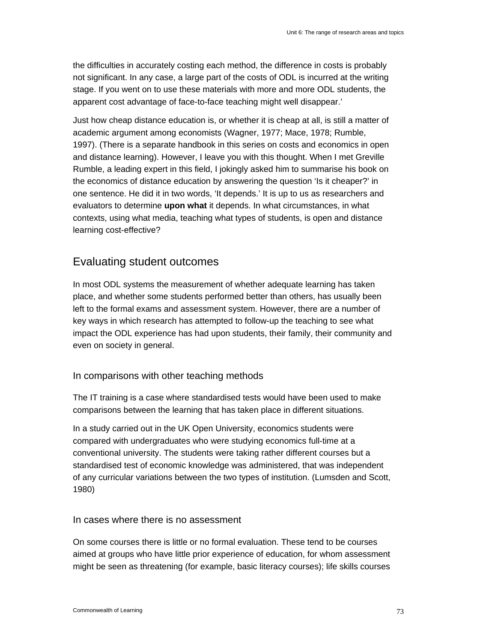the difficulties in accurately costing each method, the difference in costs is probably not significant. In any case, a large part of the costs of ODL is incurred at the writing stage. If you went on to use these materials with more and more ODL students, the apparent cost advantage of face-to-face teaching might well disappear.'

Just how cheap distance education is, or whether it is cheap at all, is still a matter of academic argument among economists (Wagner, 1977; Mace, 1978; Rumble, 1997). (There is a separate handbook in this series on costs and economics in open and distance learning). However, I leave you with this thought. When I met Greville Rumble, a leading expert in this field, I jokingly asked him to summarise his book on the economics of distance education by answering the question 'Is it cheaper?' in one sentence. He did it in two words, 'It depends.' It is up to us as researchers and evaluators to determine **upon what** it depends. In what circumstances, in what contexts, using what media, teaching what types of students, is open and distance learning cost-effective?

### Evaluating student outcomes

In most ODL systems the measurement of whether adequate learning has taken place, and whether some students performed better than others, has usually been left to the formal exams and assessment system. However, there are a number of key ways in which research has attempted to follow-up the teaching to see what impact the ODL experience has had upon students, their family, their community and even on society in general.

### In comparisons with other teaching methods

The IT training is a case where standardised tests would have been used to make comparisons between the learning that has taken place in different situations.

In a study carried out in the UK Open University, economics students were compared with undergraduates who were studying economics full-time at a conventional university. The students were taking rather different courses but a standardised test of economic knowledge was administered, that was independent of any curricular variations between the two types of institution. (Lumsden and Scott, 1980)

#### In cases where there is no assessment

On some courses there is little or no formal evaluation. These tend to be courses aimed at groups who have little prior experience of education, for whom assessment might be seen as threatening (for example, basic literacy courses); life skills courses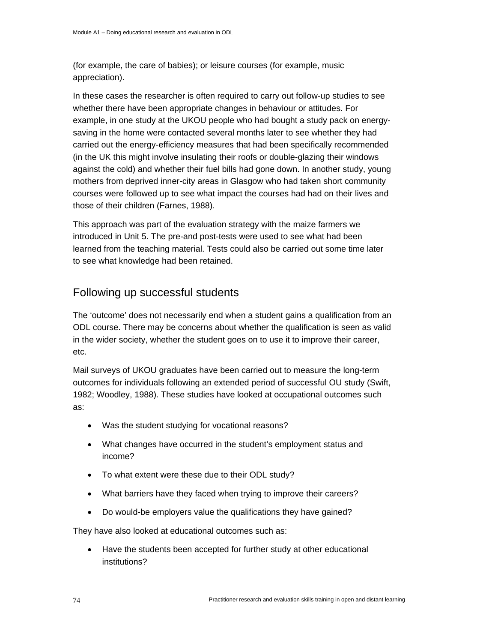(for example, the care of babies); or leisure courses (for example, music appreciation).

In these cases the researcher is often required to carry out follow-up studies to see whether there have been appropriate changes in behaviour or attitudes. For example, in one study at the UKOU people who had bought a study pack on energysaving in the home were contacted several months later to see whether they had carried out the energy-efficiency measures that had been specifically recommended (in the UK this might involve insulating their roofs or double-glazing their windows against the cold) and whether their fuel bills had gone down. In another study, young mothers from deprived inner-city areas in Glasgow who had taken short community courses were followed up to see what impact the courses had had on their lives and those of their children (Farnes, 1988).

This approach was part of the evaluation strategy with the maize farmers we introduced in Unit 5. The pre-and post-tests were used to see what had been learned from the teaching material. Tests could also be carried out some time later to see what knowledge had been retained.

### Following up successful students

The 'outcome' does not necessarily end when a student gains a qualification from an ODL course. There may be concerns about whether the qualification is seen as valid in the wider society, whether the student goes on to use it to improve their career, etc.

Mail surveys of UKOU graduates have been carried out to measure the long-term outcomes for individuals following an extended period of successful OU study (Swift, 1982; Woodley, 1988). These studies have looked at occupational outcomes such as:

- Was the student studying for vocational reasons?
- What changes have occurred in the student's employment status and income?
- To what extent were these due to their ODL study?
- What barriers have they faced when trying to improve their careers?
- Do would-be employers value the qualifications they have gained?

They have also looked at educational outcomes such as:

• Have the students been accepted for further study at other educational institutions?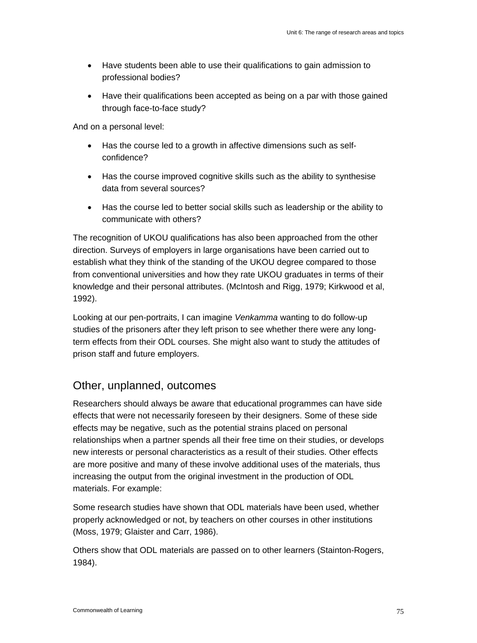- Have students been able to use their qualifications to gain admission to professional bodies?
- Have their qualifications been accepted as being on a par with those gained through face-to-face study?

And on a personal level:

- Has the course led to a growth in affective dimensions such as selfconfidence?
- Has the course improved cognitive skills such as the ability to synthesise data from several sources?
- Has the course led to better social skills such as leadership or the ability to communicate with others?

The recognition of UKOU qualifications has also been approached from the other direction. Surveys of employers in large organisations have been carried out to establish what they think of the standing of the UKOU degree compared to those from conventional universities and how they rate UKOU graduates in terms of their knowledge and their personal attributes. (McIntosh and Rigg, 1979; Kirkwood et al, 1992).

Looking at our pen-portraits, I can imagine *Venkamma* wanting to do follow-up studies of the prisoners after they left prison to see whether there were any longterm effects from their ODL courses. She might also want to study the attitudes of prison staff and future employers.

### Other, unplanned, outcomes

Researchers should always be aware that educational programmes can have side effects that were not necessarily foreseen by their designers. Some of these side effects may be negative, such as the potential strains placed on personal relationships when a partner spends all their free time on their studies, or develops new interests or personal characteristics as a result of their studies. Other effects are more positive and many of these involve additional uses of the materials, thus increasing the output from the original investment in the production of ODL materials. For example:

Some research studies have shown that ODL materials have been used, whether properly acknowledged or not, by teachers on other courses in other institutions (Moss, 1979; Glaister and Carr, 1986).

Others show that ODL materials are passed on to other learners (Stainton-Rogers, 1984).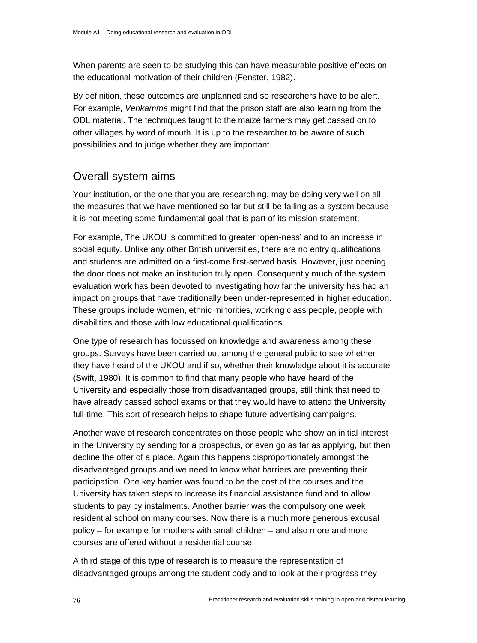When parents are seen to be studying this can have measurable positive effects on the educational motivation of their children (Fenster, 1982).

By definition, these outcomes are unplanned and so researchers have to be alert. For example, *Venkamma* might find that the prison staff are also learning from the ODL material. The techniques taught to the maize farmers may get passed on to other villages by word of mouth. It is up to the researcher to be aware of such possibilities and to judge whether they are important.

### Overall system aims

Your institution, or the one that you are researching, may be doing very well on all the measures that we have mentioned so far but still be failing as a system because it is not meeting some fundamental goal that is part of its mission statement.

For example, The UKOU is committed to greater 'open-ness' and to an increase in social equity. Unlike any other British universities, there are no entry qualifications and students are admitted on a first-come first-served basis. However, just opening the door does not make an institution truly open. Consequently much of the system evaluation work has been devoted to investigating how far the university has had an impact on groups that have traditionally been under-represented in higher education. These groups include women, ethnic minorities, working class people, people with disabilities and those with low educational qualifications.

One type of research has focussed on knowledge and awareness among these groups. Surveys have been carried out among the general public to see whether they have heard of the UKOU and if so, whether their knowledge about it is accurate (Swift, 1980). It is common to find that many people who have heard of the University and especially those from disadvantaged groups, still think that need to have already passed school exams or that they would have to attend the University full-time. This sort of research helps to shape future advertising campaigns.

Another wave of research concentrates on those people who show an initial interest in the University by sending for a prospectus, or even go as far as applying, but then decline the offer of a place. Again this happens disproportionately amongst the disadvantaged groups and we need to know what barriers are preventing their participation. One key barrier was found to be the cost of the courses and the University has taken steps to increase its financial assistance fund and to allow students to pay by instalments. Another barrier was the compulsory one week residential school on many courses. Now there is a much more generous excusal policy – for example for mothers with small children – and also more and more courses are offered without a residential course.

A third stage of this type of research is to measure the representation of disadvantaged groups among the student body and to look at their progress they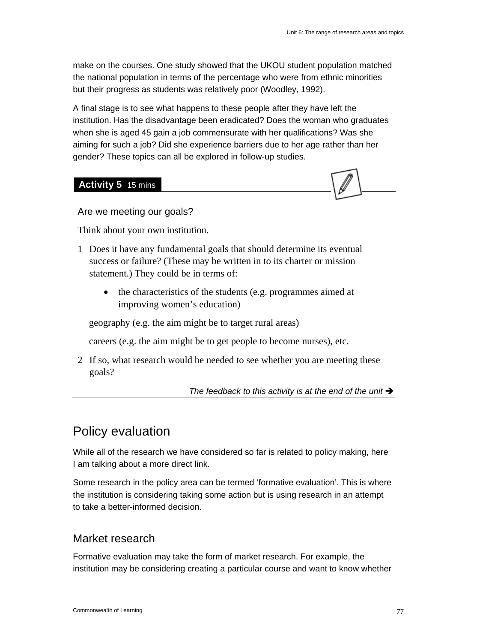make on the courses. One study showed that the UKOU student population matched the national population in terms of the percentage who were from ethnic minorities but their progress as students was relatively poor (Woodley, 1992).

A final stage is to see what happens to these people after they have left the institution. Has the disadvantage been eradicated? Does the woman who graduates when she is aged 45 gain a job commensurate with her qualifications? Was she aiming for such a job? Did she experience barriers due to her age rather than her gender? These topics can all be explored in follow-up studies.

**Activity 5** 15 mins



Are we meeting our goals?

Think about your own institution.

- 1 Does it have any fundamental goals that should determine its eventual success or failure? (These may be written in to its charter or mission statement.) They could be in terms of:
	- the characteristics of the students (e.g. programmes aimed at improving women's education)

geography (e.g. the aim might be to target rural areas)

careers (e.g. the aim might be to get people to become nurses), etc.

2 If so, what research would be needed to see whether you are meeting these goals?

The feedback to this activity is at the end of the unit  $\rightarrow$ 

# Policy evaluation

While all of the research we have considered so far is related to policy making, here I am talking about a more direct link.

Some research in the policy area can be termed 'formative evaluation'. This is where the institution is considering taking some action but is using research in an attempt to take a better-informed decision.

### Market research

Formative evaluation may take the form of market research. For example, the institution may be considering creating a particular course and want to know whether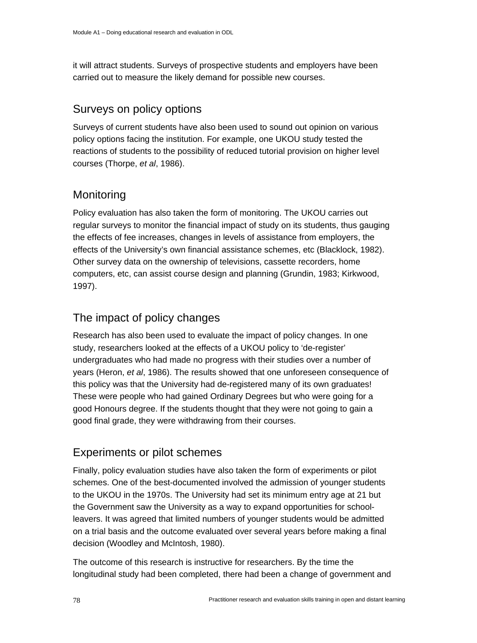it will attract students. Surveys of prospective students and employers have been carried out to measure the likely demand for possible new courses.

### Surveys on policy options

Surveys of current students have also been used to sound out opinion on various policy options facing the institution. For example, one UKOU study tested the reactions of students to the possibility of reduced tutorial provision on higher level courses (Thorpe, *et al*, 1986).

# **Monitoring**

Policy evaluation has also taken the form of monitoring. The UKOU carries out regular surveys to monitor the financial impact of study on its students, thus gauging the effects of fee increases, changes in levels of assistance from employers, the effects of the University's own financial assistance schemes, etc (Blacklock, 1982). Other survey data on the ownership of televisions, cassette recorders, home computers, etc, can assist course design and planning (Grundin, 1983; Kirkwood, 1997).

# The impact of policy changes

Research has also been used to evaluate the impact of policy changes. In one study, researchers looked at the effects of a UKOU policy to 'de-register' undergraduates who had made no progress with their studies over a number of years (Heron, *et al*, 1986). The results showed that one unforeseen consequence of this policy was that the University had de-registered many of its own graduates! These were people who had gained Ordinary Degrees but who were going for a good Honours degree. If the students thought that they were not going to gain a good final grade, they were withdrawing from their courses.

# Experiments or pilot schemes

Finally, policy evaluation studies have also taken the form of experiments or pilot schemes. One of the best-documented involved the admission of younger students to the UKOU in the 1970s. The University had set its minimum entry age at 21 but the Government saw the University as a way to expand opportunities for schoolleavers. It was agreed that limited numbers of younger students would be admitted on a trial basis and the outcome evaluated over several years before making a final decision (Woodley and McIntosh, 1980).

The outcome of this research is instructive for researchers. By the time the longitudinal study had been completed, there had been a change of government and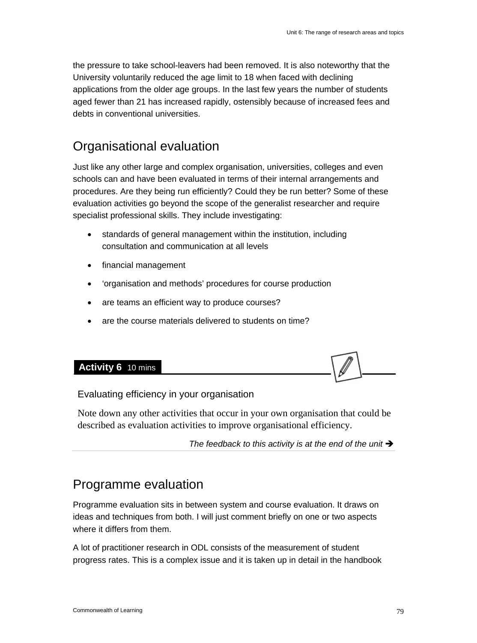the pressure to take school-leavers had been removed. It is also noteworthy that the University voluntarily reduced the age limit to 18 when faced with declining applications from the older age groups. In the last few years the number of students aged fewer than 21 has increased rapidly, ostensibly because of increased fees and debts in conventional universities.

# Organisational evaluation

Just like any other large and complex organisation, universities, colleges and even schools can and have been evaluated in terms of their internal arrangements and procedures. Are they being run efficiently? Could they be run better? Some of these evaluation activities go beyond the scope of the generalist researcher and require specialist professional skills. They include investigating:

- standards of general management within the institution, including consultation and communication at all levels
- financial management
- 'organisation and methods' procedures for course production
- are teams an efficient way to produce courses?
- are the course materials delivered to students on time?



### Evaluating efficiency in your organisation

Note down any other activities that occur in your own organisation that could be described as evaluation activities to improve organisational efficiency.

The feedback to this activity is at the end of the unit  $\rightarrow$ 

# Programme evaluation

Programme evaluation sits in between system and course evaluation. It draws on ideas and techniques from both. I will just comment briefly on one or two aspects where it differs from them.

A lot of practitioner research in ODL consists of the measurement of student progress rates. This is a complex issue and it is taken up in detail in the handbook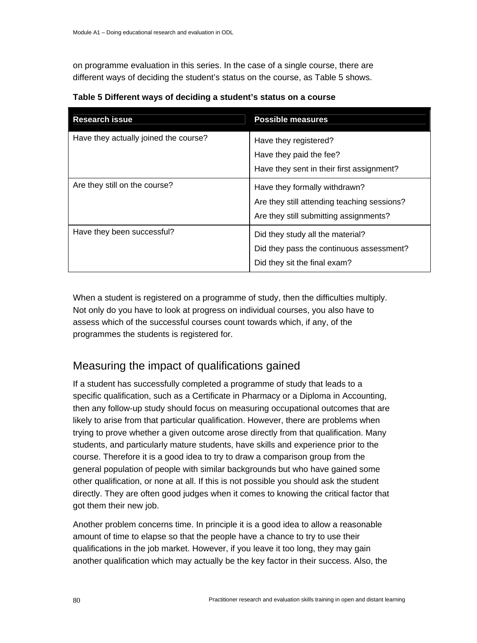on programme evaluation in this series. In the case of a single course, there are different ways of deciding the student's status on the course, as Table 5 shows.

| <b>Research issue</b>                 | <b>Possible measures</b>                                                                                               |
|---------------------------------------|------------------------------------------------------------------------------------------------------------------------|
| Have they actually joined the course? | Have they registered?<br>Have they paid the fee?<br>Have they sent in their first assignment?                          |
| Are they still on the course?         | Have they formally withdrawn?<br>Are they still attending teaching sessions?<br>Are they still submitting assignments? |
| Have they been successful?            | Did they study all the material?<br>Did they pass the continuous assessment?<br>Did they sit the final exam?           |

**Table 5 Different ways of deciding a student's status on a course** 

When a student is registered on a programme of study, then the difficulties multiply. Not only do you have to look at progress on individual courses, you also have to assess which of the successful courses count towards which, if any, of the programmes the students is registered for.

# Measuring the impact of qualifications gained

If a student has successfully completed a programme of study that leads to a specific qualification, such as a Certificate in Pharmacy or a Diploma in Accounting, then any follow-up study should focus on measuring occupational outcomes that are likely to arise from that particular qualification. However, there are problems when trying to prove whether a given outcome arose directly from that qualification. Many students, and particularly mature students, have skills and experience prior to the course. Therefore it is a good idea to try to draw a comparison group from the general population of people with similar backgrounds but who have gained some other qualification, or none at all. If this is not possible you should ask the student directly. They are often good judges when it comes to knowing the critical factor that got them their new job.

Another problem concerns time. In principle it is a good idea to allow a reasonable amount of time to elapse so that the people have a chance to try to use their qualifications in the job market. However, if you leave it too long, they may gain another qualification which may actually be the key factor in their success. Also, the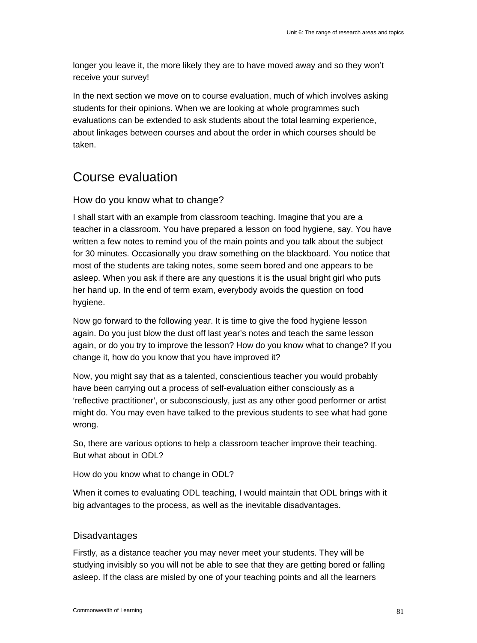longer you leave it, the more likely they are to have moved away and so they won't receive your survey!

In the next section we move on to course evaluation, much of which involves asking students for their opinions. When we are looking at whole programmes such evaluations can be extended to ask students about the total learning experience, about linkages between courses and about the order in which courses should be taken.

# Course evaluation

### How do you know what to change?

I shall start with an example from classroom teaching. Imagine that you are a teacher in a classroom. You have prepared a lesson on food hygiene, say. You have written a few notes to remind you of the main points and you talk about the subject for 30 minutes. Occasionally you draw something on the blackboard. You notice that most of the students are taking notes, some seem bored and one appears to be asleep. When you ask if there are any questions it is the usual bright girl who puts her hand up. In the end of term exam, everybody avoids the question on food hygiene.

Now go forward to the following year. It is time to give the food hygiene lesson again. Do you just blow the dust off last year's notes and teach the same lesson again, or do you try to improve the lesson? How do you know what to change? If you change it, how do you know that you have improved it?

Now, you might say that as a talented, conscientious teacher you would probably have been carrying out a process of self-evaluation either consciously as a 'reflective practitioner', or subconsciously, just as any other good performer or artist might do. You may even have talked to the previous students to see what had gone wrong.

So, there are various options to help a classroom teacher improve their teaching. But what about in ODL?

How do you know what to change in ODL?

When it comes to evaluating ODL teaching, I would maintain that ODL brings with it big advantages to the process, as well as the inevitable disadvantages.

### **Disadvantages**

Firstly, as a distance teacher you may never meet your students. They will be studying invisibly so you will not be able to see that they are getting bored or falling asleep. If the class are misled by one of your teaching points and all the learners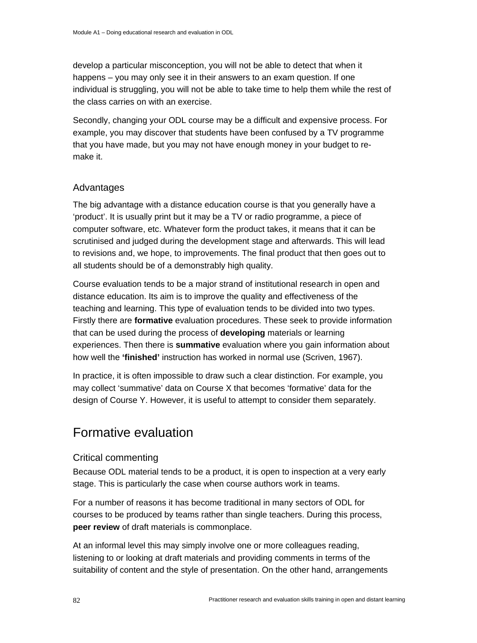develop a particular misconception, you will not be able to detect that when it happens – you may only see it in their answers to an exam question. If one individual is struggling, you will not be able to take time to help them while the rest of the class carries on with an exercise.

Secondly, changing your ODL course may be a difficult and expensive process. For example, you may discover that students have been confused by a TV programme that you have made, but you may not have enough money in your budget to remake it.

### Advantages

The big advantage with a distance education course is that you generally have a 'product'. It is usually print but it may be a TV or radio programme, a piece of computer software, etc. Whatever form the product takes, it means that it can be scrutinised and judged during the development stage and afterwards. This will lead to revisions and, we hope, to improvements. The final product that then goes out to all students should be of a demonstrably high quality.

Course evaluation tends to be a major strand of institutional research in open and distance education. Its aim is to improve the quality and effectiveness of the teaching and learning. This type of evaluation tends to be divided into two types. Firstly there are **formative** evaluation procedures. These seek to provide information that can be used during the process of **developing** materials or learning experiences. Then there is **summative** evaluation where you gain information about how well the **'finished'** instruction has worked in normal use (Scriven, 1967).

In practice, it is often impossible to draw such a clear distinction. For example, you may collect 'summative' data on Course X that becomes 'formative' data for the design of Course Y. However, it is useful to attempt to consider them separately.

# Formative evaluation

### Critical commenting

Because ODL material tends to be a product, it is open to inspection at a very early stage. This is particularly the case when course authors work in teams.

For a number of reasons it has become traditional in many sectors of ODL for courses to be produced by teams rather than single teachers. During this process, **peer review** of draft materials is commonplace.

At an informal level this may simply involve one or more colleagues reading, listening to or looking at draft materials and providing comments in terms of the suitability of content and the style of presentation. On the other hand, arrangements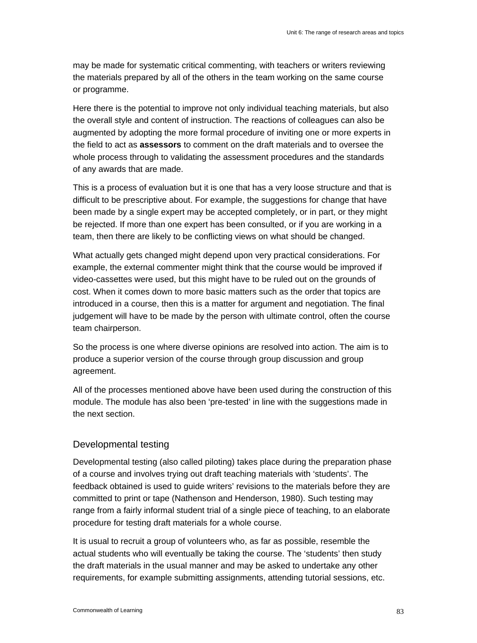may be made for systematic critical commenting, with teachers or writers reviewing the materials prepared by all of the others in the team working on the same course or programme.

Here there is the potential to improve not only individual teaching materials, but also the overall style and content of instruction. The reactions of colleagues can also be augmented by adopting the more formal procedure of inviting one or more experts in the field to act as **assessors** to comment on the draft materials and to oversee the whole process through to validating the assessment procedures and the standards of any awards that are made.

This is a process of evaluation but it is one that has a very loose structure and that is difficult to be prescriptive about. For example, the suggestions for change that have been made by a single expert may be accepted completely, or in part, or they might be rejected. If more than one expert has been consulted, or if you are working in a team, then there are likely to be conflicting views on what should be changed.

What actually gets changed might depend upon very practical considerations. For example, the external commenter might think that the course would be improved if video-cassettes were used, but this might have to be ruled out on the grounds of cost. When it comes down to more basic matters such as the order that topics are introduced in a course, then this is a matter for argument and negotiation. The final judgement will have to be made by the person with ultimate control, often the course team chairperson.

So the process is one where diverse opinions are resolved into action. The aim is to produce a superior version of the course through group discussion and group agreement.

All of the processes mentioned above have been used during the construction of this module. The module has also been 'pre-tested' in line with the suggestions made in the next section.

### Developmental testing

Developmental testing (also called piloting) takes place during the preparation phase of a course and involves trying out draft teaching materials with 'students'. The feedback obtained is used to guide writers' revisions to the materials before they are committed to print or tape (Nathenson and Henderson, 1980). Such testing may range from a fairly informal student trial of a single piece of teaching, to an elaborate procedure for testing draft materials for a whole course.

It is usual to recruit a group of volunteers who, as far as possible, resemble the actual students who will eventually be taking the course. The 'students' then study the draft materials in the usual manner and may be asked to undertake any other requirements, for example submitting assignments, attending tutorial sessions, etc.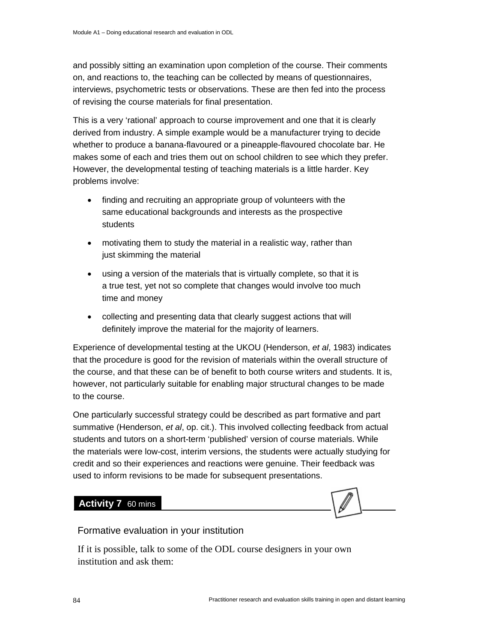and possibly sitting an examination upon completion of the course. Their comments on, and reactions to, the teaching can be collected by means of questionnaires, interviews, psychometric tests or observations. These are then fed into the process of revising the course materials for final presentation.

This is a very 'rational' approach to course improvement and one that it is clearly derived from industry. A simple example would be a manufacturer trying to decide whether to produce a banana-flavoured or a pineapple-flavoured chocolate bar. He makes some of each and tries them out on school children to see which they prefer. However, the developmental testing of teaching materials is a little harder. Key problems involve:

- finding and recruiting an appropriate group of volunteers with the same educational backgrounds and interests as the prospective students
- motivating them to study the material in a realistic way, rather than just skimming the material
- using a version of the materials that is virtually complete, so that it is a true test, yet not so complete that changes would involve too much time and money
- collecting and presenting data that clearly suggest actions that will definitely improve the material for the majority of learners.

Experience of developmental testing at the UKOU (Henderson, *et al*, 1983) indicates that the procedure is good for the revision of materials within the overall structure of the course, and that these can be of benefit to both course writers and students. It is, however, not particularly suitable for enabling major structural changes to be made to the course.

One particularly successful strategy could be described as part formative and part summative (Henderson, *et al*, op. cit.). This involved collecting feedback from actual students and tutors on a short-term 'published' version of course materials. While the materials were low-cost, interim versions, the students were actually studying for credit and so their experiences and reactions were genuine. Their feedback was used to inform revisions to be made for subsequent presentations.

### **Activity 7** 60 mins



### Formative evaluation in your institution

If it is possible, talk to some of the ODL course designers in your own institution and ask them: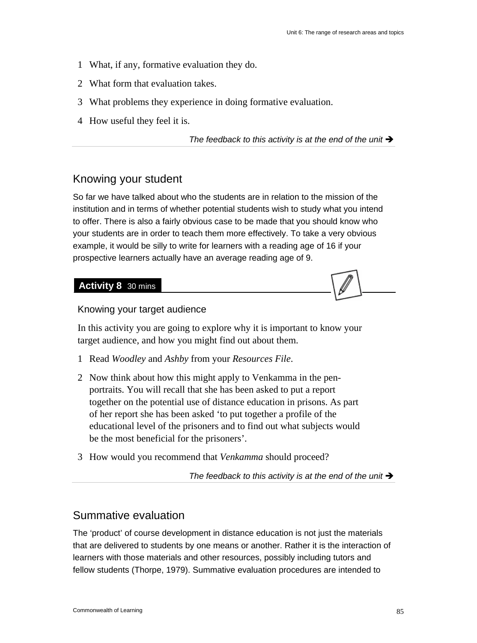- 1 What, if any, formative evaluation they do.
- 2 What form that evaluation takes.
- 3 What problems they experience in doing formative evaluation.
- 4 How useful they feel it is.

The feedback to this activity is at the end of the unit  $\rightarrow$ 

### Knowing your student

So far we have talked about who the students are in relation to the mission of the institution and in terms of whether potential students wish to study what you intend to offer. There is also a fairly obvious case to be made that you should know who your students are in order to teach them more effectively. To take a very obvious example, it would be silly to write for learners with a reading age of 16 if your prospective learners actually have an average reading age of 9.

#### **Activity 8** 30 mins

Knowing your target audience

In this activity you are going to explore why it is important to know your target audience, and how you might find out about them.

- 1 Read *Woodley* and *Ashby* from your *Resources File*.
- 2 Now think about how this might apply to Venkamma in the penportraits. You will recall that she has been asked to put a report together on the potential use of distance education in prisons. As part of her report she has been asked 'to put together a profile of the educational level of the prisoners and to find out what subjects would be the most beneficial for the prisoners'.
- 3 How would you recommend that *Venkamma* should proceed?

The feedback to this activity is at the end of the unit  $\rightarrow$ 

### Summative evaluation

The 'product' of course development in distance education is not just the materials that are delivered to students by one means or another. Rather it is the interaction of learners with those materials and other resources, possibly including tutors and fellow students (Thorpe, 1979). Summative evaluation procedures are intended to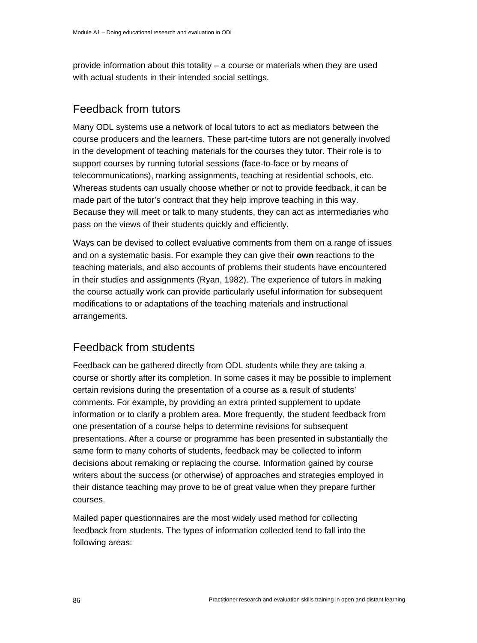provide information about this totality – a course or materials when they are used with actual students in their intended social settings.

### Feedback from tutors

Many ODL systems use a network of local tutors to act as mediators between the course producers and the learners. These part-time tutors are not generally involved in the development of teaching materials for the courses they tutor. Their role is to support courses by running tutorial sessions (face-to-face or by means of telecommunications), marking assignments, teaching at residential schools, etc. Whereas students can usually choose whether or not to provide feedback, it can be made part of the tutor's contract that they help improve teaching in this way. Because they will meet or talk to many students, they can act as intermediaries who pass on the views of their students quickly and efficiently.

Ways can be devised to collect evaluative comments from them on a range of issues and on a systematic basis. For example they can give their **own** reactions to the teaching materials, and also accounts of problems their students have encountered in their studies and assignments (Ryan, 1982). The experience of tutors in making the course actually work can provide particularly useful information for subsequent modifications to or adaptations of the teaching materials and instructional arrangements.

### Feedback from students

Feedback can be gathered directly from ODL students while they are taking a course or shortly after its completion. In some cases it may be possible to implement certain revisions during the presentation of a course as a result of students' comments. For example, by providing an extra printed supplement to update information or to clarify a problem area. More frequently, the student feedback from one presentation of a course helps to determine revisions for subsequent presentations. After a course or programme has been presented in substantially the same form to many cohorts of students, feedback may be collected to inform decisions about remaking or replacing the course. Information gained by course writers about the success (or otherwise) of approaches and strategies employed in their distance teaching may prove to be of great value when they prepare further courses.

Mailed paper questionnaires are the most widely used method for collecting feedback from students. The types of information collected tend to fall into the following areas: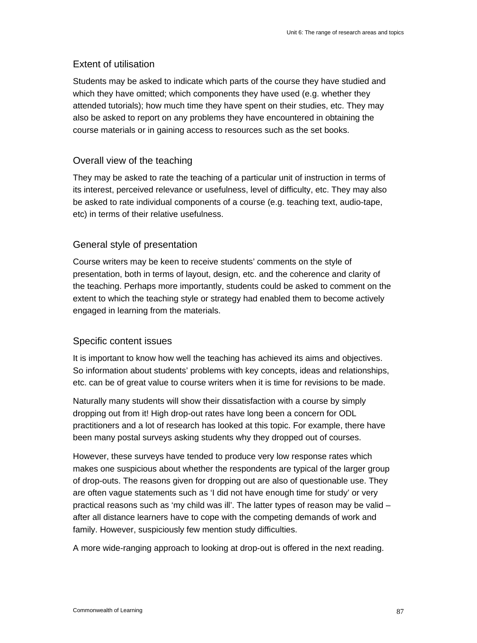### Extent of utilisation

Students may be asked to indicate which parts of the course they have studied and which they have omitted; which components they have used (e.g. whether they attended tutorials); how much time they have spent on their studies, etc. They may also be asked to report on any problems they have encountered in obtaining the course materials or in gaining access to resources such as the set books.

### Overall view of the teaching

They may be asked to rate the teaching of a particular unit of instruction in terms of its interest, perceived relevance or usefulness, level of difficulty, etc. They may also be asked to rate individual components of a course (e.g. teaching text, audio-tape, etc) in terms of their relative usefulness.

### General style of presentation

Course writers may be keen to receive students' comments on the style of presentation, both in terms of layout, design, etc. and the coherence and clarity of the teaching. Perhaps more importantly, students could be asked to comment on the extent to which the teaching style or strategy had enabled them to become actively engaged in learning from the materials.

### Specific content issues

It is important to know how well the teaching has achieved its aims and objectives. So information about students' problems with key concepts, ideas and relationships, etc. can be of great value to course writers when it is time for revisions to be made.

Naturally many students will show their dissatisfaction with a course by simply dropping out from it! High drop-out rates have long been a concern for ODL practitioners and a lot of research has looked at this topic. For example, there have been many postal surveys asking students why they dropped out of courses.

However, these surveys have tended to produce very low response rates which makes one suspicious about whether the respondents are typical of the larger group of drop-outs. The reasons given for dropping out are also of questionable use. They are often vague statements such as 'I did not have enough time for study' or very practical reasons such as 'my child was ill'. The latter types of reason may be valid – after all distance learners have to cope with the competing demands of work and family. However, suspiciously few mention study difficulties.

A more wide-ranging approach to looking at drop-out is offered in the next reading.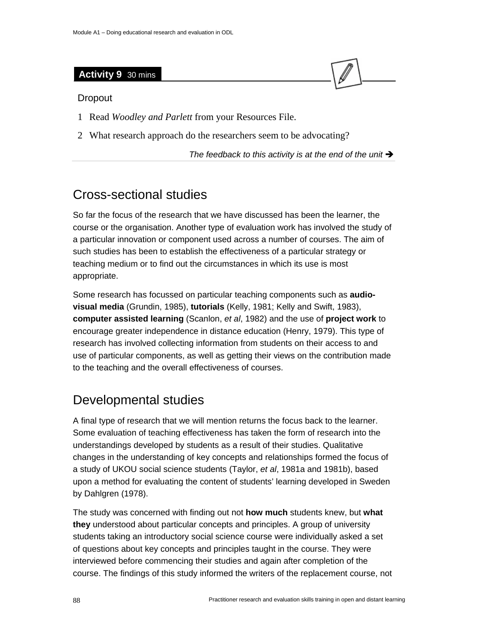### **Activity 9** 30 mins

#### Dropout

- 1 Read *Woodley and Parlett* from your Resources File.
- 2 What research approach do the researchers seem to be advocating?

The feedback to this activity is at the end of the unit  $\rightarrow$ 

# Cross-sectional studies

So far the focus of the research that we have discussed has been the learner, the course or the organisation. Another type of evaluation work has involved the study of a particular innovation or component used across a number of courses. The aim of such studies has been to establish the effectiveness of a particular strategy or teaching medium or to find out the circumstances in which its use is most appropriate.

Some research has focussed on particular teaching components such as **audiovisual media** (Grundin, 1985), **tutorials** (Kelly, 1981; Kelly and Swift, 1983), **computer assisted learning** (Scanlon, *et al*, 1982) and the use of **project work** to encourage greater independence in distance education (Henry, 1979). This type of research has involved collecting information from students on their access to and use of particular components, as well as getting their views on the contribution made to the teaching and the overall effectiveness of courses.

# Developmental studies

A final type of research that we will mention returns the focus back to the learner. Some evaluation of teaching effectiveness has taken the form of research into the understandings developed by students as a result of their studies. Qualitative changes in the understanding of key concepts and relationships formed the focus of a study of UKOU social science students (Taylor, *et al*, 1981a and 1981b), based upon a method for evaluating the content of students' learning developed in Sweden by Dahlgren (1978).

The study was concerned with finding out not **how much** students knew, but **what they** understood about particular concepts and principles. A group of university students taking an introductory social science course were individually asked a set of questions about key concepts and principles taught in the course. They were interviewed before commencing their studies and again after completion of the course. The findings of this study informed the writers of the replacement course, not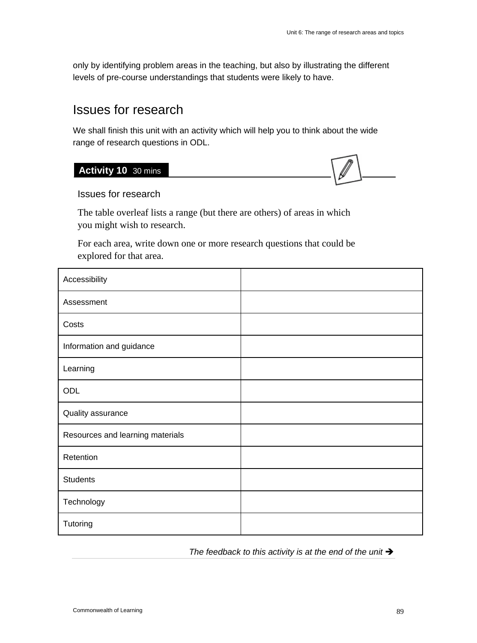only by identifying problem areas in the teaching, but also by illustrating the different levels of pre-course understandings that students were likely to have.

# Issues for research

We shall finish this unit with an activity which will help you to think about the wide range of research questions in ODL.

### **Activity 10** 30 mins

# Issues for research

The table overleaf lists a range (but there are others) of areas in which you might wish to research.

For each area, write down one or more research questions that could be explored for that area.

| Accessibility                    |  |
|----------------------------------|--|
| Assessment                       |  |
| Costs                            |  |
| Information and guidance         |  |
| Learning                         |  |
| ODL                              |  |
| Quality assurance                |  |
| Resources and learning materials |  |
| Retention                        |  |
| <b>Students</b>                  |  |
| Technology                       |  |
| Tutoring                         |  |

The feedback to this activity is at the end of the unit  $\rightarrow$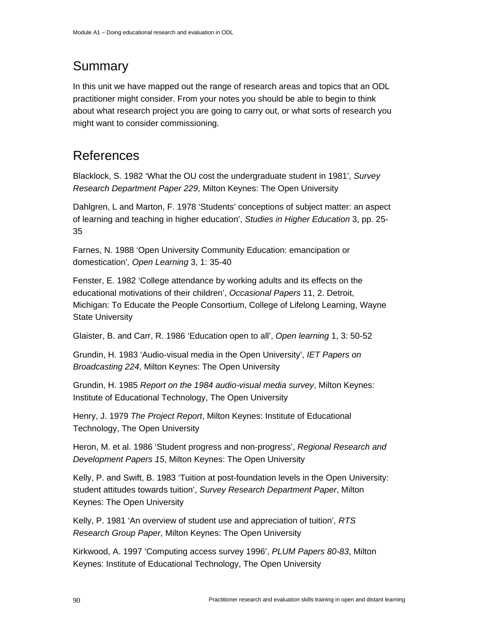# Summary

In this unit we have mapped out the range of research areas and topics that an ODL practitioner might consider. From your notes you should be able to begin to think about what research project you are going to carry out, or what sorts of research you might want to consider commissioning.

# References

Blacklock, S. 1982 'What the OU cost the undergraduate student in 1981', *Survey Research Department Paper 229*, Milton Keynes: The Open University

Dahlgren, L and Marton, F. 1978 'Students' conceptions of subject matter: an aspect of learning and teaching in higher education', *Studies in Higher Education* 3, pp. 25- 35

Farnes, N. 1988 'Open University Community Education: emancipation or domestication'*, Open Learning* 3, 1: 35-40

Fenster, E. 1982 'College attendance by working adults and its effects on the educational motivations of their children', *Occasional Papers* 11, 2. Detroit, Michigan: To Educate the People Consortium, College of Lifelong Learning, Wayne State University

Glaister, B. and Carr, R. 1986 'Education open to all', *Open learning* 1, 3: 50-52

Grundin, H. 1983 'Audio-visual media in the Open University', *IET Papers on Broadcasting 224*, Milton Keynes: The Open University

Grundin, H. 1985 *Report on the 1984 audio-visual media survey*, Milton Keynes: Institute of Educational Technology, The Open University

Henry, J. 1979 *The Project Report*, Milton Keynes: Institute of Educational Technology, The Open University

Heron, M. et al. 1986 'Student progress and non-progress', *Regional Research and Development Papers 15*, Milton Keynes: The Open University

Kelly, P. and Swift, B. 1983 'Tuition at post-foundation levels in the Open University: student attitudes towards tuition', *Survey Research Department Paper*, Milton Keynes: The Open University

Kelly, P. 1981 'An overview of student use and appreciation of tuition'*, RTS Research Group Paper*, Milton Keynes: The Open University

Kirkwood, A. 1997 'Computing access survey 1996', *PLUM Papers 80-83*, Milton Keynes: Institute of Educational Technology, The Open University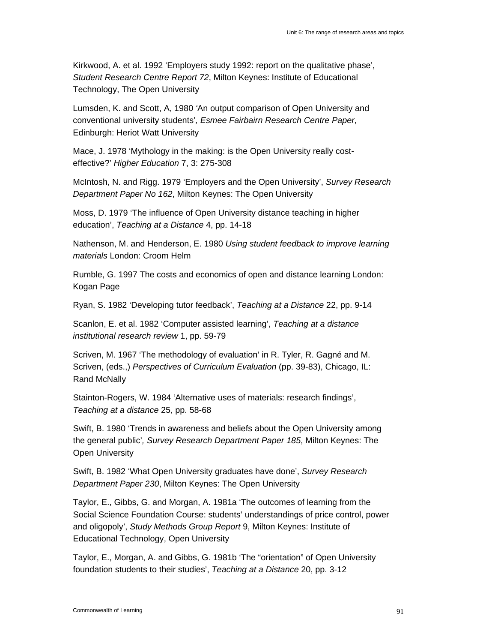Kirkwood, A. et al. 1992 'Employers study 1992: report on the qualitative phase', *Student Research Centre Report 72*, Milton Keynes: Institute of Educational Technology, The Open University

Lumsden, K. and Scott, A, 1980 *'*An output comparison of Open University and conventional university students'*, Esmee Fairbairn Research Centre Paper*, Edinburgh: Heriot Watt University

Mace, J. 1978 'Mythology in the making: is the Open University really costeffective?' *Higher Education* 7, 3: 275-308

McIntosh, N. and Rigg. 1979 'Employers and the Open University', *Survey Research Department Paper No 162*, Milton Keynes: The Open University

Moss, D. 1979 'The influence of Open University distance teaching in higher education', *Teaching at a Distance* 4, pp. 14-18

Nathenson, M. and Henderson, E. 1980 *Using student feedback to improve learning materials* London: Croom Helm

Rumble, G. 1997 The costs and economics of open and distance learning London: Kogan Page

Ryan, S. 1982 'Developing tutor feedback', *Teaching at a Distance* 22, pp. 9-14

Scanlon, E. et al. 1982 'Computer assisted learning', *Teaching at a distance institutional research review* 1, pp. 59-79

Scriven, M. 1967 'The methodology of evaluation' in R. Tyler, R. Gagné and M. Scriven, (eds.,) *Perspectives of Curriculum Evaluation* (pp. 39-83), Chicago, IL: Rand McNally

Stainton-Rogers, W. 1984 'Alternative uses of materials: research findings', *Teaching at a distance* 25, pp. 58-68

Swift, B. 1980 'Trends in awareness and beliefs about the Open University among the general public'*, Survey Research Department Paper 185*, Milton Keynes: The Open University

Swift, B. 1982 'What Open University graduates have done', *Survey Research Department Paper 230*, Milton Keynes: The Open University

Taylor, E., Gibbs, G. and Morgan, A. 1981a 'The outcomes of learning from the Social Science Foundation Course: students' understandings of price control, power and oligopoly', *Study Methods Group Report* 9, Milton Keynes: Institute of Educational Technology, Open University

Taylor, E., Morgan, A. and Gibbs, G. 1981b 'The "orientation" of Open University foundation students to their studies', *Teaching at a Distance* 20, pp. 3-12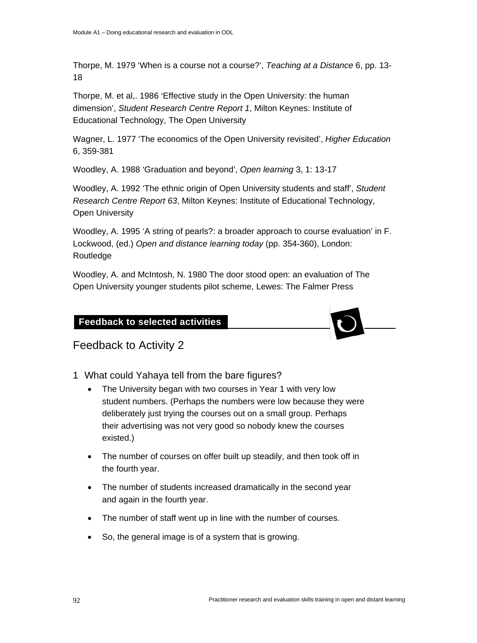Thorpe, M. 1979 'When is a course not a course?', *Teaching at a Distance* 6, pp. 13- 18

Thorpe, M. et al,. 1986 'Effective study in the Open University: the human dimension', *Student Research Centre Report 1*, Milton Keynes: Institute of Educational Technology, The Open University

Wagner, L. 1977 'The economics of the Open University revisited', *Higher Education* 6, 359-381

Woodley, A. 1988 'Graduation and beyond', *Open learning* 3, 1: 13-17

Woodley, A. 1992 'The ethnic origin of Open University students and staff', *Student Research Centre Report 63*, Milton Keynes: Institute of Educational Technology, Open University

Woodley, A. 1995 'A string of pearls?: a broader approach to course evaluation' in F. Lockwood, (ed.) *Open and distance learning today* (pp. 354-360), London: Routledge

Woodley, A. and McIntosh, N. 1980 The door stood open: an evaluation of The Open University younger students pilot scheme, Lewes: The Falmer Press

### **Feedback to selected activities**



### Feedback to Activity 2

**Feedback to selected activities** 

- 1 What could Yahaya tell from the bare figures?
	- The University began with two courses in Year 1 with very low student numbers. (Perhaps the numbers were low because they were deliberately just trying the courses out on a small group. Perhaps their advertising was not very good so nobody knew the courses existed.)
	- The number of courses on offer built up steadily, and then took off in the fourth year.
	- The number of students increased dramatically in the second year and again in the fourth year.
	- The number of staff went up in line with the number of courses.
	- So, the general image is of a system that is growing.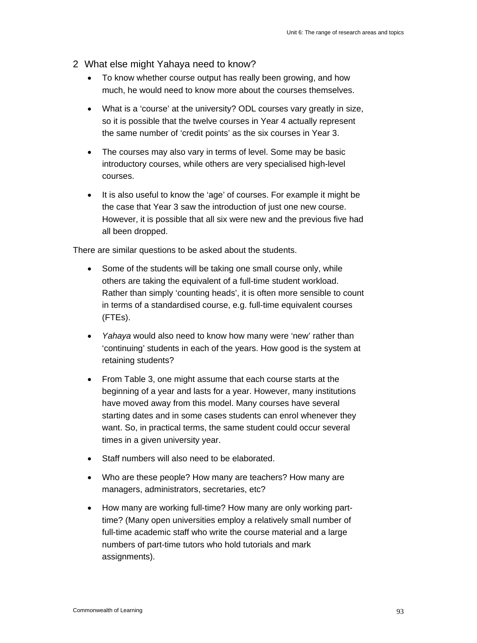- 2 What else might Yahaya need to know?
	- To know whether course output has really been growing, and how much, he would need to know more about the courses themselves.
	- What is a 'course' at the university? ODL courses vary greatly in size, so it is possible that the twelve courses in Year 4 actually represent the same number of 'credit points' as the six courses in Year 3.
	- The courses may also vary in terms of level. Some may be basic introductory courses, while others are very specialised high-level courses.
	- It is also useful to know the 'age' of courses. For example it might be the case that Year 3 saw the introduction of just one new course. However, it is possible that all six were new and the previous five had all been dropped.

There are similar questions to be asked about the students.

- Some of the students will be taking one small course only, while others are taking the equivalent of a full-time student workload. Rather than simply 'counting heads', it is often more sensible to count in terms of a standardised course, e.g. full-time equivalent courses (FTEs).
- *Yahaya* would also need to know how many were 'new' rather than 'continuing' students in each of the years. How good is the system at retaining students?
- From Table 3, one might assume that each course starts at the beginning of a year and lasts for a year. However, many institutions have moved away from this model. Many courses have several starting dates and in some cases students can enrol whenever they want. So, in practical terms, the same student could occur several times in a given university year.
- Staff numbers will also need to be elaborated.
- Who are these people? How many are teachers? How many are managers, administrators, secretaries, etc?
- How many are working full-time? How many are only working parttime? (Many open universities employ a relatively small number of full-time academic staff who write the course material and a large numbers of part-time tutors who hold tutorials and mark assignments).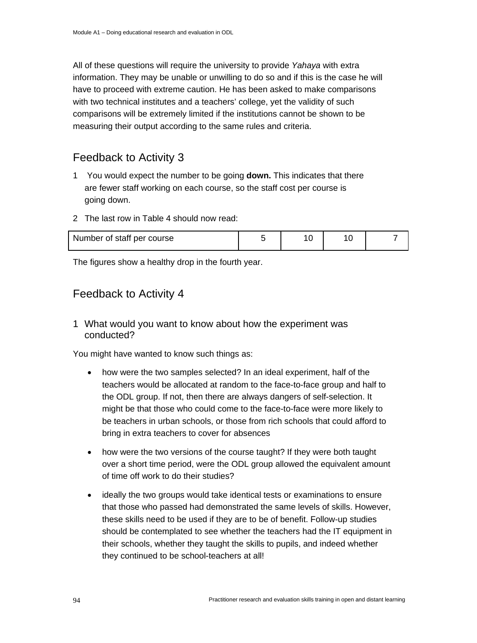All of these questions will require the university to provide *Yahaya* with extra information. They may be unable or unwilling to do so and if this is the case he will have to proceed with extreme caution. He has been asked to make comparisons with two technical institutes and a teachers' college, yet the validity of such comparisons will be extremely limited if the institutions cannot be shown to be measuring their output according to the same rules and criteria.

### Feedback to Activity 3

- 1 You would expect the number to be going **down.** This indicates that there are fewer staff working on each course, so the staff cost per course is going down.
- 2 The last row in Table 4 should now read:

| Number of staff per course |  |  |  |  |
|----------------------------|--|--|--|--|
|----------------------------|--|--|--|--|

The figures show a healthy drop in the fourth year.

### Feedback to Activity 4

1 What would you want to know about how the experiment was conducted?

You might have wanted to know such things as:

- how were the two samples selected? In an ideal experiment, half of the teachers would be allocated at random to the face-to-face group and half to the ODL group. If not, then there are always dangers of self-selection. It might be that those who could come to the face-to-face were more likely to be teachers in urban schools, or those from rich schools that could afford to bring in extra teachers to cover for absences
- how were the two versions of the course taught? If they were both taught over a short time period, were the ODL group allowed the equivalent amount of time off work to do their studies?
- ideally the two groups would take identical tests or examinations to ensure that those who passed had demonstrated the same levels of skills. However, these skills need to be used if they are to be of benefit. Follow-up studies should be contemplated to see whether the teachers had the IT equipment in their schools, whether they taught the skills to pupils, and indeed whether they continued to be school-teachers at all!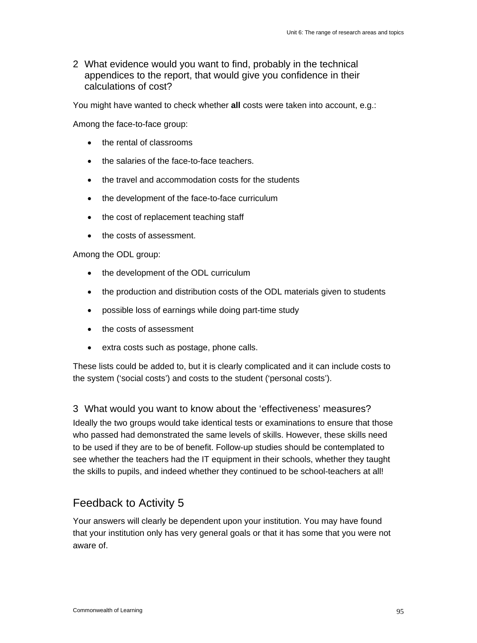2 What evidence would you want to find, probably in the technical appendices to the report, that would give you confidence in their calculations of cost?

You might have wanted to check whether **all** costs were taken into account, e.g.:

Among the face-to-face group:

- the rental of classrooms
- the salaries of the face-to-face teachers.
- the travel and accommodation costs for the students
- the development of the face-to-face curriculum
- the cost of replacement teaching staff
- the costs of assessment.

#### Among the ODL group:

- the development of the ODL curriculum
- the production and distribution costs of the ODL materials given to students
- possible loss of earnings while doing part-time study
- the costs of assessment
- extra costs such as postage, phone calls.

These lists could be added to, but it is clearly complicated and it can include costs to the system ('social costs') and costs to the student ('personal costs').

3 What would you want to know about the 'effectiveness' measures?

Ideally the two groups would take identical tests or examinations to ensure that those who passed had demonstrated the same levels of skills. However, these skills need to be used if they are to be of benefit. Follow-up studies should be contemplated to see whether the teachers had the IT equipment in their schools, whether they taught the skills to pupils, and indeed whether they continued to be school-teachers at all!

### Feedback to Activity 5

Your answers will clearly be dependent upon your institution. You may have found that your institution only has very general goals or that it has some that you were not aware of.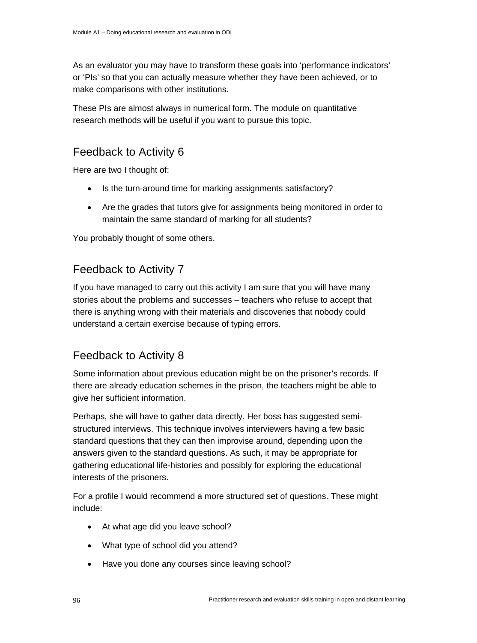As an evaluator you may have to transform these goals into 'performance indicators' or 'PIs' so that you can actually measure whether they have been achieved, or to make comparisons with other institutions.

These PIs are almost always in numerical form. The module on quantitative research methods will be useful if you want to pursue this topic.

### Feedback to Activity 6

Here are two I thought of:

- Is the turn-around time for marking assignments satisfactory?
- Are the grades that tutors give for assignments being monitored in order to maintain the same standard of marking for all students?

You probably thought of some others.

### Feedback to Activity 7

If you have managed to carry out this activity I am sure that you will have many stories about the problems and successes – teachers who refuse to accept that there is anything wrong with their materials and discoveries that nobody could understand a certain exercise because of typing errors.

### Feedback to Activity 8

Some information about previous education might be on the prisoner's records. If there are already education schemes in the prison, the teachers might be able to give her sufficient information.

Perhaps, she will have to gather data directly. Her boss has suggested semistructured interviews. This technique involves interviewers having a few basic standard questions that they can then improvise around, depending upon the answers given to the standard questions. As such, it may be appropriate for gathering educational life-histories and possibly for exploring the educational interests of the prisoners.

For a profile I would recommend a more structured set of questions. These might include:

- At what age did you leave school?
- What type of school did you attend?
- Have you done any courses since leaving school?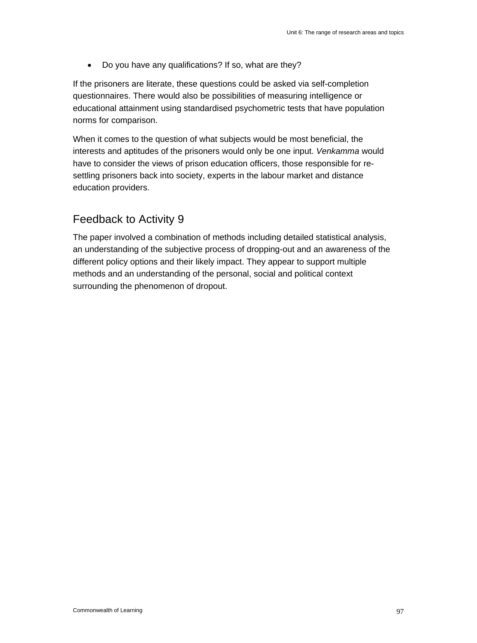• Do you have any qualifications? If so, what are they?

If the prisoners are literate, these questions could be asked via self-completion questionnaires. There would also be possibilities of measuring intelligence or educational attainment using standardised psychometric tests that have population norms for comparison.

When it comes to the question of what subjects would be most beneficial, the interests and aptitudes of the prisoners would only be one input. *Venkamma* would have to consider the views of prison education officers, those responsible for resettling prisoners back into society, experts in the labour market and distance education providers.

### Feedback to Activity 9

The paper involved a combination of methods including detailed statistical analysis, an understanding of the subjective process of dropping-out and an awareness of the different policy options and their likely impact. They appear to support multiple methods and an understanding of the personal, social and political context surrounding the phenomenon of dropout.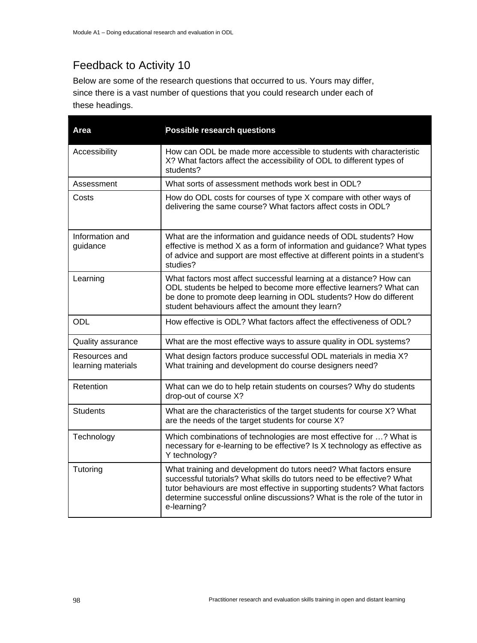# Feedback to Activity 10

Below are some of the research questions that occurred to us. Yours may differ, since there is a vast number of questions that you could research under each of these headings.

| Area                                | <b>Possible research questions</b>                                                                                                                                                                                                                                                                                  |
|-------------------------------------|---------------------------------------------------------------------------------------------------------------------------------------------------------------------------------------------------------------------------------------------------------------------------------------------------------------------|
| Accessibility                       | How can ODL be made more accessible to students with characteristic<br>X? What factors affect the accessibility of ODL to different types of<br>students?                                                                                                                                                           |
| Assessment                          | What sorts of assessment methods work best in ODL?                                                                                                                                                                                                                                                                  |
| Costs                               | How do ODL costs for courses of type X compare with other ways of<br>delivering the same course? What factors affect costs in ODL?                                                                                                                                                                                  |
| Information and<br>guidance         | What are the information and guidance needs of ODL students? How<br>effective is method X as a form of information and guidance? What types<br>of advice and support are most effective at different points in a student's<br>studies?                                                                              |
| Learning                            | What factors most affect successful learning at a distance? How can<br>ODL students be helped to become more effective learners? What can<br>be done to promote deep learning in ODL students? How do different<br>student behaviours affect the amount they learn?                                                 |
| <b>ODL</b>                          | How effective is ODL? What factors affect the effectiveness of ODL?                                                                                                                                                                                                                                                 |
| Quality assurance                   | What are the most effective ways to assure quality in ODL systems?                                                                                                                                                                                                                                                  |
| Resources and<br>learning materials | What design factors produce successful ODL materials in media X?<br>What training and development do course designers need?                                                                                                                                                                                         |
| Retention                           | What can we do to help retain students on courses? Why do students<br>drop-out of course X?                                                                                                                                                                                                                         |
| <b>Students</b>                     | What are the characteristics of the target students for course X? What<br>are the needs of the target students for course X?                                                                                                                                                                                        |
| Technology                          | Which combinations of technologies are most effective for ? What is<br>necessary for e-learning to be effective? Is X technology as effective as<br>Y technology?                                                                                                                                                   |
| Tutoring                            | What training and development do tutors need? What factors ensure<br>successful tutorials? What skills do tutors need to be effective? What<br>tutor behaviours are most effective in supporting students? What factors<br>determine successful online discussions? What is the role of the tutor in<br>e-learning? |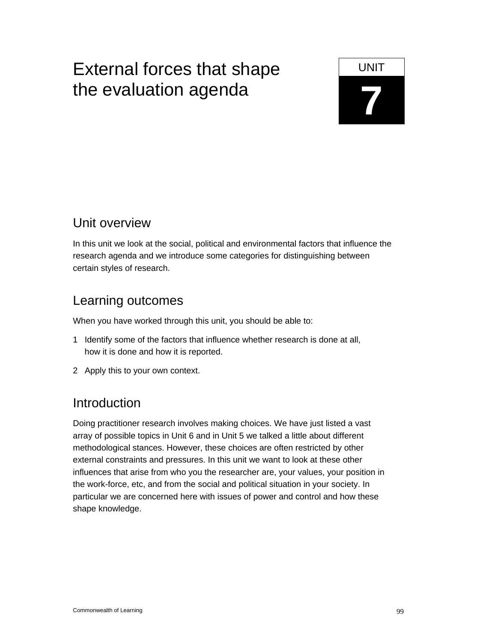# External forces that shape UNIT **7** the evaluation agenda

# Unit overview

In this unit we look at the social, political and environmental factors that influence the research agenda and we introduce some categories for distinguishing between certain styles of research.

# Learning outcomes

When you have worked through this unit, you should be able to:

- 1 Identify some of the factors that influence whether research is done at all, how it is done and how it is reported.
- 2 Apply this to your own context.

# Introduction

Doing practitioner research involves making choices. We have just listed a vast array of possible topics in Unit 6 and in Unit 5 we talked a little about different methodological stances. However, these choices are often restricted by other external constraints and pressures. In this unit we want to look at these other influences that arise from who you the researcher are, your values, your position in the work-force, etc, and from the social and political situation in your society. In particular we are concerned here with issues of power and control and how these shape knowledge.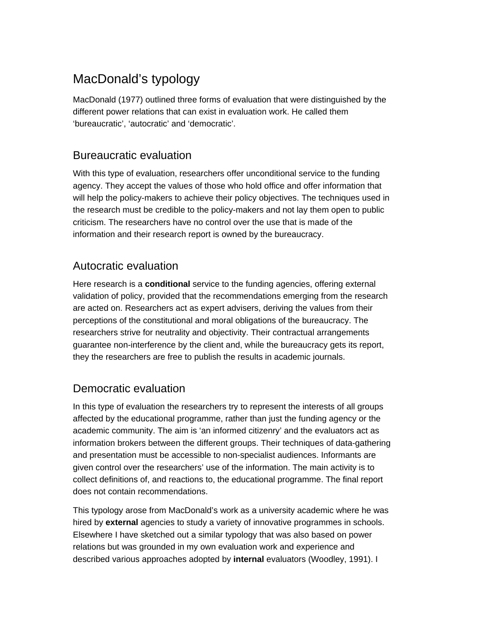# MacDonald's typology

MacDonald (1977) outlined three forms of evaluation that were distinguished by the different power relations that can exist in evaluation work. He called them 'bureaucratic', 'autocratic' and 'democratic'.

### Bureaucratic evaluation

With this type of evaluation, researchers offer unconditional service to the funding agency. They accept the values of those who hold office and offer information that will help the policy-makers to achieve their policy objectives. The techniques used in the research must be credible to the policy-makers and not lay them open to public criticism. The researchers have no control over the use that is made of the information and their research report is owned by the bureaucracy.

### Autocratic evaluation

Here research is a **conditional** service to the funding agencies, offering external validation of policy, provided that the recommendations emerging from the research are acted on. Researchers act as expert advisers, deriving the values from their perceptions of the constitutional and moral obligations of the bureaucracy. The researchers strive for neutrality and objectivity. Their contractual arrangements guarantee non-interference by the client and, while the bureaucracy gets its report, they the researchers are free to publish the results in academic journals.

### Democratic evaluation

In this type of evaluation the researchers try to represent the interests of all groups affected by the educational programme, rather than just the funding agency or the academic community. The aim is 'an informed citizenry' and the evaluators act as information brokers between the different groups. Their techniques of data-gathering and presentation must be accessible to non-specialist audiences. Informants are given control over the researchers' use of the information. The main activity is to collect definitions of, and reactions to, the educational programme. The final report does not contain recommendations.

This typology arose from MacDonald's work as a university academic where he was hired by **external** agencies to study a variety of innovative programmes in schools. Elsewhere I have sketched out a similar typology that was also based on power relations but was grounded in my own evaluation work and experience and described various approaches adopted by **internal** evaluators (Woodley, 1991). I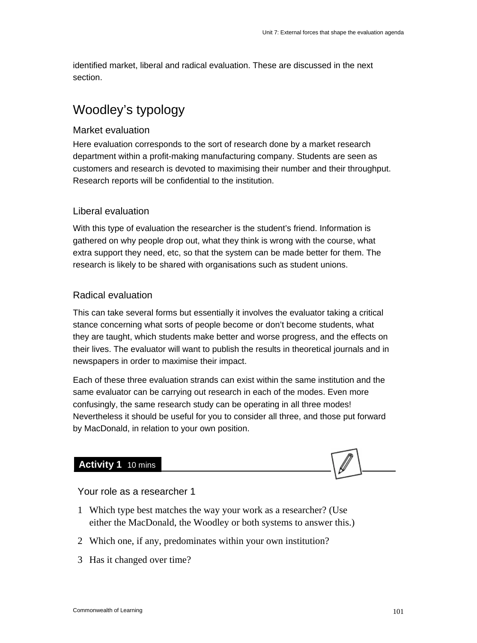identified market, liberal and radical evaluation. These are discussed in the next section.

# Woodley's typology

#### Market evaluation

Here evaluation corresponds to the sort of research done by a market research department within a profit-making manufacturing company. Students are seen as customers and research is devoted to maximising their number and their throughput. Research reports will be confidential to the institution.

### Liberal evaluation

With this type of evaluation the researcher is the student's friend. Information is gathered on why people drop out, what they think is wrong with the course, what extra support they need, etc, so that the system can be made better for them. The research is likely to be shared with organisations such as student unions.

### Radical evaluation

This can take several forms but essentially it involves the evaluator taking a critical stance concerning what sorts of people become or don't become students, what they are taught, which students make better and worse progress, and the effects on their lives. The evaluator will want to publish the results in theoretical journals and in newspapers in order to maximise their impact.

Each of these three evaluation strands can exist within the same institution and the same evaluator can be carrying out research in each of the modes. Even more confusingly, the same research study can be operating in all three modes! Nevertheless it should be useful for you to consider all three, and those put forward by MacDonald, in relation to your own position.

### **Activity 1** 10 mins

Your role as a researcher 1

- 1 Which type best matches the way your work as a researcher? (Use either the MacDonald, the Woodley or both systems to answer this.)
- 2 Which one, if any, predominates within your own institution?
- 3 Has it changed over time?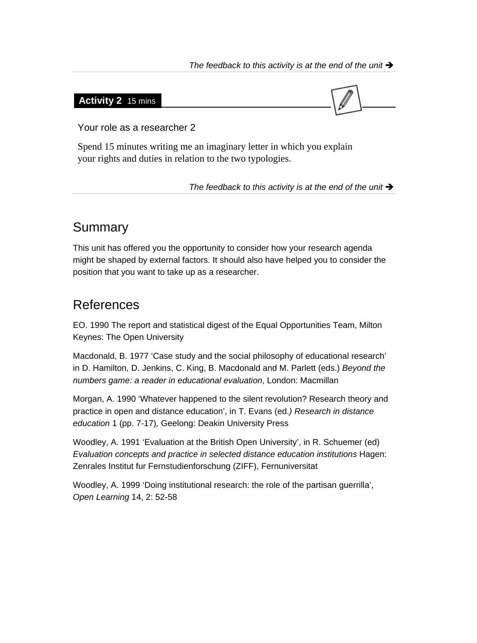#### The feedback to this activity is at the end of the unit  $\rightarrow$

### **Activity 2** 15 mins



Your role as a researcher 2

Spend 15 minutes writing me an imaginary letter in which you explain your rights and duties in relation to the two typologies.

The feedback to this activity is at the end of the unit  $\rightarrow$ 

# Summary

This unit has offered you the opportunity to consider how your research agenda might be shaped by external factors. It should also have helped you to consider the position that you want to take up as a researcher.

# References

EO. 1990 The report and statistical digest of the Equal Opportunities Team, Milton Keynes: The Open University

Macdonald, B. 1977 'Case study and the social philosophy of educational research' in D. Hamilton, D. Jenkins, C. King, B. Macdonald and M. Parlett (eds.) *Beyond the numbers game: a reader in educational evaluation*, London: Macmillan

Morgan, A. 1990 'Whatever happened to the silent revolution? Research theory and practice in open and distance education', in T. Evans (ed.*) Research in distance education* 1 (pp. 7-17)*,* Geelong: Deakin University Press

Woodley, A. 1991 'Evaluation at the British Open University', in R. Schuemer (ed) *Evaluation concepts and practice in selected distance education institutions* Hagen: Zenrales Institut fur Fernstudienforschung (ZIFF), Fernuniversitat

Woodley, A. 1999 'Doing institutional research: the role of the partisan guerrilla', *Open Learning* 14, 2: 52-58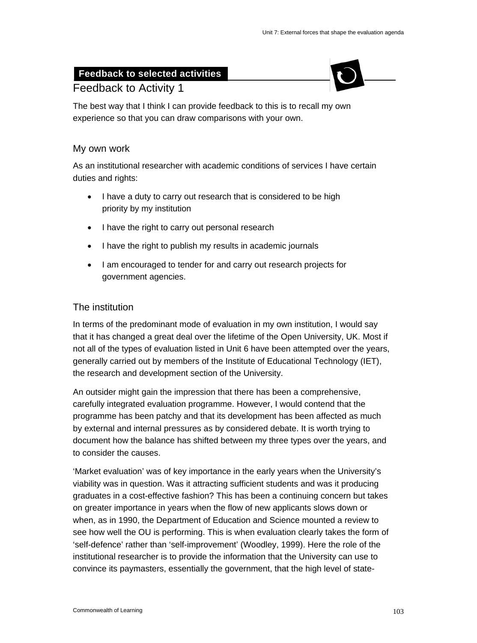### **Feedback to selected activities**



### Feedback to Activity 1

The best way that I think I can provide feedback to this is to recall my own experience so that you can draw comparisons with your own.

### My own work

As an institutional researcher with academic conditions of services I have certain duties and rights:

- I have a duty to carry out research that is considered to be high priority by my institution
- I have the right to carry out personal research
- I have the right to publish my results in academic journals
- I am encouraged to tender for and carry out research projects for government agencies.

### The institution

In terms of the predominant mode of evaluation in my own institution, I would say that it has changed a great deal over the lifetime of the Open University, UK. Most if not all of the types of evaluation listed in Unit 6 have been attempted over the years, generally carried out by members of the Institute of Educational Technology (IET), the research and development section of the University.

An outsider might gain the impression that there has been a comprehensive, carefully integrated evaluation programme. However, I would contend that the programme has been patchy and that its development has been affected as much by external and internal pressures as by considered debate. It is worth trying to document how the balance has shifted between my three types over the years, and to consider the causes.

'Market evaluation' was of key importance in the early years when the University's viability was in question. Was it attracting sufficient students and was it producing graduates in a cost-effective fashion? This has been a continuing concern but takes on greater importance in years when the flow of new applicants slows down or when, as in 1990, the Department of Education and Science mounted a review to see how well the OU is performing. This is when evaluation clearly takes the form of 'self-defence' rather than 'self-improvement' (Woodley, 1999). Here the role of the institutional researcher is to provide the information that the University can use to convince its paymasters, essentially the government, that the high level of state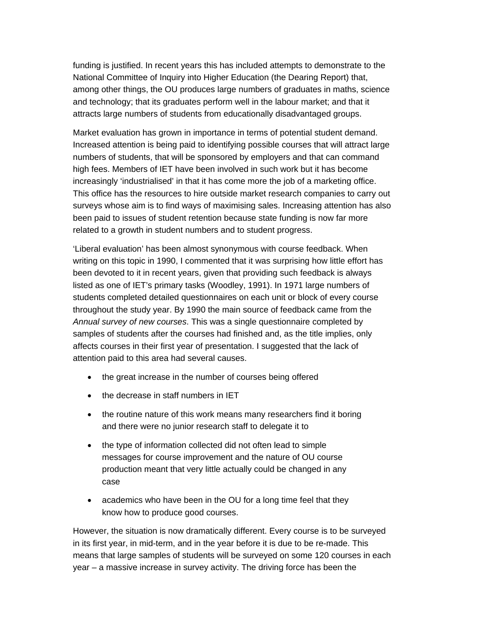funding is justified. In recent years this has included attempts to demonstrate to the National Committee of Inquiry into Higher Education (the Dearing Report) that, among other things, the OU produces large numbers of graduates in maths, science and technology; that its graduates perform well in the labour market; and that it attracts large numbers of students from educationally disadvantaged groups.

Market evaluation has grown in importance in terms of potential student demand. Increased attention is being paid to identifying possible courses that will attract large numbers of students, that will be sponsored by employers and that can command high fees. Members of IET have been involved in such work but it has become increasingly 'industrialised' in that it has come more the job of a marketing office. This office has the resources to hire outside market research companies to carry out surveys whose aim is to find ways of maximising sales. Increasing attention has also been paid to issues of student retention because state funding is now far more related to a growth in student numbers and to student progress.

'Liberal evaluation' has been almost synonymous with course feedback. When writing on this topic in 1990, I commented that it was surprising how little effort has been devoted to it in recent years, given that providing such feedback is always listed as one of IET's primary tasks (Woodley, 1991). In 1971 large numbers of students completed detailed questionnaires on each unit or block of every course throughout the study year. By 1990 the main source of feedback came from the *Annual survey of new courses*. This was a single questionnaire completed by samples of students after the courses had finished and, as the title implies, only affects courses in their first year of presentation. I suggested that the lack of attention paid to this area had several causes.

- the great increase in the number of courses being offered
- the decrease in staff numbers in IET
- the routine nature of this work means many researchers find it boring and there were no junior research staff to delegate it to
- the type of information collected did not often lead to simple messages for course improvement and the nature of OU course production meant that very little actually could be changed in any case
- academics who have been in the OU for a long time feel that they know how to produce good courses.

However, the situation is now dramatically different. Every course is to be surveyed in its first year, in mid-term, and in the year before it is due to be re-made. This means that large samples of students will be surveyed on some 120 courses in each year – a massive increase in survey activity. The driving force has been the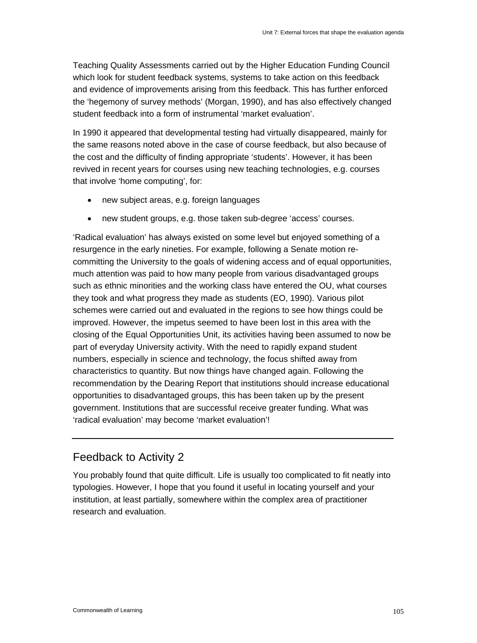Teaching Quality Assessments carried out by the Higher Education Funding Council which look for student feedback systems, systems to take action on this feedback and evidence of improvements arising from this feedback. This has further enforced the 'hegemony of survey methods' (Morgan, 1990), and has also effectively changed student feedback into a form of instrumental 'market evaluation'.

In 1990 it appeared that developmental testing had virtually disappeared, mainly for the same reasons noted above in the case of course feedback, but also because of the cost and the difficulty of finding appropriate 'students'. However, it has been revived in recent years for courses using new teaching technologies, e.g. courses that involve 'home computing', for:

- new subject areas, e.g. foreign languages
- new student groups, e.g. those taken sub-degree 'access' courses.

'Radical evaluation' has always existed on some level but enjoyed something of a resurgence in the early nineties. For example, following a Senate motion recommitting the University to the goals of widening access and of equal opportunities, much attention was paid to how many people from various disadvantaged groups such as ethnic minorities and the working class have entered the OU, what courses they took and what progress they made as students (EO, 1990). Various pilot schemes were carried out and evaluated in the regions to see how things could be improved. However, the impetus seemed to have been lost in this area with the closing of the Equal Opportunities Unit, its activities having been assumed to now be part of everyday University activity. With the need to rapidly expand student numbers, especially in science and technology, the focus shifted away from characteristics to quantity. But now things have changed again. Following the recommendation by the Dearing Report that institutions should increase educational opportunities to disadvantaged groups, this has been taken up by the present government. Institutions that are successful receive greater funding. What was 'radical evaluation' may become 'market evaluation'!

#### Feedback to Activity 2

You probably found that quite difficult. Life is usually too complicated to fit neatly into typologies. However, I hope that you found it useful in locating yourself and your institution, at least partially, somewhere within the complex area of practitioner research and evaluation.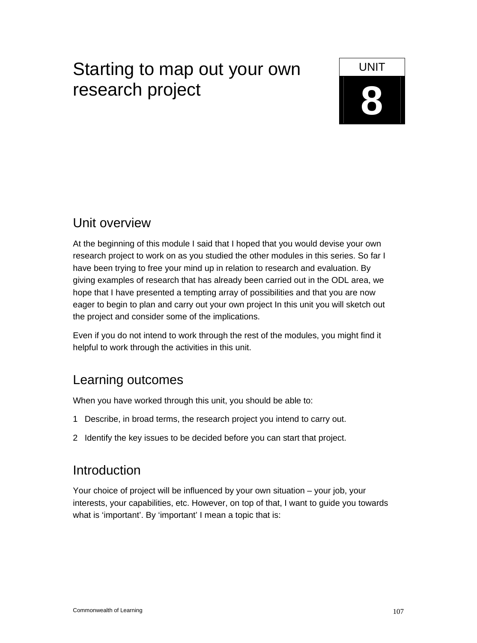# Starting to map out your own  $\Box$  UNIT **8** research project



### Unit overview

At the beginning of this module I said that I hoped that you would devise your own research project to work on as you studied the other modules in this series. So far I have been trying to free your mind up in relation to research and evaluation. By giving examples of research that has already been carried out in the ODL area, we hope that I have presented a tempting array of possibilities and that you are now eager to begin to plan and carry out your own project In this unit you will sketch out the project and consider some of the implications.

Even if you do not intend to work through the rest of the modules, you might find it helpful to work through the activities in this unit.

### Learning outcomes

When you have worked through this unit, you should be able to:

- 1 Describe, in broad terms, the research project you intend to carry out.
- 2 Identify the key issues to be decided before you can start that project.

### Introduction

Your choice of project will be influenced by your own situation – your job, your interests, your capabilities, etc. However, on top of that, I want to guide you towards what is 'important'. By 'important' I mean a topic that is: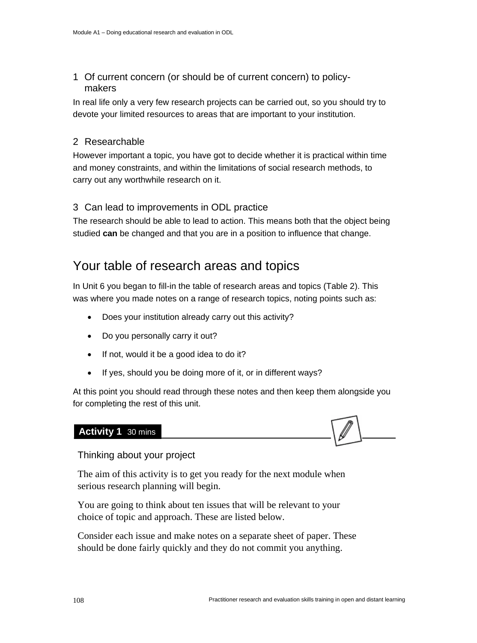1 Of current concern (or should be of current concern) to policymakers

In real life only a very few research projects can be carried out, so you should try to devote your limited resources to areas that are important to your institution.

#### 2 Researchable

However important a topic, you have got to decide whether it is practical within time and money constraints, and within the limitations of social research methods, to carry out any worthwhile research on it.

#### 3 Can lead to improvements in ODL practice

The research should be able to lead to action. This means both that the object being studied **can** be changed and that you are in a position to influence that change.

### Your table of research areas and topics

In Unit 6 you began to fill-in the table of research areas and topics (Table 2). This was where you made notes on a range of research topics, noting points such as:

- Does your institution already carry out this activity?
- Do you personally carry it out?
- If not, would it be a good idea to do it?
- If yes, should you be doing more of it, or in different ways?

At this point you should read through these notes and then keep them alongside you for completing the rest of this unit.

#### **Activity 1** 30 mins

Thinking about your project

The aim of this activity is to get you ready for the next module when serious research planning will begin.

You are going to think about ten issues that will be relevant to your choice of topic and approach. These are listed below.

Consider each issue and make notes on a separate sheet of paper. These should be done fairly quickly and they do not commit you anything.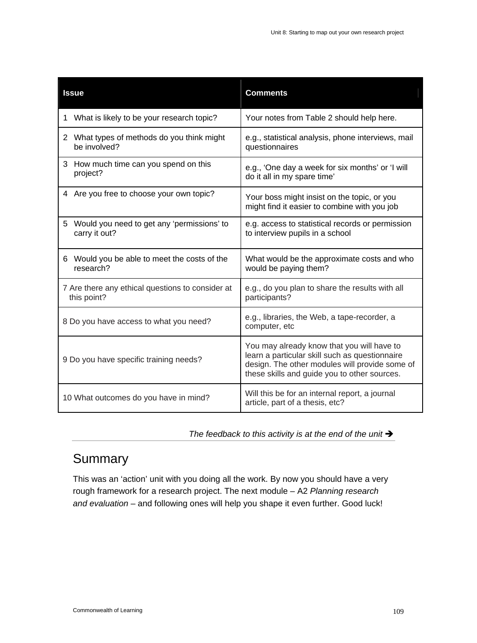| <b>Issue</b>                                                    | <b>Comments</b>                                                                                                                                                                                |
|-----------------------------------------------------------------|------------------------------------------------------------------------------------------------------------------------------------------------------------------------------------------------|
| What is likely to be your research topic?<br>1                  | Your notes from Table 2 should help here.                                                                                                                                                      |
| 2 What types of methods do you think might<br>be involved?      | e.g., statistical analysis, phone interviews, mail<br>questionnaires                                                                                                                           |
| 3 How much time can you spend on this<br>project?               | e.g., 'One day a week for six months' or 'I will<br>do it all in my spare time'                                                                                                                |
| 4 Are you free to choose your own topic?                        | Your boss might insist on the topic, or you<br>might find it easier to combine with you job                                                                                                    |
| 5 Would you need to get any 'permissions' to<br>carry it out?   | e.g. access to statistical records or permission<br>to interview pupils in a school                                                                                                            |
| 6 Would you be able to meet the costs of the<br>research?       | What would be the approximate costs and who<br>would be paying them?                                                                                                                           |
| 7 Are there any ethical questions to consider at<br>this point? | e.g., do you plan to share the results with all<br>participants?                                                                                                                               |
| 8 Do you have access to what you need?                          | e.g., libraries, the Web, a tape-recorder, a<br>computer, etc                                                                                                                                  |
| 9 Do you have specific training needs?                          | You may already know that you will have to<br>learn a particular skill such as questionnaire<br>design. The other modules will provide some of<br>these skills and guide you to other sources. |
| 10 What outcomes do you have in mind?                           | Will this be for an internal report, a journal<br>article, part of a thesis, etc?                                                                                                              |

The feedback to this activity is at the end of the unit  $\rightarrow$ 

### **Summary**

This was an 'action' unit with you doing all the work. By now you should have a very rough framework for a research project. The next module – A2 *Planning research and evaluation* – and following ones will help you shape it even further. Good luck!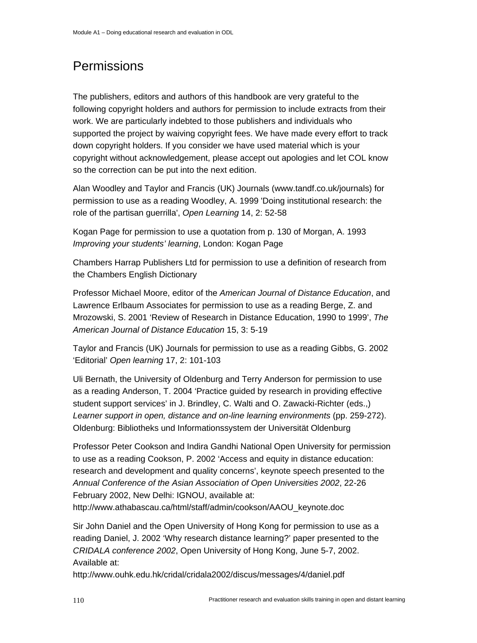## **Permissions**

The publishers, editors and authors of this handbook are very grateful to the following copyright holders and authors for permission to include extracts from their work. We are particularly indebted to those publishers and individuals who supported the project by waiving copyright fees. We have made every effort to track down copyright holders. If you consider we have used material which is your copyright without acknowledgement, please accept out apologies and let COL know so the correction can be put into the next edition.

Alan Woodley and Taylor and Francis (UK) Journals (www.tandf.co.uk/journals) for permission to use as a reading Woodley, A. 1999 'Doing institutional research: the role of the partisan guerrilla', *Open Learning* 14, 2: 52-58

Kogan Page for permission to use a quotation from p. 130 of Morgan, A. 1993 *Improving your students' learning*, London: Kogan Page

Chambers Harrap Publishers Ltd for permission to use a definition of research from the Chambers English Dictionary

Professor Michael Moore, editor of the *American Journal of Distance Education*, and Lawrence Erlbaum Associates for permission to use as a reading Berge, Z. and Mrozowski, S. 2001 'Review of Research in Distance Education, 1990 to 1999', *The American Journal of Distance Education* 15, 3: 5-19

Taylor and Francis (UK) Journals for permission to use as a reading Gibbs, G. 2002 'Editorial' *Open learning* 17, 2: 101-103

Uli Bernath, the University of Oldenburg and Terry Anderson for permission to use as a reading Anderson, T. 2004 'Practice guided by research in providing effective student support services' in J. Brindley, C. Walti and O. Zawacki-Richter (eds.,) *Learner support in open, distance and on-line learning environments* (pp. 259-272). Oldenburg: Bibliotheks und Informationssystem der Universität Oldenburg

Professor Peter Cookson and Indira Gandhi National Open University for permission to use as a reading Cookson, P. 2002 'Access and equity in distance education: research and development and quality concerns', keynote speech presented to the *Annual Conference of the Asian Association of Open Universities 2002*, 22-26 February 2002, New Delhi: IGNOU, available at:

http://www.athabascau.ca/html/staff/admin/cookson/AAOU\_keynote.doc

Sir John Daniel and the Open University of Hong Kong for permission to use as a reading Daniel, J. 2002 'Why research distance learning?' paper presented to the *CRIDALA conference 2002*, Open University of Hong Kong, June 5-7, 2002. Available at:

http://www.ouhk.edu.hk/cridal/cridala2002/discus/messages/4/daniel.pdf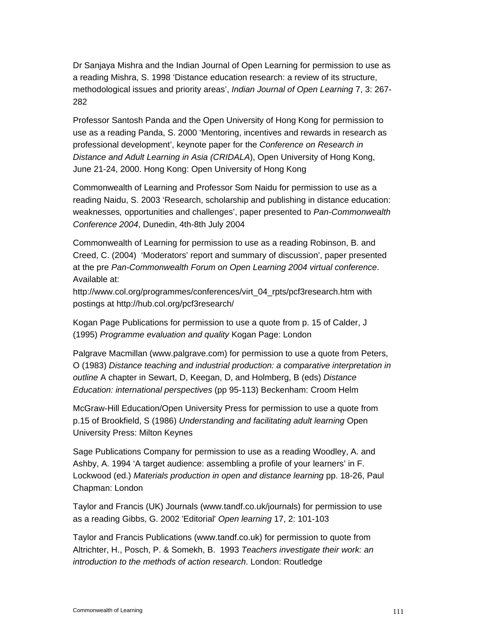Dr Sanjaya Mishra and the Indian Journal of Open Learning for permission to use as a reading Mishra, S. 1998 'Distance education research: a review of its structure, methodological issues and priority areas', *Indian Journal of Open Learning* 7, 3: 267- 282

Professor Santosh Panda and the Open University of Hong Kong for permission to use as a reading Panda, S. 2000 'Mentoring, incentives and rewards in research as professional development', keynote paper for the *Conference on Research in Distance and Adult Learning in Asia (CRIDALA*), Open University of Hong Kong, June 21-24, 2000. Hong Kong: Open University of Hong Kong

Commonwealth of Learning and Professor Som Naidu for permission to use as a reading Naidu, S. 2003 'Research, scholarship and publishing in distance education: weaknesses*,* opportunities and challenges', paper presented to *Pan-Commonwealth Conference 2004*, Dunedin, 4th-8th July 2004

Commonwealth of Learning for permission to use as a reading Robinson, B. and Creed, C. (2004) 'Moderators' report and summary of discussion', paper presented at the pre *Pan-Commonwealth Forum on Open Learning 2004 virtual conference*. Available at:

http://www.col.org/programmes/conferences/virt\_04\_rpts/pcf3research.htm with postings at http://hub.col.org/pcf3research/

Kogan Page Publications for permission to use a quote from p. 15 of Calder, J (1995) *Programme evaluation and quality* Kogan Page: London

Palgrave Macmillan (www.palgrave.com) for permission to use a quote from Peters, O (1983) *Distance teaching and industrial production: a comparative interpretation in outline* A chapter in Sewart, D, Keegan, D, and Holmberg, B (eds) *Distance Education: international perspectives* (pp 95-113) Beckenham: Croom Helm

McGraw-Hill Education/Open University Press for permission to use a quote from p.15 of Brookfield, S (1986) *Understanding and facilitating adult learning* Open University Press: Milton Keynes

Sage Publications Company for permission to use as a reading Woodley, A. and Ashby, A. 1994 'A target audience: assembling a profile of your learners' in F. Lockwood (ed.) *Materials production in open and distance learning* pp. 18-26, Paul Chapman: London

Taylor and Francis (UK) Journals (www.tandf.co.uk/journals) for permission to use as a reading Gibbs, G. 2002 'Editorial' *Open learning* 17, 2: 101-103

Taylor and Francis Publications (www.tandf.co.uk) for permission to quote from Altrichter, H., Posch, P. & Somekh, B. 1993 *Teachers investigate their work: an introduction to the methods of action research*. London: Routledge